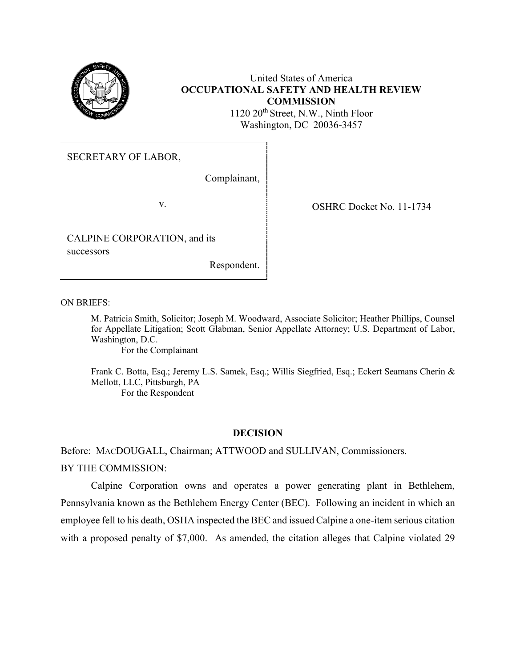

# United States of America **OCCUPATIONAL SAFETY AND HEALTH REVIEW COMMISSION**

1120 20<sup>th</sup> Street, N.W., Ninth Floor Washington, DC 20036-3457

SECRETARY OF LABOR,

Complainant,

CALPINE CORPORATION, and its successors

Respondent.

v. SHRC Docket No. 11-1734

ON BRIEFS:

M. Patricia Smith, Solicitor; Joseph M. Woodward, Associate Solicitor; Heather Phillips, Counsel for Appellate Litigation; Scott Glabman, Senior Appellate Attorney; U.S. Department of Labor, Washington, D.C.

For the Complainant

Frank C. Botta, Esq.; Jeremy L.S. Samek, Esq.; Willis Siegfried, Esq.; Eckert Seamans Cherin & Mellott, LLC, Pittsburgh, PA For the Respondent

# **DECISION**

Before: MACDOUGALL, Chairman; ATTWOOD and SULLIVAN, Commissioners.

BY THE COMMISSION:

Calpine Corporation owns and operates a power generating plant in Bethlehem, Pennsylvania known as the Bethlehem Energy Center (BEC). Following an incident in which an employee fell to his death, OSHA inspected the BEC and issued Calpine a one-item serious citation with a proposed penalty of \$7,000. As amended, the citation alleges that Calpine violated 29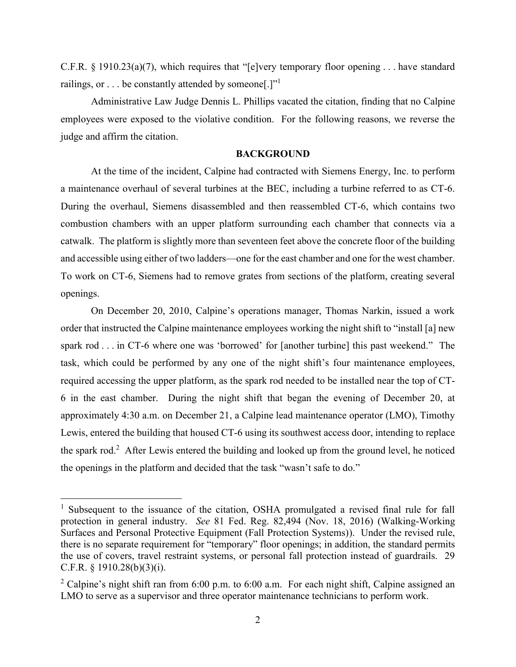C.F.R. § 1910.23(a)(7), which requires that "[e]very temporary floor opening . . . have standard railings, or  $\dots$  be constantly attended by someone[.]"<sup>1</sup>

Administrative Law Judge Dennis L. Phillips vacated the citation, finding that no Calpine employees were exposed to the violative condition. For the following reasons, we reverse the judge and affirm the citation.

### **BACKGROUND**

At the time of the incident, Calpine had contracted with Siemens Energy, Inc. to perform a maintenance overhaul of several turbines at the BEC, including a turbine referred to as CT-6. During the overhaul, Siemens disassembled and then reassembled CT-6, which contains two combustion chambers with an upper platform surrounding each chamber that connects via a catwalk. The platform is slightly more than seventeen feet above the concrete floor of the building and accessible using either of two ladders—one for the east chamber and one for the west chamber. To work on CT-6, Siemens had to remove grates from sections of the platform, creating several openings.

On December 20, 2010, Calpine's operations manager, Thomas Narkin, issued a work order that instructed the Calpine maintenance employees working the night shift to "install [a] new spark rod . . . in CT-6 where one was 'borrowed' for [another turbine] this past weekend." The task, which could be performed by any one of the night shift's four maintenance employees, required accessing the upper platform, as the spark rod needed to be installed near the top of CT-6 in the east chamber. During the night shift that began the evening of December 20, at approximately 4:30 a.m. on December 21, a Calpine lead maintenance operator (LMO), Timothy Lewis, entered the building that housed CT-6 using its southwest access door, intending to replace the spark rod.<sup>2</sup> After Lewis entered the building and looked up from the ground level, he noticed the openings in the platform and decided that the task "wasn't safe to do."

<sup>&</sup>lt;sup>1</sup> Subsequent to the issuance of the citation, OSHA promulgated a revised final rule for fall protection in general industry. *See* 81 Fed. Reg. 82,494 (Nov. 18, 2016) (Walking-Working Surfaces and Personal Protective Equipment (Fall Protection Systems)). Under the revised rule, there is no separate requirement for "temporary" floor openings; in addition, the standard permits the use of covers, travel restraint systems, or personal fall protection instead of guardrails. 29 C.F.R. § 1910.28(b)(3)(i).

<sup>&</sup>lt;sup>2</sup> Calpine's night shift ran from 6:00 p.m. to 6:00 a.m. For each night shift, Calpine assigned an LMO to serve as a supervisor and three operator maintenance technicians to perform work.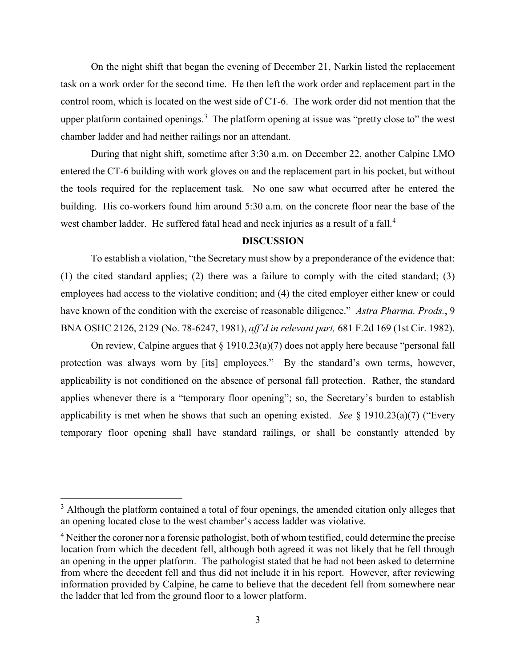On the night shift that began the evening of December 21, Narkin listed the replacement task on a work order for the second time. He then left the work order and replacement part in the control room, which is located on the west side of CT-6. The work order did not mention that the upper platform contained openings.<sup>3</sup> The platform opening at issue was "pretty close to" the west chamber ladder and had neither railings nor an attendant.

During that night shift, sometime after 3:30 a.m. on December 22, another Calpine LMO entered the CT-6 building with work gloves on and the replacement part in his pocket, but without the tools required for the replacement task. No one saw what occurred after he entered the building. His co-workers found him around 5:30 a.m. on the concrete floor near the base of the west chamber ladder. He suffered fatal head and neck injuries as a result of a fall.<sup>4</sup>

# **DISCUSSION**

To establish a violation, "the Secretary must show by a preponderance of the evidence that: (1) the cited standard applies; (2) there was a failure to comply with the cited standard; (3) employees had access to the violative condition; and (4) the cited employer either knew or could have known of the condition with the exercise of reasonable diligence." *Astra Pharma. Prods.*, 9 BNA OSHC 2126, 2129 (No. 78-6247, 1981), *aff'd in relevant part,* 681 F.2d 169 (1st Cir. 1982).

On review, Calpine argues that  $\S 1910.23(a)(7)$  does not apply here because "personal fall protection was always worn by [its] employees." By the standard's own terms, however, applicability is not conditioned on the absence of personal fall protection. Rather, the standard applies whenever there is a "temporary floor opening"; so, the Secretary's burden to establish applicability is met when he shows that such an opening existed. *See* § 1910.23(a)(7) ("Every temporary floor opening shall have standard railings, or shall be constantly attended by

 $3$  Although the platform contained a total of four openings, the amended citation only alleges that an opening located close to the west chamber's access ladder was violative.

<sup>4</sup> Neither the coroner nor a forensic pathologist, both of whom testified, could determine the precise location from which the decedent fell, although both agreed it was not likely that he fell through an opening in the upper platform. The pathologist stated that he had not been asked to determine from where the decedent fell and thus did not include it in his report. However, after reviewing information provided by Calpine, he came to believe that the decedent fell from somewhere near the ladder that led from the ground floor to a lower platform.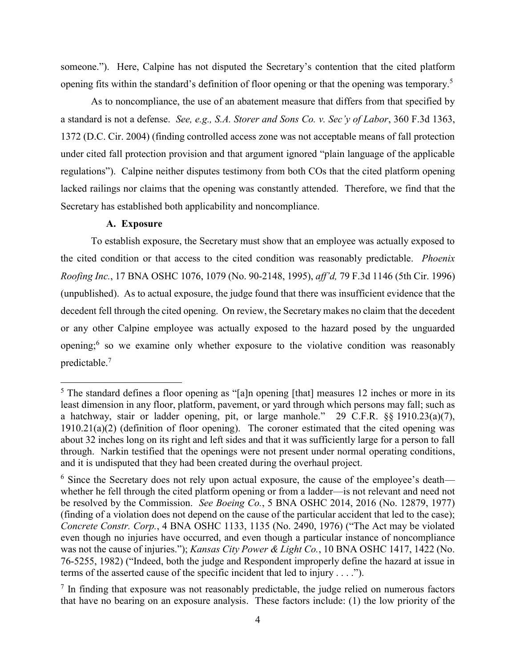someone."). Here, Calpine has not disputed the Secretary's contention that the cited platform opening fits within the standard's definition of floor opening or that the opening was temporary.<sup>5</sup>

As to noncompliance, the use of an abatement measure that differs from that specified by a standard is not a defense. *See, e.g., S.A. Storer and Sons Co. v. Sec'y of Labor*, 360 F.3d 1363, 1372 (D.C. Cir. 2004) (finding controlled access zone was not acceptable means of fall protection under cited fall protection provision and that argument ignored "plain language of the applicable regulations"). Calpine neither disputes testimony from both COs that the cited platform opening lacked railings nor claims that the opening was constantly attended. Therefore, we find that the Secretary has established both applicability and noncompliance.

## **A. Exposure**

 $\overline{a}$ 

To establish exposure, the Secretary must show that an employee was actually exposed to the cited condition or that access to the cited condition was reasonably predictable. *Phoenix Roofing Inc.*, 17 BNA OSHC 1076, 1079 (No. 90-2148, 1995), *aff'd,* 79 F.3d 1146 (5th Cir. 1996) (unpublished). As to actual exposure, the judge found that there was insufficient evidence that the decedent fell through the cited opening. On review, the Secretary makes no claim that the decedent or any other Calpine employee was actually exposed to the hazard posed by the unguarded opening;<sup>6</sup> so we examine only whether exposure to the violative condition was reasonably predictable.<sup>7</sup>

 $5$  The standard defines a floor opening as "[a]n opening [that] measures 12 inches or more in its least dimension in any floor, platform, pavement, or yard through which persons may fall; such as a hatchway, stair or ladder opening, pit, or large manhole." 29 C.F.R. §§ 1910.23(a)(7),  $1910.21(a)(2)$  (definition of floor opening). The coroner estimated that the cited opening was about 32 inches long on its right and left sides and that it was sufficiently large for a person to fall through. Narkin testified that the openings were not present under normal operating conditions, and it is undisputed that they had been created during the overhaul project.

 $6$  Since the Secretary does not rely upon actual exposure, the cause of the employee's death whether he fell through the cited platform opening or from a ladder—is not relevant and need not be resolved by the Commission. *See Boeing Co.*, 5 BNA OSHC 2014, 2016 (No. 12879, 1977) (finding of a violation does not depend on the cause of the particular accident that led to the case); *Concrete Constr. Corp.*, 4 BNA OSHC 1133, 1135 (No. 2490, 1976) ("The Act may be violated even though no injuries have occurred, and even though a particular instance of noncompliance was not the cause of injuries."); *Kansas City Power & Light Co.*, 10 BNA OSHC 1417, 1422 (No. 76-5255, 1982) ("Indeed, both the judge and Respondent improperly define the hazard at issue in terms of the asserted cause of the specific incident that led to injury . . . .").

 $<sup>7</sup>$  In finding that exposure was not reasonably predictable, the judge relied on numerous factors</sup> that have no bearing on an exposure analysis. These factors include: (1) the low priority of the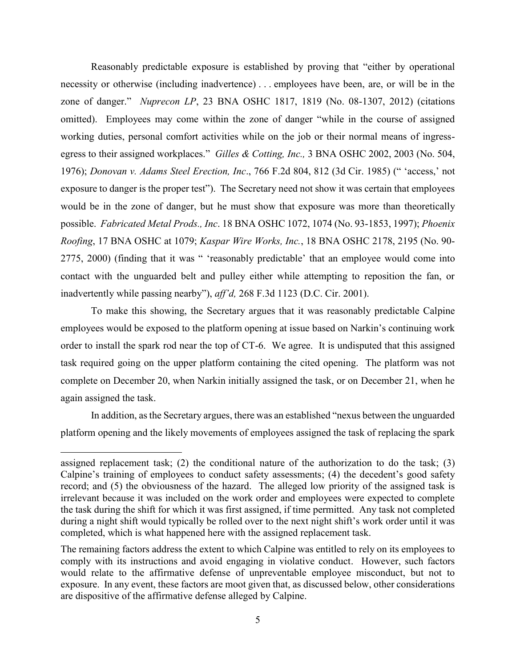Reasonably predictable exposure is established by proving that "either by operational necessity or otherwise (including inadvertence) . . . employees have been, are, or will be in the zone of danger." *Nuprecon LP*, 23 BNA OSHC 1817, 1819 (No. 08-1307, 2012) (citations omitted). Employees may come within the zone of danger "while in the course of assigned working duties, personal comfort activities while on the job or their normal means of ingressegress to their assigned workplaces." *Gilles & Cotting, Inc.,* 3 BNA OSHC 2002, 2003 (No. 504, 1976); *Donovan v. Adams Steel Erection, Inc*., 766 F.2d 804, 812 (3d Cir. 1985) (" 'access,' not exposure to danger is the proper test"). The Secretary need not show it was certain that employees would be in the zone of danger, but he must show that exposure was more than theoretically possible. *Fabricated Metal Prods., Inc*. 18 BNA OSHC 1072, 1074 (No. 93-1853, 1997); *Phoenix Roofing*, 17 BNA OSHC at 1079; *Kaspar Wire Works, Inc.*, 18 BNA OSHC 2178, 2195 (No. 90- 2775, 2000) (finding that it was " 'reasonably predictable' that an employee would come into contact with the unguarded belt and pulley either while attempting to reposition the fan, or inadvertently while passing nearby"), *aff'd,* 268 F.3d 1123 (D.C. Cir. 2001).

To make this showing, the Secretary argues that it was reasonably predictable Calpine employees would be exposed to the platform opening at issue based on Narkin's continuing work order to install the spark rod near the top of CT-6. We agree. It is undisputed that this assigned task required going on the upper platform containing the cited opening. The platform was not complete on December 20, when Narkin initially assigned the task, or on December 21, when he again assigned the task.

In addition, as the Secretary argues, there was an established "nexus between the unguarded platform opening and the likely movements of employees assigned the task of replacing the spark

assigned replacement task; (2) the conditional nature of the authorization to do the task; (3) Calpine's training of employees to conduct safety assessments; (4) the decedent's good safety record; and (5) the obviousness of the hazard. The alleged low priority of the assigned task is irrelevant because it was included on the work order and employees were expected to complete the task during the shift for which it was first assigned, if time permitted. Any task not completed during a night shift would typically be rolled over to the next night shift's work order until it was completed, which is what happened here with the assigned replacement task.

The remaining factors address the extent to which Calpine was entitled to rely on its employees to comply with its instructions and avoid engaging in violative conduct. However, such factors would relate to the affirmative defense of unpreventable employee misconduct, but not to exposure. In any event, these factors are moot given that, as discussed below, other considerations are dispositive of the affirmative defense alleged by Calpine.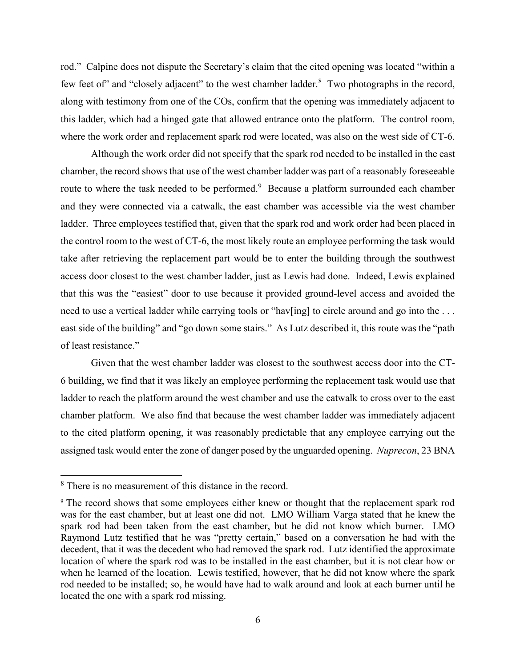rod." Calpine does not dispute the Secretary's claim that the cited opening was located "within a few feet of" and "closely adjacent" to the west chamber ladder.<sup>8</sup> Two photographs in the record, along with testimony from one of the COs, confirm that the opening was immediately adjacent to this ladder, which had a hinged gate that allowed entrance onto the platform. The control room, where the work order and replacement spark rod were located, was also on the west side of CT-6.

Although the work order did not specify that the spark rod needed to be installed in the east chamber, the record shows that use of the west chamber ladder was part of a reasonably foreseeable route to where the task needed to be performed.<sup>9</sup> Because a platform surrounded each chamber and they were connected via a catwalk, the east chamber was accessible via the west chamber ladder. Three employees testified that, given that the spark rod and work order had been placed in the control room to the west of CT-6, the most likely route an employee performing the task would take after retrieving the replacement part would be to enter the building through the southwest access door closest to the west chamber ladder, just as Lewis had done. Indeed, Lewis explained that this was the "easiest" door to use because it provided ground-level access and avoided the need to use a vertical ladder while carrying tools or "hav[ing] to circle around and go into the ... east side of the building" and "go down some stairs." As Lutz described it, this route was the "path of least resistance."

Given that the west chamber ladder was closest to the southwest access door into the CT-6 building, we find that it was likely an employee performing the replacement task would use that ladder to reach the platform around the west chamber and use the catwalk to cross over to the east chamber platform. We also find that because the west chamber ladder was immediately adjacent to the cited platform opening, it was reasonably predictable that any employee carrying out the assigned task would enter the zone of danger posed by the unguarded opening. *Nuprecon*, 23 BNA

 $\overline{\phantom{a}}$ 

<sup>8</sup> There is no measurement of this distance in the record.

<sup>9</sup> The record shows that some employees either knew or thought that the replacement spark rod was for the east chamber, but at least one did not. LMO William Varga stated that he knew the spark rod had been taken from the east chamber, but he did not know which burner. LMO Raymond Lutz testified that he was "pretty certain," based on a conversation he had with the decedent, that it was the decedent who had removed the spark rod. Lutz identified the approximate location of where the spark rod was to be installed in the east chamber, but it is not clear how or when he learned of the location. Lewis testified, however, that he did not know where the spark rod needed to be installed; so, he would have had to walk around and look at each burner until he located the one with a spark rod missing.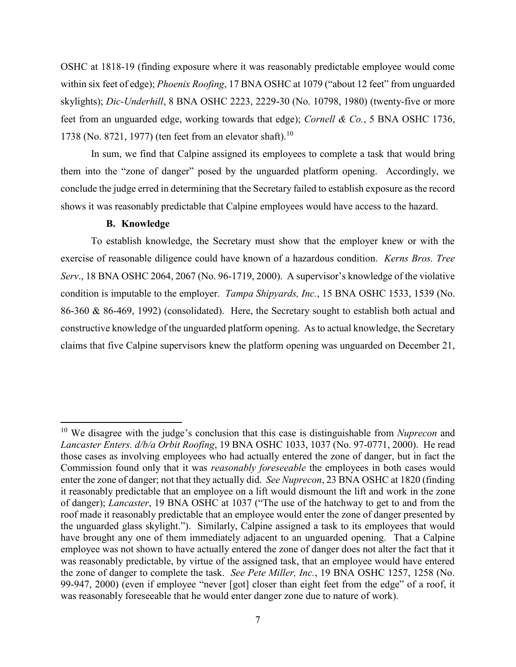OSHC at 1818-19 (finding exposure where it was reasonably predictable employee would come within six feet of edge); *Phoenix Roofing*[, 17 BNA OSHC at 1079](http://www.westlaw.com/Link/Document/FullText?findType=Y&serNum=1995533457&pubNum=0003227&originatingDoc=I455ab3625b3211e18b1ac573b20fcfb7&refType=CA&fi=co_pp_sp_3227_1079&originationContext=document&vr=3.0&rs=cblt1.0&transitionType=DocumentItem&contextData=(sc.UserEnteredCitation)#co_pp_sp_3227_1079) ("about 12 feet" from unguarded skylights); *Dic-Underhill*[, 8 BNA OSHC 2223, 2229-30](http://www.westlaw.com/Link/Document/FullText?findType=Y&serNum=1980186158&pubNum=0003227&originatingDoc=I455ab3625b3211e18b1ac573b20fcfb7&refType=CA&fi=co_pp_sp_3227_2229&originationContext=document&vr=3.0&rs=cblt1.0&transitionType=DocumentItem&contextData=(sc.UserEnteredCitation)#co_pp_sp_3227_2229) (No. 10798, 1980) (twenty-five or more feet from an unguarded edge, working towards that edge); *Cornell & Co.*[, 5 BNA OSHC 1736,](http://www.westlaw.com/Link/Document/FullText?findType=Y&serNum=1977166215&pubNum=0003227&originatingDoc=I455ab3625b3211e18b1ac573b20fcfb7&refType=CA&fi=co_pp_sp_3227_1738&originationContext=document&vr=3.0&rs=cblt1.0&transitionType=DocumentItem&contextData=(sc.UserEnteredCitation)#co_pp_sp_3227_1738)  [1738](http://www.westlaw.com/Link/Document/FullText?findType=Y&serNum=1977166215&pubNum=0003227&originatingDoc=I455ab3625b3211e18b1ac573b20fcfb7&refType=CA&fi=co_pp_sp_3227_1738&originationContext=document&vr=3.0&rs=cblt1.0&transitionType=DocumentItem&contextData=(sc.UserEnteredCitation)#co_pp_sp_3227_1738) (No. 8721, 1977) (ten feet from an elevator shaft).<sup>10</sup>

In sum, we find that Calpine assigned its employees to complete a task that would bring them into the "zone of danger" posed by the unguarded platform opening. Accordingly, we conclude the judge erred in determining that the Secretary failed to establish exposure as the record shows it was reasonably predictable that Calpine employees would have access to the hazard.

## **B. Knowledge**

 $\overline{\phantom{a}}$ 

To establish knowledge, the Secretary must show that the employer knew or with the exercise of reasonable diligence could have known of a hazardous condition. *Kerns Bros. Tree Serv*., 18 BNA OSHC 2064, 2067 (No. 96-1719, 2000). A supervisor's knowledge of the violative condition is imputable to the employer. *Tampa Shipyards, Inc.*[, 15 BNA OSHC 1533, 1539](http://www.westlaw.com/Link/Document/FullText?findType=Y&serNum=1992453577&pubNum=0003227&originatingDoc=I20ad3eb5fa2c11d98ac8f235252e36df&refType=CA&fi=co_pp_sp_3227_1539&originationContext=document&vr=3.0&rs=cblt1.0&transitionType=DocumentItem&contextData=(sc.UserEnteredCitation)#co_pp_sp_3227_1539) (No. 86-360 & 86-469, 1992) (consolidated). Here, the Secretary sought to establish both actual and constructive knowledge of the unguarded platform opening. As to actual knowledge, the Secretary claims that five Calpine supervisors knew the platform opening was unguarded on December 21,

<sup>10</sup> We disagree with the judge's conclusion that this case is distinguishable from *Nuprecon* and *Lancaster Enters. d/b/a Orbit Roofing*, 19 BNA OSHC 1033, 1037 (No. 97-0771, 2000). He read those cases as involving employees who had actually entered the zone of danger, but in fact the Commission found only that it was *reasonably foreseeable* the employees in both cases would enter the zone of danger; not that they actually did. *See Nuprecon*, 23 BNA OSHC at 1820 (finding it reasonably predictable that an employee on a lift would dismount the lift and work in the zone of danger); *Lancaster*, 19 BNA OSHC at 1037 ("The use of the hatchway to get to and from the roof made it reasonably predictable that an employee would enter the zone of danger presented by the unguarded glass skylight."). Similarly, Calpine assigned a task to its employees that would have brought any one of them immediately adjacent to an unguarded opening. That a Calpine employee was not shown to have actually entered the zone of danger does not alter the fact that it was reasonably predictable, by virtue of the assigned task, that an employee would have entered the zone of danger to complete the task. *See Pete Miller, Inc.*, 19 BNA OSHC 1257, 1258 (No. 99-947, 2000) (even if employee "never [got] closer than eight feet from the edge" of a roof, it was reasonably foreseeable that he would enter danger zone due to nature of work).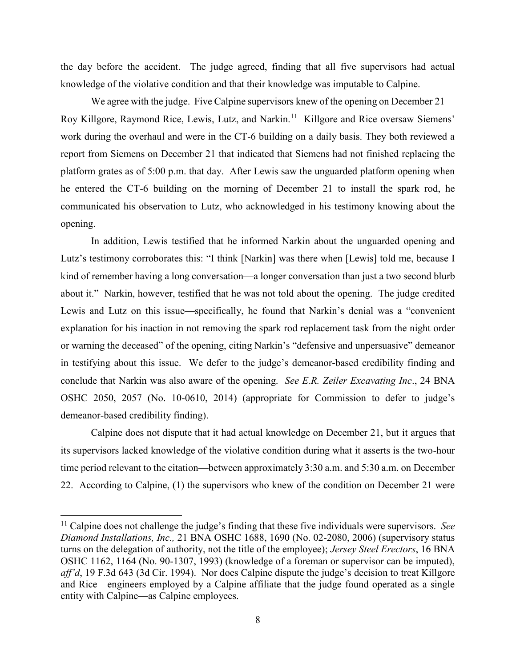the day before the accident. The judge agreed, finding that all five supervisors had actual knowledge of the violative condition and that their knowledge was imputable to Calpine.

We agree with the judge. Five Calpine supervisors knew of the opening on December 21— Roy Killgore, Raymond Rice, Lewis, Lutz, and Narkin.<sup>11</sup> Killgore and Rice oversaw Siemens' work during the overhaul and were in the CT-6 building on a daily basis. They both reviewed a report from Siemens on December 21 that indicated that Siemens had not finished replacing the platform grates as of 5:00 p.m. that day. After Lewis saw the unguarded platform opening when he entered the CT-6 building on the morning of December 21 to install the spark rod, he communicated his observation to Lutz, who acknowledged in his testimony knowing about the opening.

In addition, Lewis testified that he informed Narkin about the unguarded opening and Lutz's testimony corroborates this: "I think [Narkin] was there when [Lewis] told me, because I kind of remember having a long conversation—a longer conversation than just a two second blurb about it." Narkin, however, testified that he was not told about the opening. The judge credited Lewis and Lutz on this issue—specifically, he found that Narkin's denial was a "convenient explanation for his inaction in not removing the spark rod replacement task from the night order or warning the deceased" of the opening, citing Narkin's "defensive and unpersuasive" demeanor in testifying about this issue. We defer to the judge's demeanor-based credibility finding and conclude that Narkin was also aware of the opening. *See E.R. Zeiler Excavating Inc*., 24 BNA OSHC 2050, 2057 (No. 10-0610, 2014) (appropriate for Commission to defer to judge's demeanor-based credibility finding).

Calpine does not dispute that it had actual knowledge on December 21, but it argues that its supervisors lacked knowledge of the violative condition during what it asserts is the two-hour time period relevant to the citation—between approximately 3:30 a.m. and 5:30 a.m. on December 22. According to Calpine, (1) the supervisors who knew of the condition on December 21 were

<sup>11</sup> Calpine does not challenge the judge's finding that these five individuals were supervisors. *See Diamond Installations, Inc.,* 21 BNA OSHC 1688, 1690 (No. 02-2080, 2006) (supervisory status turns on the delegation of authority, not the title of the employee); *Jersey Steel Erectors*, 16 BNA OSHC 1162, 1164 (No. 90-1307, 1993) (knowledge of a foreman or supervisor can be imputed), *aff'd*, 19 F.3d 643 (3d Cir. 1994). Nor does Calpine dispute the judge's decision to treat Killgore and Rice—engineers employed by a Calpine affiliate that the judge found operated as a single entity with Calpine—as Calpine employees.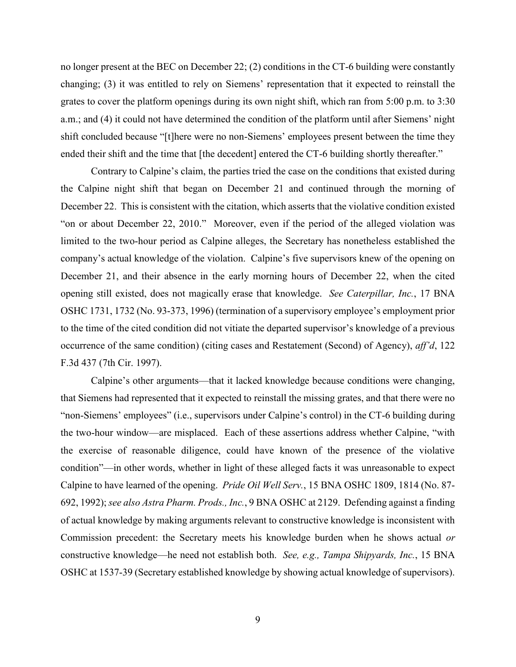no longer present at the BEC on December 22; (2) conditions in the CT-6 building were constantly changing; (3) it was entitled to rely on Siemens' representation that it expected to reinstall the grates to cover the platform openings during its own night shift, which ran from 5:00 p.m. to 3:30 a.m.; and (4) it could not have determined the condition of the platform until after Siemens' night shift concluded because "[t]here were no non-Siemens' employees present between the time they ended their shift and the time that [the decedent] entered the CT-6 building shortly thereafter."

Contrary to Calpine's claim, the parties tried the case on the conditions that existed during the Calpine night shift that began on December 21 and continued through the morning of December 22. This is consistent with the citation, which asserts that the violative condition existed "on or about December 22, 2010." Moreover, even if the period of the alleged violation was limited to the two-hour period as Calpine alleges, the Secretary has nonetheless established the company's actual knowledge of the violation. Calpine's five supervisors knew of the opening on December 21, and their absence in the early morning hours of December 22, when the cited opening still existed, does not magically erase that knowledge. *See Caterpillar, Inc.*, 17 BNA OSHC 1731, 1732 (No. 93-373, 1996) (termination of a supervisory employee's employment prior to the time of the cited condition did not vitiate the departed supervisor's knowledge of a previous occurrence of the same condition) (citing cases and Restatement (Second) of Agency), *aff'd*, 122 F.3d 437 (7th Cir. 1997).

Calpine's other arguments—that it lacked knowledge because conditions were changing, that Siemens had represented that it expected to reinstall the missing grates, and that there were no "non-Siemens' employees" (i.e., supervisors under Calpine's control) in the CT-6 building during the two-hour window—are misplaced. Each of these assertions address whether Calpine, "with the exercise of reasonable diligence, could have known of the presence of the violative condition"—in other words, whether in light of these alleged facts it was unreasonable to expect Calpine to have learned of the opening. *Pride Oil Well Serv.*, 15 BNA OSHC 1809, 1814 (No. 87- 692, 1992); *see also [Astra Pharm. Prods., Inc.](https://1.next.westlaw.com/Link/Document/FullText?findType=Y&serNum=1981247015&pubNum=0003227&originatingDoc=I716fd5f0c9bf11e6b73588f1a9cfce05&refType=CA&fi=co_pp_sp_3227_2129&originationContext=document&transitionType=DocumentItem&contextData=(sc.Search)#co_pp_sp_3227_2129)*, 9 BNA OSHC at 2129. Defending against a finding of actual knowledge by making arguments relevant to constructive knowledge is inconsistent with Commission precedent: the Secretary meets his knowledge burden when he shows actual *or* constructive knowledge—he need not establish both. *See, e.g., Tampa Shipyards, Inc.*, 15 BNA OSHC at 1537-39 (Secretary established knowledge by showing actual knowledge of supervisors).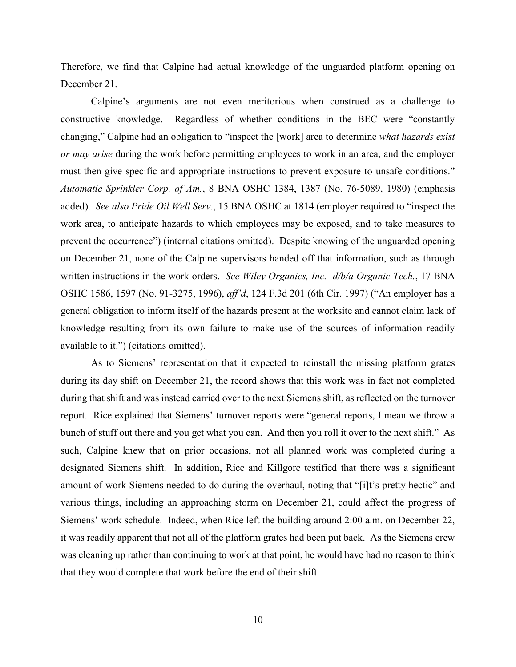Therefore, we find that Calpine had actual knowledge of the unguarded platform opening on December 21.

Calpine's arguments are not even meritorious when construed as a challenge to constructive knowledge. Regardless of whether conditions in the BEC were "constantly changing," Calpine had an obligation to "inspect the [work] area to determine *what hazards exist or may arise* during the work before permitting employees to work in an area, and the employer must then give specific and appropriate instructions to prevent exposure to unsafe conditions." *Automatic Sprinkler Corp. of Am.*, 8 BNA OSHC 1384, 1387 (No. 76-5089, 1980) (emphasis added). *See also Pride Oil Well Serv.*, 15 BNA OSHC at 1814 (employer required to "inspect the work area, to anticipate hazards to which employees may be exposed, and to take measures to prevent the occurrence") (internal citations omitted). Despite knowing of the unguarded opening on December 21, none of the Calpine supervisors handed off that information, such as through written instructions in the work orders. *See Wiley Organics, Inc. d/b/a Organic Tech.*, 17 BNA OSHC 1586, 1597 (No. 91-3275, 1996), *aff'd*, 124 F.3d 201 (6th Cir. 1997) ("An employer has a general obligation to inform itself of the hazards present at the worksite and cannot claim lack of knowledge resulting from its own failure to make use of the sources of information readily available to it.") (citations omitted).

As to Siemens' representation that it expected to reinstall the missing platform grates during its day shift on December 21, the record shows that this work was in fact not completed during that shift and was instead carried over to the next Siemens shift, as reflected on the turnover report. Rice explained that Siemens' turnover reports were "general reports, I mean we throw a bunch of stuff out there and you get what you can. And then you roll it over to the next shift." As such, Calpine knew that on prior occasions, not all planned work was completed during a designated Siemens shift. In addition, Rice and Killgore testified that there was a significant amount of work Siemens needed to do during the overhaul, noting that "[i]t's pretty hectic" and various things, including an approaching storm on December 21, could affect the progress of Siemens' work schedule. Indeed, when Rice left the building around 2:00 a.m. on December 22, it was readily apparent that not all of the platform grates had been put back. As the Siemens crew was cleaning up rather than continuing to work at that point, he would have had no reason to think that they would complete that work before the end of their shift.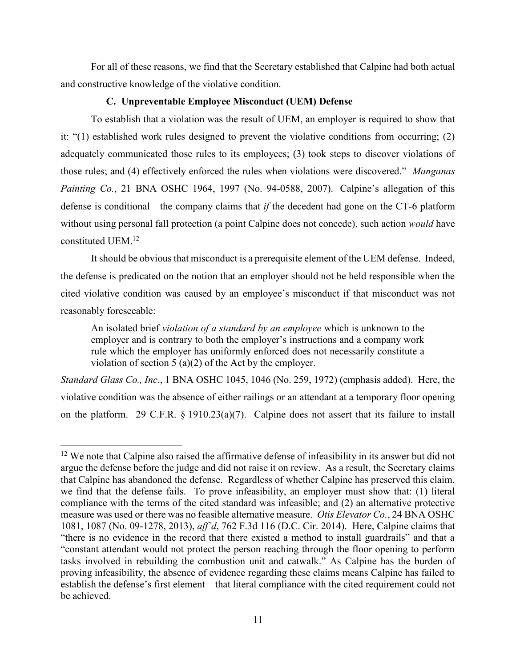For all of these reasons, we find that the Secretary established that Calpine had both actual and constructive knowledge of the violative condition.

# **C. Unpreventable Employee Misconduct (UEM) Defense**

To establish that a violation was the result of UEM, an employer is required to show that it: "(1) established work rules designed to prevent the violative conditions from occurring; (2) adequately communicated those rules to its employees; (3) took steps to discover violations of those rules; and (4) effectively enforced the rules when violations were discovered." *[Manganas](https://1.next.westlaw.com/Link/Document/FullText?findType=Y&serNum=2018323957&pubNum=0003227&originatingDoc=I051766dc8bd911e28a21ccb9036b2470&refType=CA&fi=co_pp_sp_3227_1997&originationContext=document&transitionType=DocumentItem&contextData=(sc.UserEnteredCitation)#co_pp_sp_3227_1997)  Painting Co.*[, 21 BNA OSHC 1964, 1997 \(](https://1.next.westlaw.com/Link/Document/FullText?findType=Y&serNum=2018323957&pubNum=0003227&originatingDoc=I051766dc8bd911e28a21ccb9036b2470&refType=CA&fi=co_pp_sp_3227_1997&originationContext=document&transitionType=DocumentItem&contextData=(sc.UserEnteredCitation)#co_pp_sp_3227_1997)No. 94-0588, 2007). Calpine's allegation of this defense is conditional—the company claims that *if* the decedent had gone on the CT-6 platform without using personal fall protection (a point Calpine does not concede), such action *would* have constituted UEM.<sup>12</sup>

It should be obvious that misconduct is a prerequisite element of the UEM defense. Indeed, the defense is predicated on the notion that an employer should not be held responsible when the cited violative condition was caused by an employee's misconduct if that misconduct was not reasonably foreseeable:

An isolated brief *violation of a standard by an employee* which is unknown to the employer and is contrary to both the employer's instructions and a company work rule which the employer has uniformly enforced does not necessarily constitute a violation of section 5 (a)(2) of the Act by the employer.

*Standard Glass Co., Inc*., 1 BNA OSHC 1045, 1046 (No. 259, 1972) (emphasis added). Here, the violative condition was the absence of either railings or an attendant at a temporary floor opening on the platform. 29 C.F.R. § 1910.23(a)(7). Calpine does not assert that its failure to install

 $12$  We note that Calpine also raised the affirmative defense of infeasibility in its answer but did not argue the defense before the judge and did not raise it on review. As a result, the Secretary claims that Calpine has abandoned the defense. Regardless of whether Calpine has preserved this claim, we find that the defense fails. To prove infeasibility, an employer must show that: (1) literal compliance with the terms of the cited standard was infeasible; and (2) an alternative protective measure was used or there was no feasible alternative measure. *Otis Elevator Co.*, 24 BNA OSHC 1081, 1087 (No. 09-1278, 2013), *aff'd*, 762 F.3d 116 (D.C. Cir. 2014). Here, Calpine claims that "there is no evidence in the record that there existed a method to install guardrails" and that a "constant attendant would not protect the person reaching through the floor opening to perform tasks involved in rebuilding the combustion unit and catwalk." As Calpine has the burden of proving infeasibility, the absence of evidence regarding these claims means Calpine has failed to establish the defense's first element—that literal compliance with the cited requirement could not be achieved.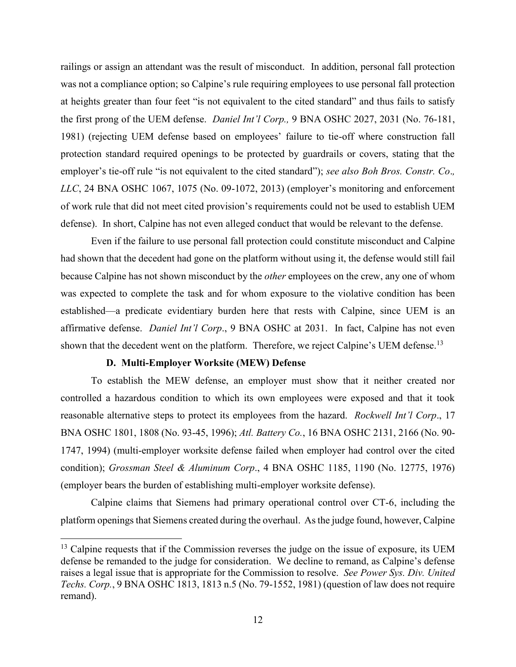railings or assign an attendant was the result of misconduct. In addition, personal fall protection was not a compliance option; so Calpine's rule requiring employees to use personal fall protection at heights greater than four feet "is not equivalent to the cited standard" and thus fails to satisfy the first prong of the UEM defense. *Daniel Int'l Corp.,* 9 BNA OSHC 2027, 2031 (No. 76-181, 1981) (rejecting UEM defense based on employees' failure to tie-off where construction fall protection standard required openings to be protected by guardrails or covers, stating that the employer's tie-off rule "is not equivalent to the cited standard"); *see also Boh Bros. Constr. Co*.*, LLC*, 24 BNA OSHC 1067, 1075 (No. 09-1072, 2013) (employer's monitoring and enforcement of work rule that did not meet cited provision's requirements could not be used to establish UEM defense). In short, Calpine has not even alleged conduct that would be relevant to the defense.

Even if the failure to use personal fall protection could constitute misconduct and Calpine had shown that the decedent had gone on the platform without using it, the defense would still fail because Calpine has not shown misconduct by the *other* employees on the crew, any one of whom was expected to complete the task and for whom exposure to the violative condition has been established—a predicate evidentiary burden here that rests with Calpine, since UEM is an affirmative defense. *Daniel Int'l Corp*., 9 BNA OSHC at 2031. In fact, Calpine has not even shown that the decedent went on the platform. Therefore, we reject Calpine's UEM defense.<sup>13</sup>

## **D. Multi-Employer Worksite (MEW) Defense**

 $\overline{\phantom{a}}$ 

To establish the MEW defense, an employer must show that it neither created nor controlled a hazardous condition to which its own employees were exposed and that it took reasonable alternative steps to protect its employees from the hazard. *Rockwell Int'l Corp*., 17 BNA OSHC 1801, 1808 (No. 93-45, 1996); *Atl. Battery Co.*, 16 BNA OSHC 2131, 2166 (No. 90- 1747, 1994) (multi-employer worksite defense failed when employer had control over the cited condition); *Grossman Steel & Aluminum Corp*., 4 BNA OSHC 1185, 1190 (No. 12775, 1976) (employer bears the burden of establishing multi-employer worksite defense).

Calpine claims that Siemens had primary operational control over CT-6, including the platform openings that Siemens created during the overhaul. As the judge found, however, Calpine

 $13$  Calpine requests that if the Commission reverses the judge on the issue of exposure, its UEM defense be remanded to the judge for consideration. We decline to remand, as Calpine's defense raises a legal issue that is appropriate for the Commission to resolve. *See Power Sys. Div. United Techs. Corp.*, 9 BNA OSHC 1813, 1813 n.5 (No. 79-1552, 1981) (question of law does not require remand).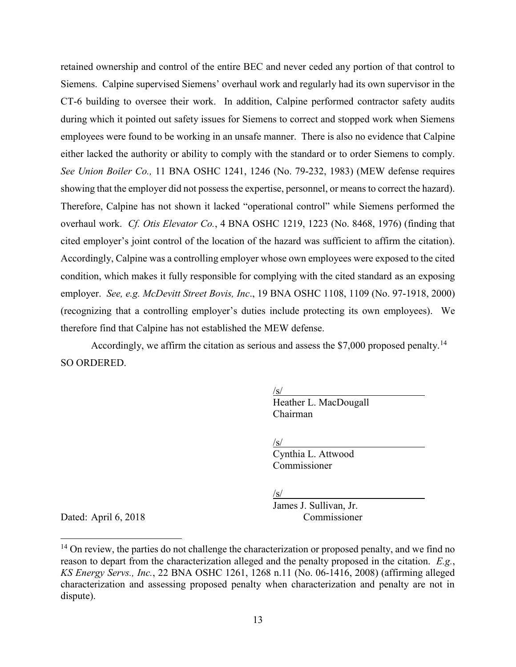retained ownership and control of the entire BEC and never ceded any portion of that control to Siemens. Calpine supervised Siemens' overhaul work and regularly had its own supervisor in the CT-6 building to oversee their work. In addition, Calpine performed contractor safety audits during which it pointed out safety issues for Siemens to correct and stopped work when Siemens employees were found to be working in an unsafe manner. There is also no evidence that Calpine either lacked the authority or ability to comply with the standard or to order Siemens to comply. *See Union Boiler Co.,* 11 BNA OSHC 1241, 1246 (No. 79-232, 1983) (MEW defense requires showing that the employer did not possess the expertise, personnel, or means to correct the hazard). Therefore, Calpine has not shown it lacked "operational control" while Siemens performed the overhaul work. *Cf. Otis Elevator Co.*, 4 BNA OSHC 1219, 1223 (No. 8468, 1976) (finding that cited employer's joint control of the location of the hazard was sufficient to affirm the citation). Accordingly, Calpine was a controlling employer whose own employees were exposed to the cited condition, which makes it fully responsible for complying with the cited standard as an exposing employer. *See, e.g. McDevitt Street Bovis, Inc*., 19 BNA OSHC 1108, 1109 (No. 97-1918, 2000) (recognizing that a controlling employer's duties include protecting its own employees). We therefore find that Calpine has not established the MEW defense.

Accordingly, we affirm the citation as serious and assess the  $$7,000$  proposed penalty.<sup>14</sup> SO ORDERED.

> $\sqrt{s/}$ Heather L. MacDougall Chairman

 $\sqrt{s/}$ 

Cynthia L. Attwood Commissioner

 $\sqrt{s/}$ 

James J. Sullivan, Jr. Dated: April 6, 2018 Commissioner

 $\overline{\phantom{a}}$ 

 $14$  On review, the parties do not challenge the characterization or proposed penalty, and we find no reason to depart from the characterization alleged and the penalty proposed in the citation. *E.g.*, *KS Energy Servs., Inc.*, 22 BNA OSHC 1261, 1268 n.11 (No. 06-1416, 2008) (affirming alleged characterization and assessing proposed penalty when characterization and penalty are not in dispute).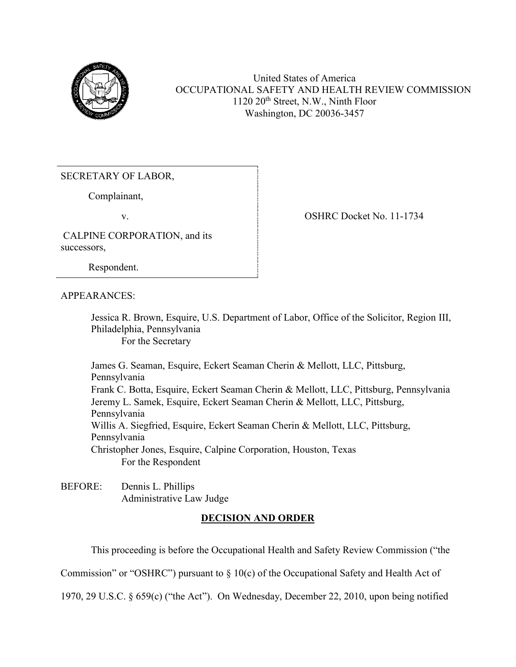

United States of America OCCUPATIONAL SAFETY AND HEALTH REVIEW COMMISSION 1120 20th Street, N.W., Ninth Floor Washington, DC 20036-3457

SECRETARY OF LABOR,

Complainant,

v. COSHRC Docket No. 11-1734

CALPINE CORPORATION, and its successors,

Respondent.

APPEARANCES:

Jessica R. Brown, Esquire, U.S. Department of Labor, Office of the Solicitor, Region III, Philadelphia, Pennsylvania For the Secretary

James G. Seaman, Esquire, Eckert Seaman Cherin & Mellott, LLC, Pittsburg, Pennsylvania Frank C. Botta, Esquire, Eckert Seaman Cherin & Mellott, LLC, Pittsburg, Pennsylvania Jeremy L. Samek, Esquire, Eckert Seaman Cherin & Mellott, LLC, Pittsburg, Pennsylvania Willis A. Siegfried, Esquire, Eckert Seaman Cherin & Mellott, LLC, Pittsburg, Pennsylvania Christopher Jones, Esquire, Calpine Corporation, Houston, Texas For the Respondent

BEFORE: Dennis L. Phillips Administrative Law Judge

# **DECISION AND ORDER**

This proceeding is before the Occupational Health and Safety Review Commission ("the

Commission" or "OSHRC") pursuant to  $\S 10(c)$  of the Occupational Safety and Health Act of

1970, 29 U.S.C. § 659(c) ("the Act"). On Wednesday, December 22, 2010, upon being notified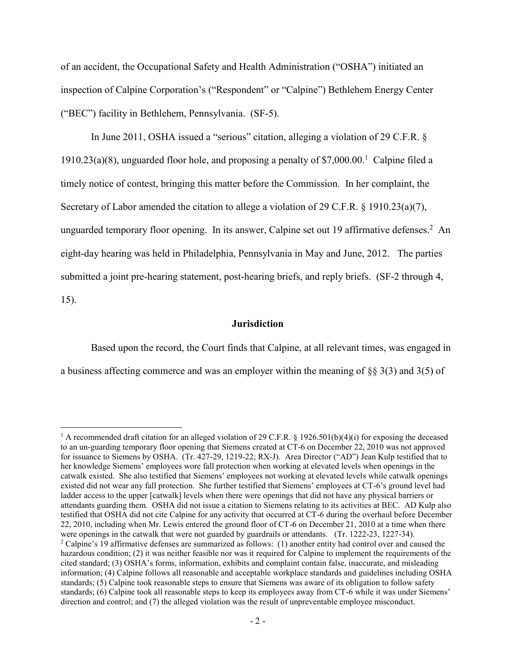of an accident, the Occupational Safety and Health Administration ("OSHA") initiated an inspection of Calpine Corporation's ("Respondent" or "Calpine") Bethlehem Energy Center ("BEC") facility in Bethlehem, Pennsylvania. (SF-5).

In June 2011, OSHA issued a "serious" citation, alleging a violation of 29 C.F.R. § 1910.23(a)(8), unguarded floor hole, and proposing a penalty of \$7,000.00.<sup>1</sup> Calpine filed a timely notice of contest, bringing this matter before the Commission. In her complaint, the Secretary of Labor amended the citation to allege a violation of 29 C.F.R. § 1910.23(a)(7), unguarded temporary floor opening. In its answer, Calpine set out 19 affirmative defenses.<sup>2</sup> An eight-day hearing was held in Philadelphia, Pennsylvania in May and June, 2012. The parties submitted a joint pre-hearing statement, post-hearing briefs, and reply briefs. (SF-2 through 4, 15).

### **Jurisdiction**

Based upon the record, the Court finds that Calpine, at all relevant times, was engaged in a business affecting commerce and was an employer within the meaning of §§ 3(3) and 3(5) of

 $\overline{a}$ <sup>1</sup> A recommended draft citation for an alleged violation of 29 C.F.R. § 1926.501(b)(4)(i) for exposing the deceased to an un-guarding temporary floor opening that Siemens created at CT-6 on December 22, 2010 was not approved for issuance to Siemens by OSHA. (Tr. 427-29, 1219-22; RX-J). Area Director ("AD") Jean Kulp testified that to her knowledge Siemens' employees wore fall protection when working at elevated levels when openings in the catwalk existed. She also testified that Siemens' employees not working at elevated levels while catwalk openings existed did not wear any fall protection. She further testified that Siemens' employees at CT-6's ground level had ladder access to the upper [catwalk] levels when there were openings that did not have any physical barriers or attendants guarding them. OSHA did not issue a citation to Siemens relating to its activities at BEC. AD Kulp also testified that OSHA did not cite Calpine for any activity that occurred at CT-6 during the overhaul before December 22, 2010, including when Mr. Lewis entered the ground floor of CT-6 on December 21, 2010 at a time when there were openings in the catwalk that were not guarded by guardrails or attendants. (Tr. 1222-23, 1227-34). <sup>2</sup> Calpine's 19 affirmative defenses are summarized as follows: (1) another entity had control over and caused the hazardous condition; (2) it was neither feasible nor was it required for Calpine to implement the requirements of the cited standard; (3) OSHA's forms, information, exhibits and complaint contain false, inaccurate, and misleading information; (4) Calpine follows all reasonable and acceptable workplace standards and guidelines including OSHA standards; (5) Calpine took reasonable steps to ensure that Siemens was aware of its obligation to follow safety standards; (6) Calpine took all reasonable steps to keep its employees away from CT-6 while it was under Siemens' direction and control; and (7) the alleged violation was the result of unpreventable employee misconduct.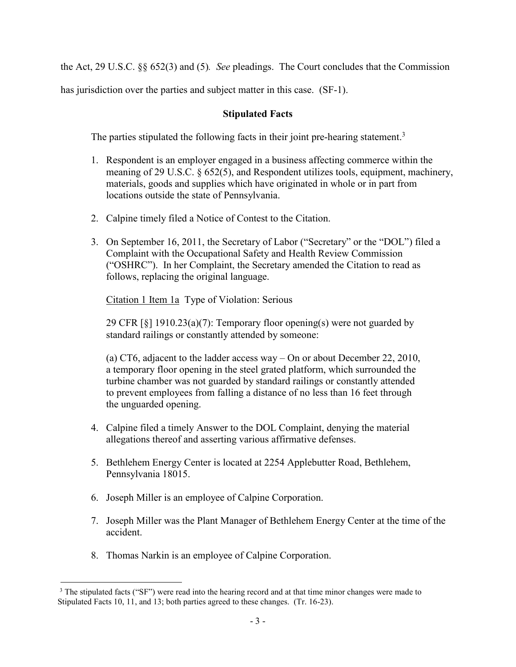the Act, 29 U.S.C. §§ 652(3) and (5)*. See* pleadings. The Court concludes that the Commission

has jurisdiction over the parties and subject matter in this case. (SF-1).

# **Stipulated Facts**

The parties stipulated the following facts in their joint pre-hearing statement.<sup>3</sup>

- 1. Respondent is an employer engaged in a business affecting commerce within the meaning of 29 U.S.C. § 652(5), and Respondent utilizes tools, equipment, machinery, materials, goods and supplies which have originated in whole or in part from locations outside the state of Pennsylvania.
- 2. Calpine timely filed a Notice of Contest to the Citation.
- 3. On September 16, 2011, the Secretary of Labor ("Secretary" or the "DOL") filed a Complaint with the Occupational Safety and Health Review Commission ("OSHRC"). In her Complaint, the Secretary amended the Citation to read as follows, replacing the original language.

Citation 1 Item 1a Type of Violation: Serious

29 CFR [§] 1910.23(a)(7): Temporary floor opening(s) were not guarded by standard railings or constantly attended by someone:

(a) CT6, adjacent to the ladder access way – On or about December 22, 2010, a temporary floor opening in the steel grated platform, which surrounded the turbine chamber was not guarded by standard railings or constantly attended to prevent employees from falling a distance of no less than 16 feet through the unguarded opening.

- 4. Calpine filed a timely Answer to the DOL Complaint, denying the material allegations thereof and asserting various affirmative defenses.
- 5. Bethlehem Energy Center is located at 2254 Applebutter Road, Bethlehem, Pennsylvania 18015.
- 6. Joseph Miller is an employee of Calpine Corporation.
- 7. Joseph Miller was the Plant Manager of Bethlehem Energy Center at the time of the accident.
- 8. Thomas Narkin is an employee of Calpine Corporation.

 $\overline{a}$ <sup>3</sup> The stipulated facts ("SF") were read into the hearing record and at that time minor changes were made to Stipulated Facts 10, 11, and 13; both parties agreed to these changes. (Tr. 16-23).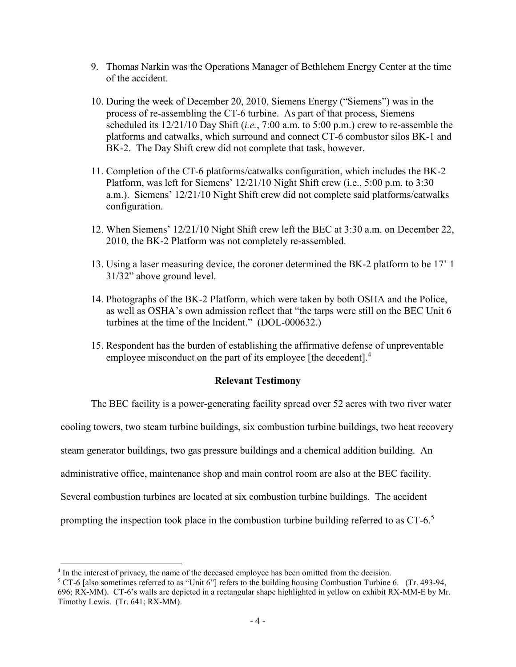- 9. Thomas Narkin was the Operations Manager of Bethlehem Energy Center at the time of the accident.
- 10. During the week of December 20, 2010, Siemens Energy ("Siemens") was in the process of re-assembling the CT-6 turbine. As part of that process, Siemens scheduled its 12/21/10 Day Shift (*i.e.*, 7:00 a.m. to 5:00 p.m.) crew to re-assemble the platforms and catwalks, which surround and connect CT-6 combustor silos BK-1 and BK-2. The Day Shift crew did not complete that task, however.
- 11. Completion of the CT-6 platforms/catwalks configuration, which includes the BK-2 Platform, was left for Siemens' 12/21/10 Night Shift crew (i.e., 5:00 p.m. to 3:30 a.m.). Siemens' 12/21/10 Night Shift crew did not complete said platforms/catwalks configuration.
- 12. When Siemens' 12/21/10 Night Shift crew left the BEC at 3:30 a.m. on December 22, 2010, the BK-2 Platform was not completely re-assembled.
- 13. Using a laser measuring device, the coroner determined the BK-2 platform to be 17' 1 31/32" above ground level.
- 14. Photographs of the BK-2 Platform, which were taken by both OSHA and the Police, as well as OSHA's own admission reflect that "the tarps were still on the BEC Unit 6 turbines at the time of the Incident." (DOL-000632.)
- 15. Respondent has the burden of establishing the affirmative defense of unpreventable employee misconduct on the part of its employee [the decedent].<sup>4</sup>

# **Relevant Testimony**

The BEC facility is a power-generating facility spread over 52 acres with two river water

cooling towers, two steam turbine buildings, six combustion turbine buildings, two heat recovery

steam generator buildings, two gas pressure buildings and a chemical addition building. An

administrative office, maintenance shop and main control room are also at the BEC facility.

Several combustion turbines are located at six combustion turbine buildings. The accident

prompting the inspection took place in the combustion turbine building referred to as CT-6.<sup>5</sup>

<sup>&</sup>lt;sup>4</sup> In the interest of privacy, the name of the deceased employee has been omitted from the decision.

<sup>5</sup> CT-6 [also sometimes referred to as "Unit 6"] refers to the building housing Combustion Turbine 6. (Tr. 493-94, 696; RX-MM). CT-6's walls are depicted in a rectangular shape highlighted in yellow on exhibit RX-MM-E by Mr. Timothy Lewis. (Tr. 641; RX-MM).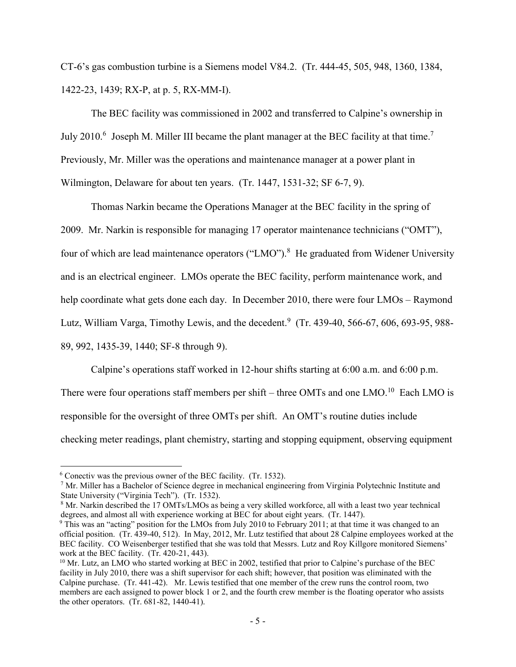CT-6's gas combustion turbine is a Siemens model V84.2. (Tr. 444-45, 505, 948, 1360, 1384, 1422-23, 1439; RX-P, at p. 5, RX-MM-I).

The BEC facility was commissioned in 2002 and transferred to Calpine's ownership in July 2010.<sup>6</sup> Joseph M. Miller III became the plant manager at the BEC facility at that time.<sup>7</sup> Previously, Mr. Miller was the operations and maintenance manager at a power plant in Wilmington, Delaware for about ten years. (Tr. 1447, 1531-32; SF 6-7, 9).

Thomas Narkin became the Operations Manager at the BEC facility in the spring of 2009. Mr. Narkin is responsible for managing 17 operator maintenance technicians ("OMT"), four of which are lead maintenance operators ("LMO").<sup>8</sup> He graduated from Widener University and is an electrical engineer. LMOs operate the BEC facility, perform maintenance work, and help coordinate what gets done each day. In December 2010, there were four LMOs – Raymond Lutz, William Varga, Timothy Lewis, and the decedent.<sup>9</sup> (Tr. 439-40, 566-67, 606, 693-95, 988-89, 992, 1435-39, 1440; SF-8 through 9).

Calpine's operations staff worked in 12-hour shifts starting at 6:00 a.m. and 6:00 p.m. There were four operations staff members per shift – three OMTs and one LMO.<sup>10</sup> Each LMO is responsible for the oversight of three OMTs per shift. An OMT's routine duties include checking meter readings, plant chemistry, starting and stopping equipment, observing equipment

<sup>6</sup> Conectiv was the previous owner of the BEC facility. (Tr. 1532).

 $7$  Mr. Miller has a Bachelor of Science degree in mechanical engineering from Virginia Polytechnic Institute and State University ("Virginia Tech"). (Tr. 1532).

<sup>8</sup> Mr. Narkin described the 17 OMTs/LMOs as being a very skilled workforce, all with a least two year technical degrees, and almost all with experience working at BEC for about eight years. (Tr. 1447).

<sup>&</sup>lt;sup>9</sup> This was an "acting" position for the LMOs from July 2010 to February 2011; at that time it was changed to an official position. (Tr. 439-40, 512). In May, 2012, Mr. Lutz testified that about 28 Calpine employees worked at the BEC facility. CO Weisenberger testified that she was told that Messrs. Lutz and Roy Killgore monitored Siemens' work at the BEC facility. (Tr. 420-21, 443).

<sup>&</sup>lt;sup>10</sup> Mr. Lutz, an LMO who started working at BEC in 2002, testified that prior to Calpine's purchase of the BEC facility in July 2010, there was a shift supervisor for each shift; however, that position was eliminated with the Calpine purchase. (Tr. 441-42). Mr. Lewis testified that one member of the crew runs the control room, two members are each assigned to power block 1 or 2, and the fourth crew member is the floating operator who assists the other operators. (Tr. 681-82, 1440-41).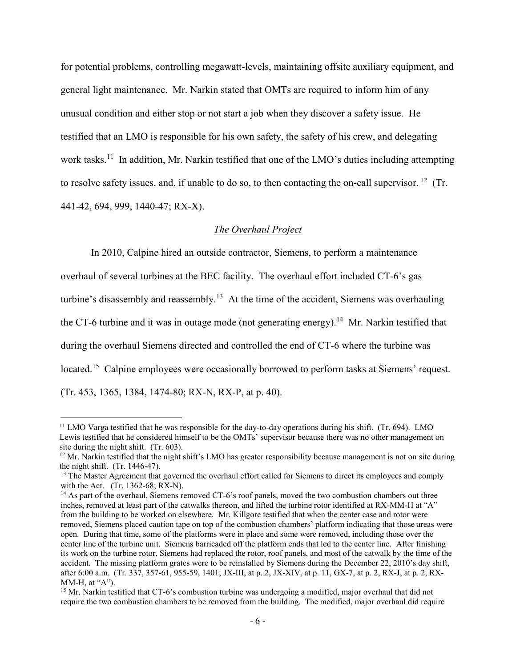for potential problems, controlling megawatt-levels, maintaining offsite auxiliary equipment, and general light maintenance. Mr. Narkin stated that OMTs are required to inform him of any unusual condition and either stop or not start a job when they discover a safety issue. He testified that an LMO is responsible for his own safety, the safety of his crew, and delegating work tasks.<sup>11</sup> In addition, Mr. Narkin testified that one of the LMO's duties including attempting to resolve safety issues, and, if unable to do so, to then contacting the on-call supervisor. <sup>12</sup> (Tr. 441-42, 694, 999, 1440-47; RX-X).

# *The Overhaul Project*

In 2010, Calpine hired an outside contractor, Siemens, to perform a maintenance overhaul of several turbines at the BEC facility. The overhaul effort included CT-6's gas turbine's disassembly and reassembly.<sup>13</sup> At the time of the accident, Siemens was overhauling the CT-6 turbine and it was in outage mode (not generating energy).<sup>14</sup> Mr. Narkin testified that during the overhaul Siemens directed and controlled the end of CT-6 where the turbine was located.<sup>15</sup> Calpine employees were occasionally borrowed to perform tasks at Siemens' request. (Tr. 453, 1365, 1384, 1474-80; RX-N, RX-P, at p. 40).

<sup>&</sup>lt;sup>11</sup> LMO Varga testified that he was responsible for the day-to-day operations during his shift. (Tr. 694). LMO Lewis testified that he considered himself to be the OMTs' supervisor because there was no other management on site during the night shift. (Tr. 603).

 $12$  Mr. Narkin testified that the night shift's LMO has greater responsibility because management is not on site during the night shift. (Tr. 1446-47).

<sup>&</sup>lt;sup>13</sup> The Master Agreement that governed the overhaul effort called for Siemens to direct its employees and comply with the Act. (Tr. 1362-68; RX-N).

<sup>&</sup>lt;sup>14</sup> As part of the overhaul, Siemens removed CT-6's roof panels, moved the two combustion chambers out three inches, removed at least part of the catwalks thereon, and lifted the turbine rotor identified at RX-MM-H at "A" from the building to be worked on elsewhere. Mr. Killgore testified that when the center case and rotor were removed, Siemens placed caution tape on top of the combustion chambers' platform indicating that those areas were open. During that time, some of the platforms were in place and some were removed, including those over the center line of the turbine unit. Siemens barricaded off the platform ends that led to the center line. After finishing its work on the turbine rotor, Siemens had replaced the rotor, roof panels, and most of the catwalk by the time of the accident. The missing platform grates were to be reinstalled by Siemens during the December 22, 2010's day shift, after 6:00 a.m. (Tr. 337, 357-61, 955-59, 1401; JX-III, at p. 2, JX-XIV, at p. 11, GX-7, at p. 2, RX-J, at p. 2, RX-MM-H, at  $(A$ " $)$ .

<sup>&</sup>lt;sup>15</sup> Mr. Narkin testified that CT-6's combustion turbine was undergoing a modified, major overhaul that did not require the two combustion chambers to be removed from the building. The modified, major overhaul did require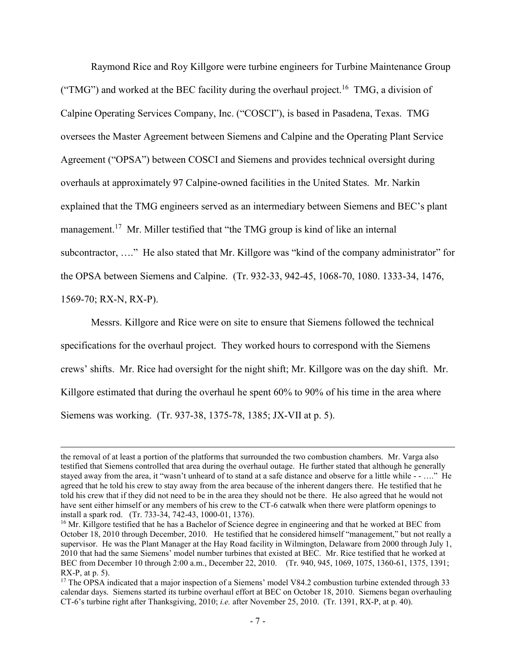Raymond Rice and Roy Killgore were turbine engineers for Turbine Maintenance Group ("TMG") and worked at the BEC facility during the overhaul project.<sup>16</sup> TMG, a division of Calpine Operating Services Company, Inc. ("COSCI"), is based in Pasadena, Texas. TMG oversees the Master Agreement between Siemens and Calpine and the Operating Plant Service Agreement ("OPSA") between COSCI and Siemens and provides technical oversight during overhauls at approximately 97 Calpine-owned facilities in the United States. Mr. Narkin explained that the TMG engineers served as an intermediary between Siemens and BEC's plant management.<sup>17</sup> Mr. Miller testified that "the TMG group is kind of like an internal subcontractor, ...." He also stated that Mr. Killgore was "kind of the company administrator" for the OPSA between Siemens and Calpine. (Tr. 932-33, 942-45, 1068-70, 1080. 1333-34, 1476, 1569-70; RX-N, RX-P).

Messrs. Killgore and Rice were on site to ensure that Siemens followed the technical specifications for the overhaul project. They worked hours to correspond with the Siemens crews' shifts. Mr. Rice had oversight for the night shift; Mr. Killgore was on the day shift. Mr. Killgore estimated that during the overhaul he spent 60% to 90% of his time in the area where Siemens was working. (Tr. 937-38, 1375-78, 1385; JX-VII at p. 5).

the removal of at least a portion of the platforms that surrounded the two combustion chambers. Mr. Varga also testified that Siemens controlled that area during the overhaul outage. He further stated that although he generally stayed away from the area, it "wasn't unheard of to stand at a safe distance and observe for a little while - - ...." He agreed that he told his crew to stay away from the area because of the inherent dangers there. He testified that he told his crew that if they did not need to be in the area they should not be there. He also agreed that he would not have sent either himself or any members of his crew to the CT-6 catwalk when there were platform openings to install a spark rod. (Tr. 733-34, 742-43, 1000-01, 1376).

<sup>&</sup>lt;sup>16</sup> Mr. Killgore testified that he has a Bachelor of Science degree in engineering and that he worked at BEC from October 18, 2010 through December, 2010. He testified that he considered himself "management," but not really a supervisor. He was the Plant Manager at the Hay Road facility in Wilmington, Delaware from 2000 through July 1, 2010 that had the same Siemens' model number turbines that existed at BEC. Mr. Rice testified that he worked at BEC from December 10 through 2:00 a.m., December 22, 2010. (Tr. 940, 945, 1069, 1075, 1360-61, 1375, 1391; RX-P, at p. 5).

<sup>&</sup>lt;sup>17</sup> The OPSA indicated that a major inspection of a Siemens' model V84.2 combustion turbine extended through 33 calendar days. Siemens started its turbine overhaul effort at BEC on October 18, 2010. Siemens began overhauling CT-6's turbine right after Thanksgiving, 2010; *i.e.* after November 25, 2010. (Tr. 1391, RX-P, at p. 40).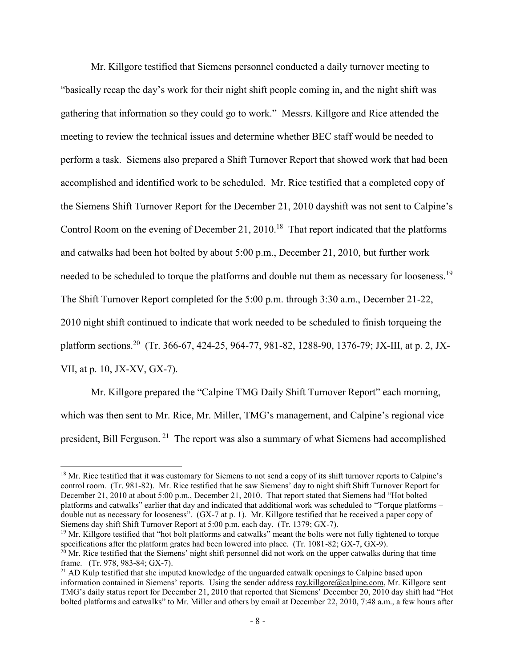Mr. Killgore testified that Siemens personnel conducted a daily turnover meeting to "basically recap the day's work for their night shift people coming in, and the night shift was gathering that information so they could go to work." Messrs. Killgore and Rice attended the meeting to review the technical issues and determine whether BEC staff would be needed to perform a task. Siemens also prepared a Shift Turnover Report that showed work that had been accomplished and identified work to be scheduled. Mr. Rice testified that a completed copy of the Siemens Shift Turnover Report for the December 21, 2010 dayshift was not sent to Calpine's Control Room on the evening of December 21, 2010.<sup>18</sup> That report indicated that the platforms and catwalks had been hot bolted by about 5:00 p.m., December 21, 2010, but further work needed to be scheduled to torque the platforms and double nut them as necessary for looseness.<sup>19</sup> The Shift Turnover Report completed for the 5:00 p.m. through 3:30 a.m., December 21-22, 2010 night shift continued to indicate that work needed to be scheduled to finish torqueing the platform sections.<sup>20</sup> (Tr. 366-67, 424-25, 964-77, 981-82, 1288-90, 1376-79; JX-III, at p. 2, JX-VII, at p. 10, JX-XV, GX-7).

Mr. Killgore prepared the "Calpine TMG Daily Shift Turnover Report" each morning, which was then sent to Mr. Rice, Mr. Miller, TMG's management, and Calpine's regional vice president, Bill Ferguson.<sup>21</sup> The report was also a summary of what Siemens had accomplished

 $\overline{a}$ 

<sup>19</sup> Mr. Killgore testified that "hot bolt platforms and catwalks" meant the bolts were not fully tightened to torque specifications after the platform grates had been lowered into place. (Tr. 1081-82; GX-7, GX-9).

<sup>&</sup>lt;sup>18</sup> Mr. Rice testified that it was customary for Siemens to not send a copy of its shift turnover reports to Calpine's control room. (Tr. 981-82). Mr. Rice testified that he saw Siemens' day to night shift Shift Turnover Report for December 21, 2010 at about 5:00 p.m., December 21, 2010. That report stated that Siemens had "Hot bolted platforms and catwalks" earlier that day and indicated that additional work was scheduled to "Torque platforms – double nut as necessary for looseness". (GX-7 at p. 1). Mr. Killgore testified that he received a paper copy of Siemens day shift Shift Turnover Report at 5:00 p.m. each day. (Tr. 1379; GX-7).

 $20$  Mr. Rice testified that the Siemens' night shift personnel did not work on the upper catwalks during that time frame. (Tr. 978, 983-84; GX-7).

 $^{21}$  AD Kulp testified that she imputed knowledge of the unguarded catwalk openings to Calpine based upon information contained in Siemens' reports. Using the sender address [roy.killgore@calpine.com,](mailto:roy.killgore@calpine.com) Mr. Killgore sent TMG's daily status report for December 21, 2010 that reported that Siemens' December 20, 2010 day shift had "Hot bolted platforms and catwalks" to Mr. Miller and others by email at December 22, 2010, 7:48 a.m., a few hours after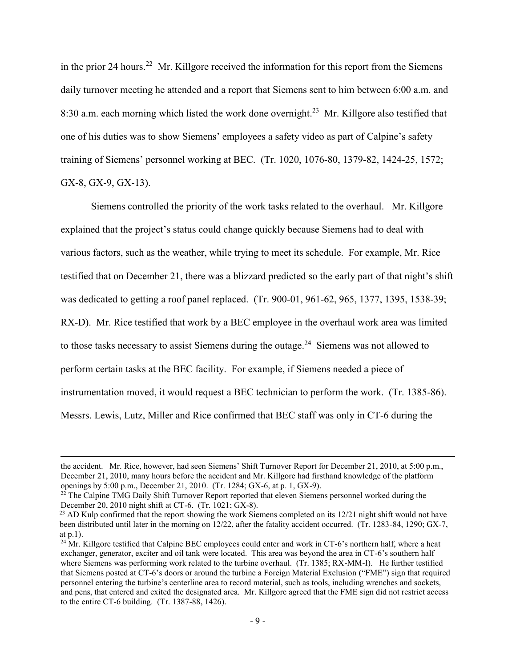in the prior 24 hours.<sup>22</sup> Mr. Killgore received the information for this report from the Siemens daily turnover meeting he attended and a report that Siemens sent to him between 6:00 a.m. and 8:30 a.m. each morning which listed the work done overnight.<sup>23</sup> Mr. Killgore also testified that one of his duties was to show Siemens' employees a safety video as part of Calpine's safety training of Siemens' personnel working at BEC. (Tr. 1020, 1076-80, 1379-82, 1424-25, 1572; GX-8, GX-9, GX-13).

Siemens controlled the priority of the work tasks related to the overhaul. Mr. Killgore explained that the project's status could change quickly because Siemens had to deal with various factors, such as the weather, while trying to meet its schedule. For example, Mr. Rice testified that on December 21, there was a blizzard predicted so the early part of that night's shift was dedicated to getting a roof panel replaced. (Tr. 900-01, 961-62, 965, 1377, 1395, 1538-39; RX-D). Mr. Rice testified that work by a BEC employee in the overhaul work area was limited to those tasks necessary to assist Siemens during the outage.<sup>24</sup> Siemens was not allowed to perform certain tasks at the BEC facility. For example, if Siemens needed a piece of instrumentation moved, it would request a BEC technician to perform the work. (Tr. 1385-86). Messrs. Lewis, Lutz, Miller and Rice confirmed that BEC staff was only in CT-6 during the

the accident. Mr. Rice, however, had seen Siemens' Shift Turnover Report for December 21, 2010, at 5:00 p.m., December 21, 2010, many hours before the accident and Mr. Killgore had firsthand knowledge of the platform openings by 5:00 p.m., December 21, 2010. (Tr. 1284; GX-6, at p. 1, GX-9).

<sup>&</sup>lt;sup>22</sup> The Calpine TMG Daily Shift Turnover Report reported that eleven Siemens personnel worked during the December 20, 2010 night shift at CT-6. (Tr. 1021; GX-8).

<sup>&</sup>lt;sup>23</sup> AD Kulp confirmed that the report showing the work Siemens completed on its 12/21 night shift would not have been distributed until later in the morning on 12/22, after the fatality accident occurred. (Tr. 1283-84, 1290; GX-7, at p.1).

 $^{24}$  Mr. Killgore testified that Calpine BEC employees could enter and work in CT-6's northern half, where a heat exchanger, generator, exciter and oil tank were located. This area was beyond the area in CT-6's southern half where Siemens was performing work related to the turbine overhaul. (Tr. 1385; RX-MM-I). He further testified that Siemens posted at CT-6's doors or around the turbine a Foreign Material Exclusion ("FME") sign that required personnel entering the turbine's centerline area to record material, such as tools, including wrenches and sockets, and pens, that entered and exited the designated area. Mr. Killgore agreed that the FME sign did not restrict access to the entire CT-6 building. (Tr. 1387-88, 1426).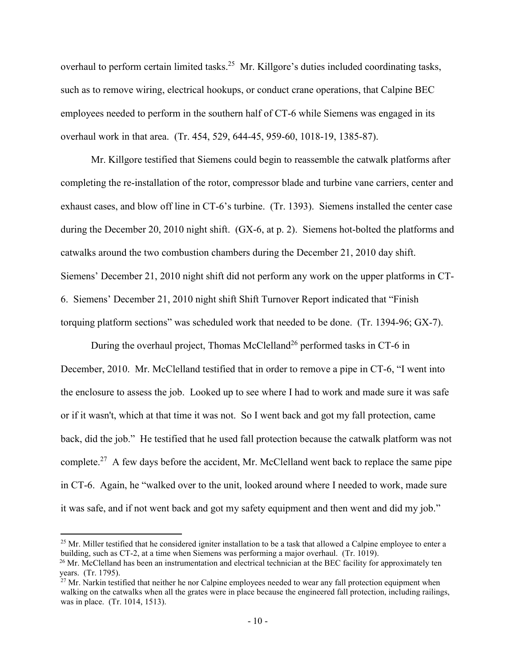overhaul to perform certain limited tasks.<sup>25</sup> Mr. Killgore's duties included coordinating tasks, such as to remove wiring, electrical hookups, or conduct crane operations, that Calpine BEC employees needed to perform in the southern half of CT-6 while Siemens was engaged in its overhaul work in that area. (Tr. 454, 529, 644-45, 959-60, 1018-19, 1385-87).

Mr. Killgore testified that Siemens could begin to reassemble the catwalk platforms after completing the re-installation of the rotor, compressor blade and turbine vane carriers, center and exhaust cases, and blow off line in CT-6's turbine. (Tr. 1393). Siemens installed the center case during the December 20, 2010 night shift. (GX-6, at p. 2). Siemens hot-bolted the platforms and catwalks around the two combustion chambers during the December 21, 2010 day shift. Siemens' December 21, 2010 night shift did not perform any work on the upper platforms in CT-6. Siemens' December 21, 2010 night shift Shift Turnover Report indicated that "Finish torquing platform sections" was scheduled work that needed to be done. (Tr. 1394-96; GX-7).

During the overhaul project, Thomas McClelland<sup>26</sup> performed tasks in CT-6 in December, 2010. Mr. McClelland testified that in order to remove a pipe in CT-6, "I went into the enclosure to assess the job. Looked up to see where I had to work and made sure it was safe or if it wasn't, which at that time it was not. So I went back and got my fall protection, came back, did the job." He testified that he used fall protection because the catwalk platform was not complete.<sup>27</sup> A few days before the accident, Mr. McClelland went back to replace the same pipe in CT-6. Again, he "walked over to the unit, looked around where I needed to work, made sure it was safe, and if not went back and got my safety equipment and then went and did my job."

 $25$  Mr. Miller testified that he considered igniter installation to be a task that allowed a Calpine employee to enter a building, such as CT-2, at a time when Siemens was performing a major overhaul. (Tr. 1019).

 $^{26}$  Mr. McClelland has been an instrumentation and electrical technician at the BEC facility for approximately ten years. (Tr. 1795).

 $27$  Mr. Narkin testified that neither he nor Calpine employees needed to wear any fall protection equipment when walking on the catwalks when all the grates were in place because the engineered fall protection, including railings, was in place. (Tr. 1014, 1513).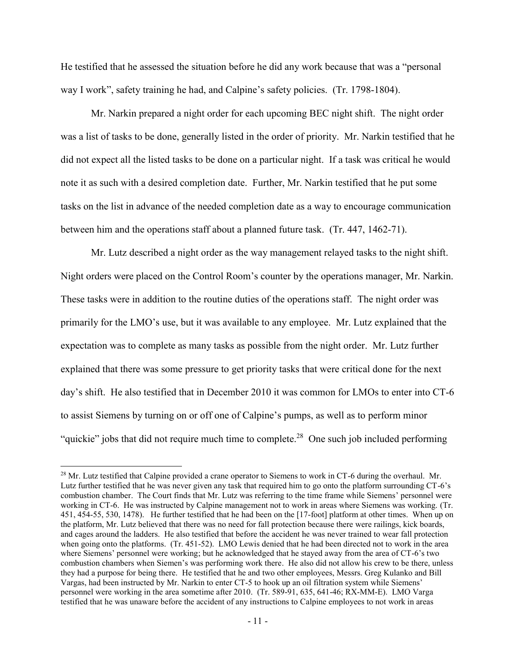He testified that he assessed the situation before he did any work because that was a "personal way I work", safety training he had, and Calpine's safety policies. (Tr. 1798-1804).

Mr. Narkin prepared a night order for each upcoming BEC night shift. The night order was a list of tasks to be done, generally listed in the order of priority. Mr. Narkin testified that he did not expect all the listed tasks to be done on a particular night. If a task was critical he would note it as such with a desired completion date. Further, Mr. Narkin testified that he put some tasks on the list in advance of the needed completion date as a way to encourage communication between him and the operations staff about a planned future task. (Tr. 447, 1462-71).

Mr. Lutz described a night order as the way management relayed tasks to the night shift. Night orders were placed on the Control Room's counter by the operations manager, Mr. Narkin. These tasks were in addition to the routine duties of the operations staff. The night order was primarily for the LMO's use, but it was available to any employee. Mr. Lutz explained that the expectation was to complete as many tasks as possible from the night order. Mr. Lutz further explained that there was some pressure to get priority tasks that were critical done for the next day's shift. He also testified that in December 2010 it was common for LMOs to enter into CT-6 to assist Siemens by turning on or off one of Calpine's pumps, as well as to perform minor "quickie" jobs that did not require much time to complete.<sup>28</sup> One such job included performing

 $^{28}$  Mr. Lutz testified that Calpine provided a crane operator to Siemens to work in CT-6 during the overhaul. Mr. Lutz further testified that he was never given any task that required him to go onto the platform surrounding CT-6's combustion chamber. The Court finds that Mr. Lutz was referring to the time frame while Siemens' personnel were working in CT-6. He was instructed by Calpine management not to work in areas where Siemens was working. (Tr. 451, 454-55, 530, 1478). He further testified that he had been on the [17-foot] platform at other times. When up on the platform, Mr. Lutz believed that there was no need for fall protection because there were railings, kick boards, and cages around the ladders. He also testified that before the accident he was never trained to wear fall protection when going onto the platforms. (Tr. 451-52). LMO Lewis denied that he had been directed not to work in the area where Siemens' personnel were working; but he acknowledged that he stayed away from the area of CT-6's two combustion chambers when Siemen's was performing work there. He also did not allow his crew to be there, unless they had a purpose for being there. He testified that he and two other employees, Messrs. Greg Kulanko and Bill Vargas, had been instructed by Mr. Narkin to enter CT-5 to hook up an oil filtration system while Siemens' personnel were working in the area sometime after 2010. (Tr. 589-91, 635, 641-46; RX-MM-E). LMO Varga testified that he was unaware before the accident of any instructions to Calpine employees to not work in areas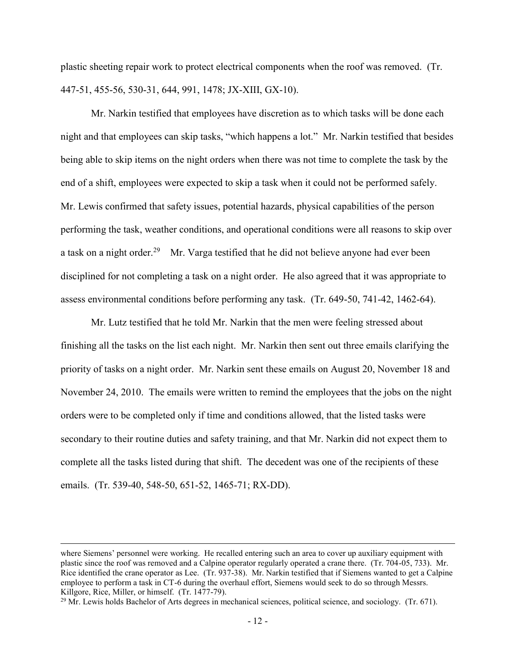plastic sheeting repair work to protect electrical components when the roof was removed. (Tr. 447-51, 455-56, 530-31, 644, 991, 1478; JX-XIII, GX-10).

Mr. Narkin testified that employees have discretion as to which tasks will be done each night and that employees can skip tasks, "which happens a lot." Mr. Narkin testified that besides being able to skip items on the night orders when there was not time to complete the task by the end of a shift, employees were expected to skip a task when it could not be performed safely. Mr. Lewis confirmed that safety issues, potential hazards, physical capabilities of the person performing the task, weather conditions, and operational conditions were all reasons to skip over a task on a night order.<sup>29</sup> Mr. Varga testified that he did not believe anyone had ever been disciplined for not completing a task on a night order. He also agreed that it was appropriate to assess environmental conditions before performing any task. (Tr. 649-50, 741-42, 1462-64).

Mr. Lutz testified that he told Mr. Narkin that the men were feeling stressed about finishing all the tasks on the list each night. Mr. Narkin then sent out three emails clarifying the priority of tasks on a night order. Mr. Narkin sent these emails on August 20, November 18 and November 24, 2010. The emails were written to remind the employees that the jobs on the night orders were to be completed only if time and conditions allowed, that the listed tasks were secondary to their routine duties and safety training, and that Mr. Narkin did not expect them to complete all the tasks listed during that shift. The decedent was one of the recipients of these emails. (Tr. 539-40, 548-50, 651-52, 1465-71; RX-DD).

where Siemens' personnel were working. He recalled entering such an area to cover up auxiliary equipment with plastic since the roof was removed and a Calpine operator regularly operated a crane there. (Tr. 704-05, 733). Mr. Rice identified the crane operator as Lee. (Tr. 937-38). Mr. Narkin testified that if Siemens wanted to get a Calpine employee to perform a task in CT-6 during the overhaul effort, Siemens would seek to do so through Messrs. Killgore, Rice, Miller, or himself. (Tr. 1477-79).

 $^{29}$  Mr. Lewis holds Bachelor of Arts degrees in mechanical sciences, political science, and sociology. (Tr. 671).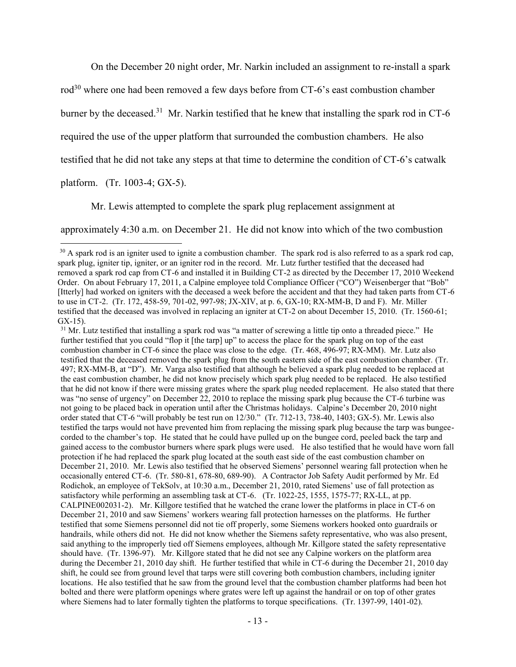On the December 20 night order, Mr. Narkin included an assignment to re-install a spark

rod<sup>30</sup> where one had been removed a few days before from CT-6's east combustion chamber

burner by the deceased.<sup>31</sup> Mr. Narkin testified that he knew that installing the spark rod in CT-6

required the use of the upper platform that surrounded the combustion chambers. He also

testified that he did not take any steps at that time to determine the condition of CT-6's catwalk

platform. (Tr. 1003-4; GX-5).

 $\overline{a}$ 

Mr. Lewis attempted to complete the spark plug replacement assignment at

approximately 4:30 a.m. on December 21. He did not know into which of the two combustion

 $31$  Mr. Lutz testified that installing a spark rod was "a matter of screwing a little tip onto a threaded piece." He further testified that you could "flop it [the tarp] up" to access the place for the spark plug on top of the east combustion chamber in CT-6 since the place was close to the edge. (Tr. 468, 496-97; RX-MM). Mr. Lutz also testified that the deceased removed the spark plug from the south eastern side of the east combustion chamber. (Tr. 497; RX-MM-B, at "D"). Mr. Varga also testified that although he believed a spark plug needed to be replaced at the east combustion chamber, he did not know precisely which spark plug needed to be replaced. He also testified that he did not know if there were missing grates where the spark plug needed replacement. He also stated that there was "no sense of urgency" on December 22, 2010 to replace the missing spark plug because the CT-6 turbine was not going to be placed back in operation until after the Christmas holidays. Calpine's December 20, 2010 night order stated that CT-6 "will probably be test run on 12/30." (Tr. 712-13, 738-40, 1403; GX-5). Mr. Lewis also testified the tarps would not have prevented him from replacing the missing spark plug because the tarp was bungeecorded to the chamber's top. He stated that he could have pulled up on the bungee cord, peeled back the tarp and gained access to the combustor burners where spark plugs were used. He also testified that he would have worn fall protection if he had replaced the spark plug located at the south east side of the east combustion chamber on December 21, 2010. Mr. Lewis also testified that he observed Siemens' personnel wearing fall protection when he occasionally entered CT-6. (Tr. 580-81, 678-80, 689-90). A Contractor Job Safety Audit performed by Mr. Ed Rodichok, an employee of TekSolv, at 10:30 a.m., December 21, 2010, rated Siemens' use of fall protection as satisfactory while performing an assembling task at CT-6. (Tr. 1022-25, 1555, 1575-77; RX-LL, at pp. CALPINE002031-2). Mr. Killgore testified that he watched the crane lower the platforms in place in CT-6 on December 21, 2010 and saw Siemens' workers wearing fall protection harnesses on the platforms. He further testified that some Siemens personnel did not tie off properly, some Siemens workers hooked onto guardrails or handrails, while others did not. He did not know whether the Siemens safety representative, who was also present, said anything to the improperly tied off Siemens employees, although Mr. Killgore stated the safety representative should have. (Tr. 1396-97). Mr. Killgore stated that he did not see any Calpine workers on the platform area during the December 21, 2010 day shift. He further testified that while in CT-6 during the December 21, 2010 day shift, he could see from ground level that tarps were still covering both combustion chambers, including igniter locations. He also testified that he saw from the ground level that the combustion chamber platforms had been hot bolted and there were platform openings where grates were left up against the handrail or on top of other grates where Siemens had to later formally tighten the platforms to torque specifications. (Tr. 1397-99, 1401-02).

 $30$  A spark rod is an igniter used to ignite a combustion chamber. The spark rod is also referred to as a spark rod cap, spark plug, igniter tip, igniter, or an igniter rod in the record. Mr. Lutz further testified that the deceased had removed a spark rod cap from CT-6 and installed it in Building CT-2 as directed by the December 17, 2010 Weekend Order. On about February 17, 2011, a Calpine employee told Compliance Officer ("CO") Weisenberger that "Bob" [Itterly] had worked on igniters with the deceased a week before the accident and that they had taken parts from CT-6 to use in CT-2. (Tr. 172, 458-59, 701-02, 997-98; JX-XIV, at p. 6, GX-10; RX-MM-B, D and F). Mr. Miller testified that the deceased was involved in replacing an igniter at CT-2 on about December 15, 2010. (Tr. 1560-61; GX-15).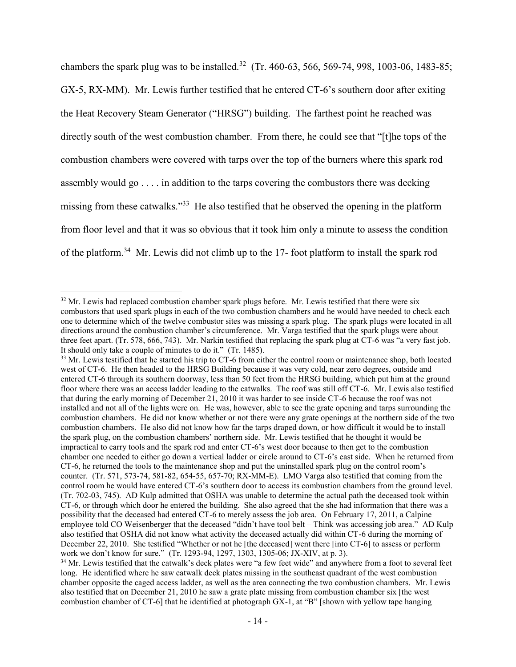chambers the spark plug was to be installed.<sup>32</sup> (Tr. 460-63, 566, 569-74, 998, 1003-06, 1483-85; GX-5, RX-MM). Mr. Lewis further testified that he entered CT-6's southern door after exiting the Heat Recovery Steam Generator ("HRSG") building. The farthest point he reached was directly south of the west combustion chamber. From there, he could see that "[t]he tops of the combustion chambers were covered with tarps over the top of the burners where this spark rod assembly would go . . . . in addition to the tarps covering the combustors there was decking missing from these catwalks."<sup>33</sup> He also testified that he observed the opening in the platform from floor level and that it was so obvious that it took him only a minute to assess the condition of the platform.<sup>34</sup> Mr. Lewis did not climb up to the 17- foot platform to install the spark rod

<sup>&</sup>lt;sup>32</sup> Mr. Lewis had replaced combustion chamber spark plugs before. Mr. Lewis testified that there were six combustors that used spark plugs in each of the two combustion chambers and he would have needed to check each one to determine which of the twelve combustor sites was missing a spark plug. The spark plugs were located in all directions around the combustion chamber's circumference. Mr. Varga testified that the spark plugs were about three feet apart. (Tr. 578, 666, 743). Mr. Narkin testified that replacing the spark plug at CT-6 was "a very fast job. It should only take a couple of minutes to do it." (Tr. 1485).

<sup>&</sup>lt;sup>33</sup> Mr. Lewis testified that he started his trip to CT-6 from either the control room or maintenance shop, both located west of CT-6. He then headed to the HRSG Building because it was very cold, near zero degrees, outside and entered CT-6 through its southern doorway, less than 50 feet from the HRSG building, which put him at the ground floor where there was an access ladder leading to the catwalks. The roof was still off CT-6. Mr. Lewis also testified that during the early morning of December 21, 2010 it was harder to see inside CT-6 because the roof was not installed and not all of the lights were on. He was, however, able to see the grate opening and tarps surrounding the combustion chambers. He did not know whether or not there were any grate openings at the northern side of the two combustion chambers. He also did not know how far the tarps draped down, or how difficult it would be to install the spark plug, on the combustion chambers' northern side. Mr. Lewis testified that he thought it would be impractical to carry tools and the spark rod and enter CT-6's west door because to then get to the combustion chamber one needed to either go down a vertical ladder or circle around to CT-6's east side. When he returned from CT-6, he returned the tools to the maintenance shop and put the uninstalled spark plug on the control room's counter. (Tr. 571, 573-74, 581-82, 654-55, 657-70; RX-MM-E). LMO Varga also testified that coming from the control room he would have entered CT-6's southern door to access its combustion chambers from the ground level. (Tr. 702-03, 745). AD Kulp admitted that OSHA was unable to determine the actual path the deceased took within CT-6, or through which door he entered the building. She also agreed that the she had information that there was a possibility that the deceased had entered CT-6 to merely assess the job area. On February 17, 2011, a Calpine employee told CO Weisenberger that the deceased "didn't have tool belt – Think was accessing job area." AD Kulp also testified that OSHA did not know what activity the deceased actually did within CT-6 during the morning of December 22, 2010. She testified "Whether or not he [the deceased] went there [into CT-6] to assess or perform work we don't know for sure." (Tr. 1293-94, 1297, 1303, 1305-06; JX-XIV, at p. 3).

<sup>&</sup>lt;sup>34</sup> Mr. Lewis testified that the catwalk's deck plates were "a few feet wide" and anywhere from a foot to several feet long. He identified where he saw catwalk deck plates missing in the southeast quadrant of the west combustion chamber opposite the caged access ladder, as well as the area connecting the two combustion chambers. Mr. Lewis also testified that on December 21, 2010 he saw a grate plate missing from combustion chamber six [the west combustion chamber of CT-6] that he identified at photograph GX-1, at "B" [shown with yellow tape hanging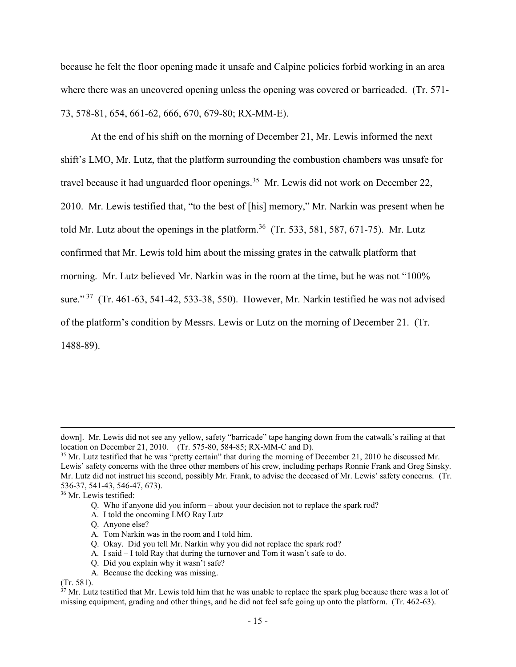because he felt the floor opening made it unsafe and Calpine policies forbid working in an area where there was an uncovered opening unless the opening was covered or barricaded. (Tr. 571- 73, 578-81, 654, 661-62, 666, 670, 679-80; RX-MM-E).

At the end of his shift on the morning of December 21, Mr. Lewis informed the next shift's LMO, Mr. Lutz, that the platform surrounding the combustion chambers was unsafe for travel because it had unguarded floor openings.<sup>35</sup> Mr. Lewis did not work on December 22, 2010. Mr. Lewis testified that, "to the best of [his] memory," Mr. Narkin was present when he told Mr. Lutz about the openings in the platform.<sup>36</sup> (Tr. 533, 581, 587, 671-75). Mr. Lutz confirmed that Mr. Lewis told him about the missing grates in the catwalk platform that morning. Mr. Lutz believed Mr. Narkin was in the room at the time, but he was not "100% sure." 37 (Tr. 461-63, 541-42, 533-38, 550). However, Mr. Narkin testified he was not advised of the platform's condition by Messrs. Lewis or Lutz on the morning of December 21. (Tr. 1488-89).

<sup>36</sup> Mr. Lewis testified:

- A. I told the oncoming LMO Ray Lutz
- Q. Anyone else?
- A. Tom Narkin was in the room and I told him.
- Q. Okay. Did you tell Mr. Narkin why you did not replace the spark rod?
- A. I said I told Ray that during the turnover and Tom it wasn't safe to do.
- Q. Did you explain why it wasn't safe?
- A. Because the decking was missing.

(Tr. 581).

down]. Mr. Lewis did not see any yellow, safety "barricade" tape hanging down from the catwalk's railing at that location on December 21, 2010. (Tr. 575-80, 584-85; RX-MM-C and D).

 $35$  Mr. Lutz testified that he was "pretty certain" that during the morning of December 21, 2010 he discussed Mr. Lewis' safety concerns with the three other members of his crew, including perhaps Ronnie Frank and Greg Sinsky. Mr. Lutz did not instruct his second, possibly Mr. Frank, to advise the deceased of Mr. Lewis' safety concerns. (Tr. 536-37, 541-43, 546-47, 673).

Q. Who if anyone did you inform – about your decision not to replace the spark rod?

 $37$  Mr. Lutz testified that Mr. Lewis told him that he was unable to replace the spark plug because there was a lot of missing equipment, grading and other things, and he did not feel safe going up onto the platform. (Tr. 462-63).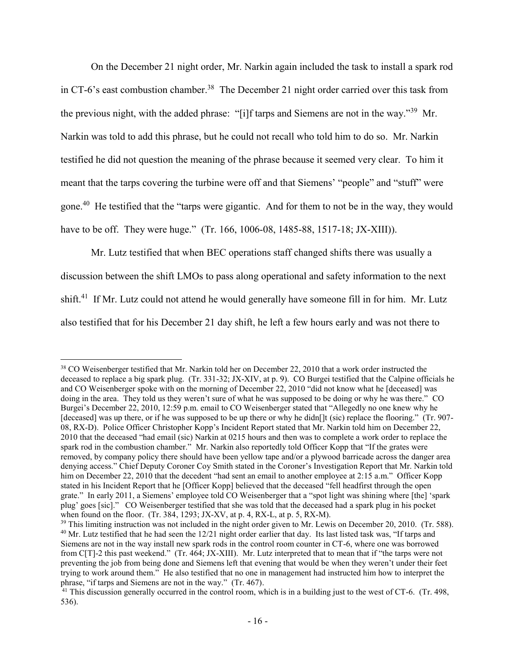On the December 21 night order, Mr. Narkin again included the task to install a spark rod in CT-6's east combustion chamber.<sup>38</sup> The December 21 night order carried over this task from the previous night, with the added phrase: "[i]f tarps and Siemens are not in the way."<sup>39</sup> Mr. Narkin was told to add this phrase, but he could not recall who told him to do so. Mr. Narkin testified he did not question the meaning of the phrase because it seemed very clear. To him it meant that the tarps covering the turbine were off and that Siemens' "people" and "stuff" were gone.<sup>40</sup> He testified that the "tarps were gigantic. And for them to not be in the way, they would have to be off. They were huge." (Tr. 166, 1006-08, 1485-88, 1517-18; JX-XIII)).

Mr. Lutz testified that when BEC operations staff changed shifts there was usually a discussion between the shift LMOs to pass along operational and safety information to the next shift.<sup>41</sup> If Mr. Lutz could not attend he would generally have someone fill in for him. Mr. Lutz also testified that for his December 21 day shift, he left a few hours early and was not there to

<sup>38</sup> CO Weisenberger testified that Mr. Narkin told her on December 22, 2010 that a work order instructed the deceased to replace a big spark plug. (Tr. 331-32; JX-XIV, at p. 9). CO Burgei testified that the Calpine officials he and CO Weisenberger spoke with on the morning of December 22, 2010 "did not know what he [deceased] was doing in the area. They told us they weren't sure of what he was supposed to be doing or why he was there." CO Burgei's December 22, 2010, 12:59 p.m. email to CO Weisenberger stated that "Allegedly no one knew why he [deceased] was up there, or if he was supposed to be up there or why he didn[]t (sic) replace the flooring." (Tr. 907-08, RX-D). Police Officer Christopher Kopp's Incident Report stated that Mr. Narkin told him on December 22, 2010 that the deceased "had email (sic) Narkin at 0215 hours and then was to complete a work order to replace the spark rod in the combustion chamber." Mr. Narkin also reportedly told Officer Kopp that "If the grates were removed, by company policy there should have been yellow tape and/or a plywood barricade across the danger area denying access." Chief Deputy Coroner Coy Smith stated in the Coroner's Investigation Report that Mr. Narkin told him on December 22, 2010 that the decedent "had sent an email to another employee at 2:15 a.m." Officer Kopp stated in his Incident Report that he [Officer Kopp] believed that the deceased "fell headfirst through the open grate." In early 2011, a Siemens' employee told CO Weisenberger that a "spot light was shining where [the] 'spark plug' goes [sic]." CO Weisenberger testified that she was told that the deceased had a spark plug in his pocket when found on the floor. (Tr. 384, 1293; JX-XV, at p. 4, RX-L, at p. 5, RX-M).

<sup>&</sup>lt;sup>39</sup> This limiting instruction was not included in the night order given to Mr. Lewis on December 20, 2010. (Tr. 588). <sup>40</sup> Mr. Lutz testified that he had seen the 12/21 night order earlier that day. Its last listed task was, "If tarps and Siemens are not in the way install new spark rods in the control room counter in CT-6, where one was borrowed from C[T]-2 this past weekend." (Tr. 464; JX-XIII). Mr. Lutz interpreted that to mean that if "the tarps were not preventing the job from being done and Siemens left that evening that would be when they weren't under their feet trying to work around them." He also testified that no one in management had instructed him how to interpret the phrase, "if tarps and Siemens are not in the way." (Tr. 467).

<sup>&</sup>lt;sup>41</sup> This discussion generally occurred in the control room, which is in a building just to the west of CT-6. (Tr. 498, 536).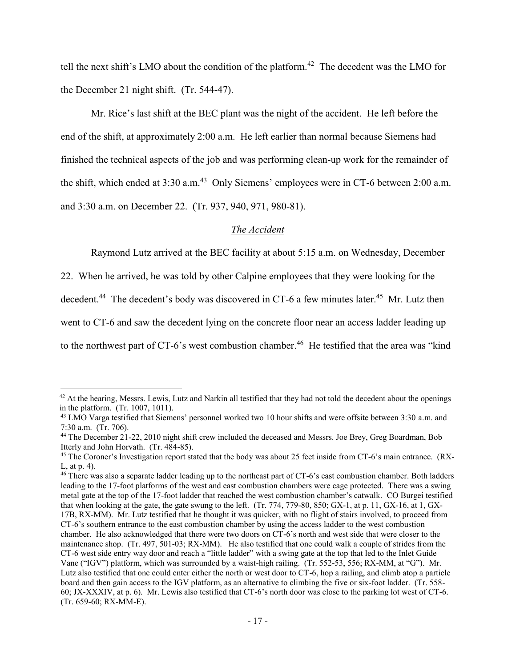tell the next shift's LMO about the condition of the platform.<sup>42</sup> The decedent was the LMO for the December 21 night shift. (Tr. 544-47).

Mr. Rice's last shift at the BEC plant was the night of the accident. He left before the end of the shift, at approximately 2:00 a.m. He left earlier than normal because Siemens had finished the technical aspects of the job and was performing clean-up work for the remainder of the shift, which ended at 3:30 a.m.<sup>43</sup> Only Siemens' employees were in CT-6 between 2:00 a.m. and 3:30 a.m. on December 22. (Tr. 937, 940, 971, 980-81).

# *The Accident*

Raymond Lutz arrived at the BEC facility at about 5:15 a.m. on Wednesday, December

22. When he arrived, he was told by other Calpine employees that they were looking for the

decedent.<sup>44</sup> The decedent's body was discovered in CT-6 a few minutes later.<sup>45</sup> Mr. Lutz then

went to CT-6 and saw the decedent lying on the concrete floor near an access ladder leading up

to the northwest part of CT-6's west combustion chamber.<sup>46</sup> He testified that the area was "kind

 $42$  At the hearing, Messrs. Lewis, Lutz and Narkin all testified that they had not told the decedent about the openings in the platform. (Tr. 1007, 1011).

<sup>&</sup>lt;sup>43</sup> LMO Varga testified that Siemens' personnel worked two 10 hour shifts and were offsite between 3:30 a.m. and 7:30 a.m. (Tr. 706).

<sup>44</sup> The December 21-22, 2010 night shift crew included the deceased and Messrs. Joe Brey, Greg Boardman, Bob Itterly and John Horvath. (Tr. 484-85).

<sup>&</sup>lt;sup>45</sup> The Coroner's Investigation report stated that the body was about 25 feet inside from CT-6's main entrance. (RX-L, at p. 4).

<sup>&</sup>lt;sup>46</sup> There was also a separate ladder leading up to the northeast part of CT-6's east combustion chamber. Both ladders leading to the 17-foot platforms of the west and east combustion chambers were cage protected. There was a swing metal gate at the top of the 17-foot ladder that reached the west combustion chamber's catwalk. CO Burgei testified that when looking at the gate, the gate swung to the left. (Tr. 774, 779-80, 850; GX-1, at p. 11, GX-16, at 1, GX-17B, RX-MM). Mr. Lutz testified that he thought it was quicker, with no flight of stairs involved, to proceed from CT-6's southern entrance to the east combustion chamber by using the access ladder to the west combustion chamber. He also acknowledged that there were two doors on CT-6's north and west side that were closer to the maintenance shop. (Tr. 497, 501-03; RX-MM). He also testified that one could walk a couple of strides from the CT-6 west side entry way door and reach a "little ladder" with a swing gate at the top that led to the Inlet Guide Vane ("IGV") platform, which was surrounded by a waist-high railing. (Tr. 552-53, 556; RX-MM, at "G"). Mr. Lutz also testified that one could enter either the north or west door to CT-6, hop a railing, and climb atop a particle board and then gain access to the IGV platform, as an alternative to climbing the five or six-foot ladder. (Tr. 558- 60; JX-XXXIV, at p. 6). Mr. Lewis also testified that CT-6's north door was close to the parking lot west of CT-6. (Tr. 659-60; RX-MM-E).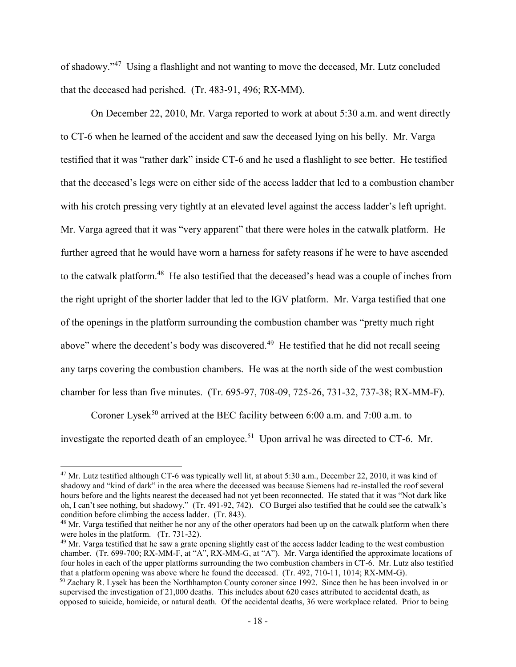of shadowy."<sup>47</sup> Using a flashlight and not wanting to move the deceased, Mr. Lutz concluded that the deceased had perished. (Tr. 483-91, 496; RX-MM).

On December 22, 2010, Mr. Varga reported to work at about 5:30 a.m. and went directly to CT-6 when he learned of the accident and saw the deceased lying on his belly. Mr. Varga testified that it was "rather dark" inside CT-6 and he used a flashlight to see better. He testified that the deceased's legs were on either side of the access ladder that led to a combustion chamber with his crotch pressing very tightly at an elevated level against the access ladder's left upright. Mr. Varga agreed that it was "very apparent" that there were holes in the catwalk platform. He further agreed that he would have worn a harness for safety reasons if he were to have ascended to the catwalk platform.<sup>48</sup> He also testified that the deceased's head was a couple of inches from the right upright of the shorter ladder that led to the IGV platform. Mr. Varga testified that one of the openings in the platform surrounding the combustion chamber was "pretty much right above" where the decedent's body was discovered.<sup>49</sup> He testified that he did not recall seeing any tarps covering the combustion chambers. He was at the north side of the west combustion chamber for less than five minutes. (Tr. 695-97, 708-09, 725-26, 731-32, 737-38; RX-MM-F).

Coroner Lysek<sup>50</sup> arrived at the BEC facility between 6:00 a.m. and 7:00 a.m. to

investigate the reported death of an employee.<sup>51</sup> Upon arrival he was directed to CT-6. Mr.

<sup>&</sup>lt;sup>47</sup> Mr. Lutz testified although CT-6 was typically well lit, at about 5:30 a.m., December 22, 2010, it was kind of shadowy and "kind of dark" in the area where the deceased was because Siemens had re-installed the roof several hours before and the lights nearest the deceased had not yet been reconnected. He stated that it was "Not dark like oh, I can't see nothing, but shadowy." (Tr. 491-92, 742). CO Burgei also testified that he could see the catwalk's condition before climbing the access ladder. (Tr. 843).

<sup>&</sup>lt;sup>48</sup> Mr. Varga testified that neither he nor any of the other operators had been up on the catwalk platform when there were holes in the platform. (Tr. 731-32).

 $49$  Mr. Varga testified that he saw a grate opening slightly east of the access ladder leading to the west combustion chamber. (Tr. 699-700; RX-MM-F, at "A", RX-MM-G, at "A"). Mr. Varga identified the approximate locations of four holes in each of the upper platforms surrounding the two combustion chambers in CT-6. Mr. Lutz also testified that a platform opening was above where he found the deceased. (Tr. 492, 710-11, 1014; RX-MM-G).

<sup>&</sup>lt;sup>50</sup> Zachary R. Lysek has been the Northhampton County coroner since 1992. Since then he has been involved in or supervised the investigation of 21,000 deaths. This includes about 620 cases attributed to accidental death, as opposed to suicide, homicide, or natural death. Of the accidental deaths, 36 were workplace related. Prior to being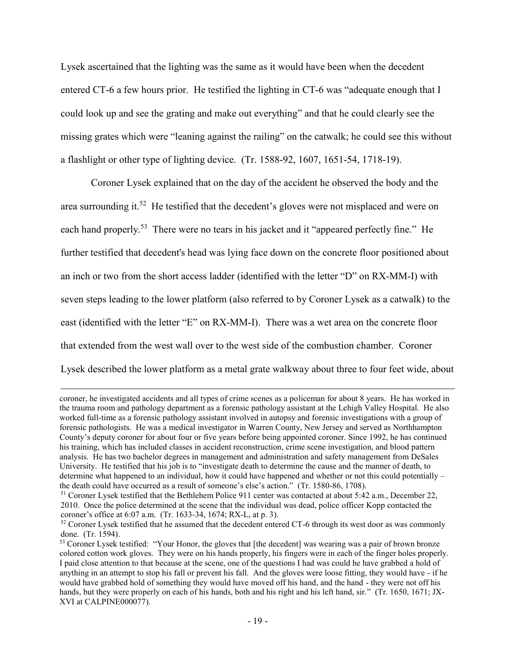Lysek ascertained that the lighting was the same as it would have been when the decedent entered CT-6 a few hours prior. He testified the lighting in CT-6 was "adequate enough that I could look up and see the grating and make out everything" and that he could clearly see the missing grates which were "leaning against the railing" on the catwalk; he could see this without a flashlight or other type of lighting device. (Tr. 1588-92, 1607, 1651-54, 1718-19).

Coroner Lysek explained that on the day of the accident he observed the body and the area surrounding it.<sup>52</sup> He testified that the decedent's gloves were not misplaced and were on each hand properly.<sup>53</sup> There were no tears in his jacket and it "appeared perfectly fine." He further testified that decedent's head was lying face down on the concrete floor positioned about an inch or two from the short access ladder (identified with the letter "D" on RX-MM-I) with seven steps leading to the lower platform (also referred to by Coroner Lysek as a catwalk) to the east (identified with the letter "E" on RX-MM-I). There was a wet area on the concrete floor that extended from the west wall over to the west side of the combustion chamber. Coroner Lysek described the lower platform as a metal grate walkway about three to four feet wide, about

coroner, he investigated accidents and all types of crime scenes as a policeman for about 8 years. He has worked in the trauma room and pathology department as a forensic pathology assistant at the Lehigh Valley Hospital. He also worked full-time as a forensic pathology assistant involved in autopsy and forensic investigations with a group of forensic pathologists. He was a medical investigator in Warren County, New Jersey and served as Northhampton County's deputy coroner for about four or five years before being appointed coroner. Since 1992, he has continued his training, which has included classes in accident reconstruction, crime scene investigation, and blood pattern analysis. He has two bachelor degrees in management and administration and safety management from DeSales University. He testified that his job is to "investigate death to determine the cause and the manner of death, to determine what happened to an individual, how it could have happened and whether or not this could potentially – the death could have occurred as a result of someone's else's action." (Tr. 1580-86, 1708).

<sup>51</sup> Coroner Lysek testified that the Bethlehem Police 911 center was contacted at about 5:42 a.m., December 22, 2010. Once the police determined at the scene that the individual was dead, police officer Kopp contacted the coroner's office at 6:07 a.m. (Tr. 1633-34, 1674; RX-L, at p. 3).

<sup>&</sup>lt;sup>52</sup> Coroner Lysek testified that he assumed that the decedent entered CT-6 through its west door as was commonly done. (Tr. 1594).

<sup>&</sup>lt;sup>53</sup> Coroner Lysek testified: "Your Honor, the gloves that [the decedent] was wearing was a pair of brown bronze colored cotton work gloves. They were on his hands properly, his fingers were in each of the finger holes properly. I paid close attention to that because at the scene, one of the questions I had was could he have grabbed a hold of anything in an attempt to stop his fall or prevent his fall. And the gloves were loose fitting, they would have - if he would have grabbed hold of something they would have moved off his hand, and the hand - they were not off his hands, but they were properly on each of his hands, both and his right and his left hand, sir." (Tr. 1650, 1671; JX-XVI at CALPINE000077).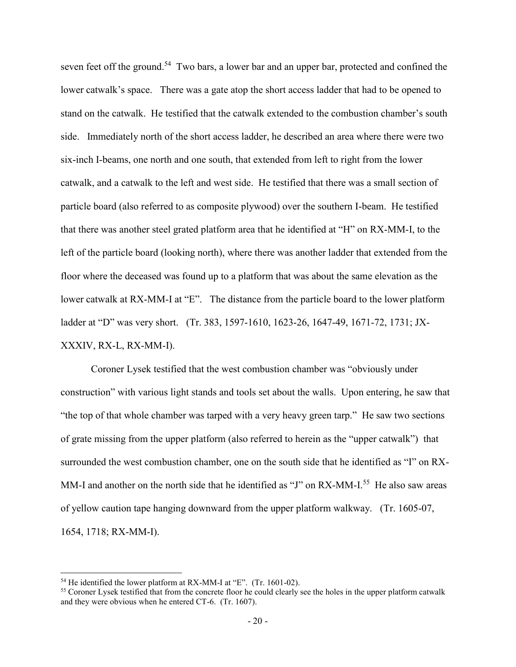seven feet off the ground.<sup>54</sup> Two bars, a lower bar and an upper bar, protected and confined the lower catwalk's space. There was a gate atop the short access ladder that had to be opened to stand on the catwalk. He testified that the catwalk extended to the combustion chamber's south side. Immediately north of the short access ladder, he described an area where there were two six-inch I-beams, one north and one south, that extended from left to right from the lower catwalk, and a catwalk to the left and west side. He testified that there was a small section of particle board (also referred to as composite plywood) over the southern I-beam. He testified that there was another steel grated platform area that he identified at "H" on RX-MM-I, to the left of the particle board (looking north), where there was another ladder that extended from the floor where the deceased was found up to a platform that was about the same elevation as the lower catwalk at RX-MM-I at "E". The distance from the particle board to the lower platform ladder at "D" was very short. (Tr. 383, 1597-1610, 1623-26, 1647-49, 1671-72, 1731; JX-XXXIV, RX-L, RX-MM-I).

Coroner Lysek testified that the west combustion chamber was "obviously under construction" with various light stands and tools set about the walls. Upon entering, he saw that "the top of that whole chamber was tarped with a very heavy green tarp." He saw two sections of grate missing from the upper platform (also referred to herein as the "upper catwalk") that surrounded the west combustion chamber, one on the south side that he identified as "I" on RX-MM-I and another on the north side that he identified as "J" on  $RX$ -MM-I.<sup>55</sup> He also saw areas of yellow caution tape hanging downward from the upper platform walkway. (Tr. 1605-07, 1654, 1718; RX-MM-I).

<sup>54</sup> He identified the lower platform at RX-MM-I at "E". (Tr. 1601-02).

<sup>&</sup>lt;sup>55</sup> Coroner Lysek testified that from the concrete floor he could clearly see the holes in the upper platform catwalk and they were obvious when he entered CT-6. (Tr. 1607).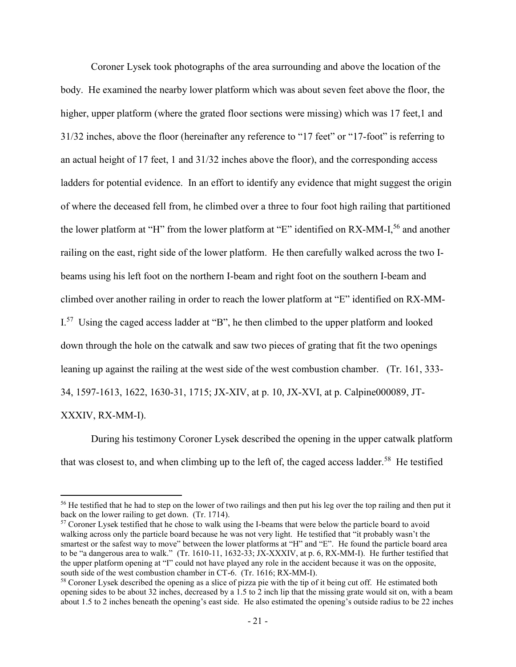Coroner Lysek took photographs of the area surrounding and above the location of the body. He examined the nearby lower platform which was about seven feet above the floor, the higher, upper platform (where the grated floor sections were missing) which was 17 feet,1 and 31/32 inches, above the floor (hereinafter any reference to "17 feet" or "17-foot" is referring to an actual height of 17 feet, 1 and 31/32 inches above the floor), and the corresponding access ladders for potential evidence. In an effort to identify any evidence that might suggest the origin of where the deceased fell from, he climbed over a three to four foot high railing that partitioned the lower platform at "H" from the lower platform at "E" identified on RX-MM-I,<sup>56</sup> and another railing on the east, right side of the lower platform. He then carefully walked across the two Ibeams using his left foot on the northern I-beam and right foot on the southern I-beam and climbed over another railing in order to reach the lower platform at "E" identified on RX-MM-I.<sup>57</sup> Using the caged access ladder at "B", he then climbed to the upper platform and looked down through the hole on the catwalk and saw two pieces of grating that fit the two openings leaning up against the railing at the west side of the west combustion chamber. (Tr. 161, 333- 34, 1597-1613, 1622, 1630-31, 1715; JX-XIV, at p. 10, JX-XVI, at p. Calpine000089, JT-XXXIV, RX-MM-I).

During his testimony Coroner Lysek described the opening in the upper catwalk platform that was closest to, and when climbing up to the left of, the caged access ladder.<sup>58</sup> He testified

<sup>&</sup>lt;sup>56</sup> He testified that he had to step on the lower of two railings and then put his leg over the top railing and then put it back on the lower railing to get down. (Tr. 1714).

<sup>&</sup>lt;sup>57</sup> Coroner Lysek testified that he chose to walk using the I-beams that were below the particle board to avoid walking across only the particle board because he was not very light. He testified that "it probably wasn't the smartest or the safest way to move" between the lower platforms at "H" and "E". He found the particle board area to be "a dangerous area to walk." (Tr. 1610-11, 1632-33; JX-XXXIV, at p. 6, RX-MM-I). He further testified that the upper platform opening at "I" could not have played any role in the accident because it was on the opposite, south side of the west combustion chamber in CT-6. (Tr. 1616; RX-MM-I).

<sup>58</sup> Coroner Lysek described the opening as a slice of pizza pie with the tip of it being cut off. He estimated both opening sides to be about 32 inches, decreased by a 1.5 to 2 inch lip that the missing grate would sit on, with a beam about 1.5 to 2 inches beneath the opening's east side. He also estimated the opening's outside radius to be 22 inches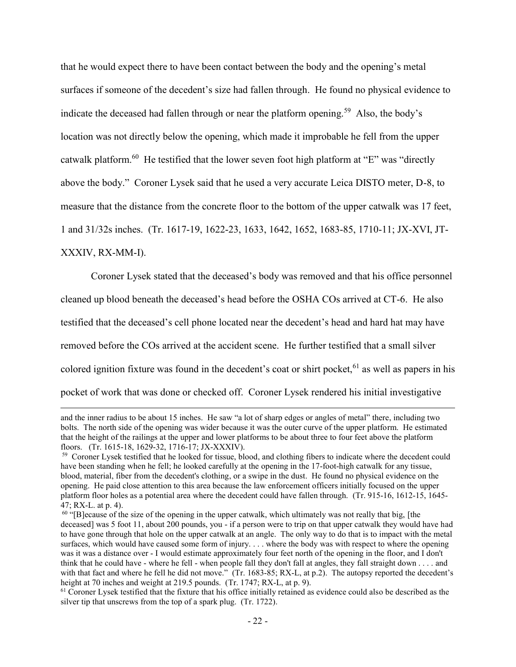that he would expect there to have been contact between the body and the opening's metal surfaces if someone of the decedent's size had fallen through. He found no physical evidence to indicate the deceased had fallen through or near the platform opening.<sup>59</sup> Also, the body's location was not directly below the opening, which made it improbable he fell from the upper catwalk platform.<sup>60</sup> He testified that the lower seven foot high platform at "E" was "directly above the body." Coroner Lysek said that he used a very accurate Leica DISTO meter, D-8, to measure that the distance from the concrete floor to the bottom of the upper catwalk was 17 feet, 1 and 31/32s inches. (Tr. 1617-19, 1622-23, 1633, 1642, 1652, 1683-85, 1710-11; JX-XVI, JT-XXXIV, RX-MM-I).

Coroner Lysek stated that the deceased's body was removed and that his office personnel cleaned up blood beneath the deceased's head before the OSHA COs arrived at CT-6. He also testified that the deceased's cell phone located near the decedent's head and hard hat may have removed before the COs arrived at the accident scene. He further testified that a small silver colored ignition fixture was found in the decedent's coat or shirt pocket,  $61$  as well as papers in his pocket of work that was done or checked off. Coroner Lysek rendered his initial investigative

and the inner radius to be about 15 inches. He saw "a lot of sharp edges or angles of metal" there, including two bolts. The north side of the opening was wider because it was the outer curve of the upper platform. He estimated that the height of the railings at the upper and lower platforms to be about three to four feet above the platform floors. (Tr. 1615-18, 1629-32, 1716-17; JX-XXXIV).

<sup>&</sup>lt;sup>59</sup> Coroner Lysek testified that he looked for tissue, blood, and clothing fibers to indicate where the decedent could have been standing when he fell; he looked carefully at the opening in the 17-foot-high catwalk for any tissue, blood, material, fiber from the decedent's clothing, or a swipe in the dust. He found no physical evidence on the opening. He paid close attention to this area because the law enforcement officers initially focused on the upper platform floor holes as a potential area where the decedent could have fallen through. (Tr. 915-16, 1612-15, 1645- 47; RX-L. at p. 4).

 $60$  "[B]ecause of the size of the opening in the upper catwalk, which ultimately was not really that big, [the deceased] was 5 foot 11, about 200 pounds, you - if a person were to trip on that upper catwalk they would have had to have gone through that hole on the upper catwalk at an angle. The only way to do that is to impact with the metal surfaces, which would have caused some form of injury. . . . where the body was with respect to where the opening was it was a distance over - I would estimate approximately four feet north of the opening in the floor, and I don't think that he could have - where he fell - when people fall they don't fall at angles, they fall straight down . . . . and with that fact and where he fell he did not move." (Tr. 1683-85; RX-L, at p.2). The autopsy reported the decedent's height at 70 inches and weight at 219.5 pounds. (Tr. 1747; RX-L, at p. 9).

 $61$  Coroner Lysek testified that the fixture that his office initially retained as evidence could also be described as the silver tip that unscrews from the top of a spark plug. (Tr. 1722).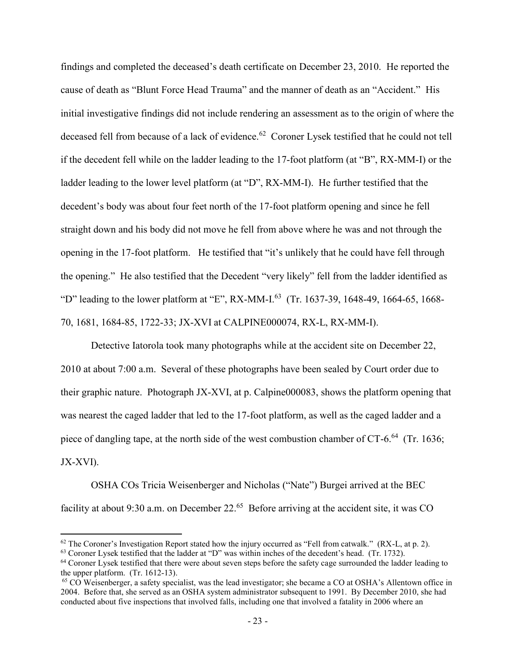findings and completed the deceased's death certificate on December 23, 2010. He reported the cause of death as "Blunt Force Head Trauma" and the manner of death as an "Accident." His initial investigative findings did not include rendering an assessment as to the origin of where the deceased fell from because of a lack of evidence.<sup>62</sup> Coroner Lysek testified that he could not tell if the decedent fell while on the ladder leading to the 17-foot platform (at "B", RX-MM-I) or the ladder leading to the lower level platform (at "D", RX-MM-I). He further testified that the decedent's body was about four feet north of the 17-foot platform opening and since he fell straight down and his body did not move he fell from above where he was and not through the opening in the 17-foot platform. He testified that "it's unlikely that he could have fell through the opening." He also testified that the Decedent "very likely" fell from the ladder identified as "D" leading to the lower platform at "E", RX-MM-I.<sup>63</sup> (Tr. 1637-39, 1648-49, 1664-65, 1668-70, 1681, 1684-85, 1722-33; JX-XVI at CALPINE000074, RX-L, RX-MM-I).

Detective Iatorola took many photographs while at the accident site on December 22, 2010 at about 7:00 a.m. Several of these photographs have been sealed by Court order due to their graphic nature. Photograph JX-XVI, at p. Calpine000083, shows the platform opening that was nearest the caged ladder that led to the 17-foot platform, as well as the caged ladder and a piece of dangling tape, at the north side of the west combustion chamber of CT-6. $^{64}$  (Tr. 1636; JX-XVI).

OSHA COs Tricia Weisenberger and Nicholas ("Nate") Burgei arrived at the BEC facility at about 9:30 a.m. on December 22. $65$  Before arriving at the accident site, it was CO

 $62$  The Coroner's Investigation Report stated how the injury occurred as "Fell from catwalk." (RX-L, at p. 2).

<sup>63</sup> Coroner Lysek testified that the ladder at "D" was within inches of the decedent's head. (Tr. 1732).

<sup>&</sup>lt;sup>64</sup> Coroner Lysek testified that there were about seven steps before the safety cage surrounded the ladder leading to the upper platform. (Tr. 1612-13).

<sup>&</sup>lt;sup>65</sup> CO Weisenberger, a safety specialist, was the lead investigator; she became a CO at OSHA's Allentown office in 2004. Before that, she served as an OSHA system administrator subsequent to 1991. By December 2010, she had conducted about five inspections that involved falls, including one that involved a fatality in 2006 where an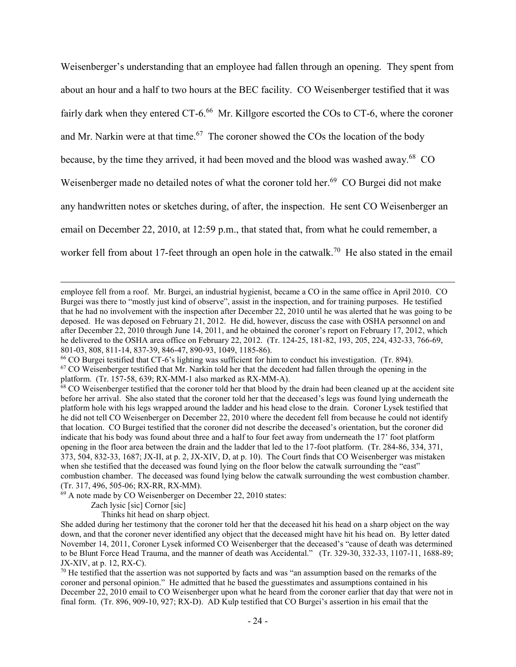Weisenberger's understanding that an employee had fallen through an opening. They spent from about an hour and a half to two hours at the BEC facility. CO Weisenberger testified that it was fairly dark when they entered CT-6.<sup>66</sup> Mr. Killgore escorted the COs to CT-6, where the coroner and Mr. Narkin were at that time.<sup>67</sup> The coroner showed the COs the location of the body because, by the time they arrived, it had been moved and the blood was washed away.<sup>68</sup> CO Weisenberger made no detailed notes of what the coroner told her.<sup>69</sup> CO Burgei did not make any handwritten notes or sketches during, of after, the inspection. He sent CO Weisenberger an email on December 22, 2010, at 12:59 p.m., that stated that, from what he could remember, a worker fell from about 17-feet through an open hole in the catwalk.<sup>70</sup> He also stated in the email

<sup>69</sup> A note made by CO Weisenberger on December 22, 2010 states:

Zach lysic [sic] Cornor [sic]

 $\overline{a}$ 

Thinks hit head on sharp object.

employee fell from a roof. Mr. Burgei, an industrial hygienist, became a CO in the same office in April 2010. CO Burgei was there to "mostly just kind of observe", assist in the inspection, and for training purposes. He testified that he had no involvement with the inspection after December 22, 2010 until he was alerted that he was going to be deposed. He was deposed on February 21, 2012. He did, however, discuss the case with OSHA personnel on and after December 22, 2010 through June 14, 2011, and he obtained the coroner's report on February 17, 2012, which he delivered to the OSHA area office on February 22, 2012. (Tr. 124-25, 181-82, 193, 205, 224, 432-33, 766-69, 801-03, 808, 811-14, 837-39, 846-47, 890-93, 1049, 1185-86).

<sup>66</sup> CO Burgei testified that CT-6's lighting was sufficient for him to conduct his investigation. (Tr. 894). <sup>67</sup> CO Weisenberger testified that Mr. Narkin told her that the decedent had fallen through the opening in the platform. (Tr. 157-58, 639; RX-MM-1 also marked as RX-MM-A).

 $68$  CO Weisenberger testified that the coroner told her that blood by the drain had been cleaned up at the accident site before her arrival. She also stated that the coroner told her that the deceased's legs was found lying underneath the platform hole with his legs wrapped around the ladder and his head close to the drain. Coroner Lysek testified that he did not tell CO Weisenberger on December 22, 2010 where the decedent fell from because he could not identify that location. CO Burgei testified that the coroner did not describe the deceased's orientation, but the coroner did indicate that his body was found about three and a half to four feet away from underneath the 17' foot platform opening in the floor area between the drain and the ladder that led to the 17-foot platform. (Tr. 284-86, 334, 371, 373, 504, 832-33, 1687; JX-II, at p. 2, JX-XIV, D, at p. 10). The Court finds that CO Weisenberger was mistaken when she testified that the deceased was found lying on the floor below the catwalk surrounding the "east" combustion chamber. The deceased was found lying below the catwalk surrounding the west combustion chamber. (Tr. 317, 496, 505-06; RX-RR, RX-MM).

She added during her testimony that the coroner told her that the deceased hit his head on a sharp object on the way down, and that the coroner never identified any object that the deceased might have hit his head on. By letter dated November 14, 2011, Coroner Lysek informed CO Weisenberger that the deceased's "cause of death was determined to be Blunt Force Head Trauma, and the manner of death was Accidental." (Tr. 329-30, 332-33, 1107-11, 1688-89; JX-XIV, at p. 12, RX-C).

 $70$  He testified that the assertion was not supported by facts and was "an assumption based on the remarks of the coroner and personal opinion." He admitted that he based the guesstimates and assumptions contained in his December 22, 2010 email to CO Weisenberger upon what he heard from the coroner earlier that day that were not in final form. (Tr. 896, 909-10, 927; RX-D). AD Kulp testified that CO Burgei's assertion in his email that the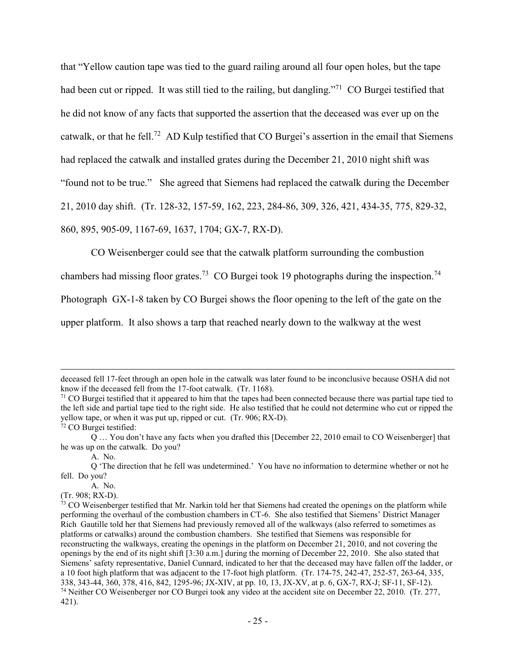that "Yellow caution tape was tied to the guard railing around all four open holes, but the tape had been cut or ripped. It was still tied to the railing, but dangling."<sup>71</sup> CO Burgei testified that he did not know of any facts that supported the assertion that the deceased was ever up on the catwalk, or that he fell.<sup>72</sup> AD Kulp testified that CO Burgei's assertion in the email that Siemens had replaced the catwalk and installed grates during the December 21, 2010 night shift was "found not to be true." She agreed that Siemens had replaced the catwalk during the December 21, 2010 day shift. (Tr. 128-32, 157-59, 162, 223, 284-86, 309, 326, 421, 434-35, 775, 829-32, 860, 895, 905-09, 1167-69, 1637, 1704; GX-7, RX-D).

CO Weisenberger could see that the catwalk platform surrounding the combustion

chambers had missing floor grates.<sup>73</sup> CO Burgei took 19 photographs during the inspection.<sup>74</sup>

Photograph GX-1-8 taken by CO Burgei shows the floor opening to the left of the gate on the

upper platform. It also shows a tarp that reached nearly down to the walkway at the west

deceased fell 17-feet through an open hole in the catwalk was later found to be inconclusive because OSHA did not know if the deceased fell from the 17-foot catwalk. (Tr. 1168).

 $71$  CO Burgei testified that it appeared to him that the tapes had been connected because there was partial tape tied to the left side and partial tape tied to the right side. He also testified that he could not determine who cut or ripped the yellow tape, or when it was put up, ripped or cut. (Tr. 906; RX-D).

<sup>72</sup> CO Burgei testified:

Q … You don't have any facts when you drafted this [December 22, 2010 email to CO Weisenberger] that he was up on the catwalk. Do you?

A. No.

Q 'The direction that he fell was undetermined.' You have no information to determine whether or not he fell. Do you?

A. No.

<sup>(</sup>Tr. 908; RX-D).

 $<sup>73</sup>$  CO Weisenberger testified that Mr. Narkin told her that Siemens had created the openings on the platform while</sup> performing the overhaul of the combustion chambers in CT-6. She also testified that Siemens' District Manager Rich Gautille told her that Siemens had previously removed all of the walkways (also referred to sometimes as platforms or catwalks) around the combustion chambers. She testified that Siemens was responsible for reconstructing the walkways, creating the openings in the platform on December 21, 2010, and not covering the openings by the end of its night shift [3:30 a.m.] during the morning of December 22, 2010. She also stated that Siemens' safety representative, Daniel Cunnard, indicated to her that the deceased may have fallen off the ladder, or a 10 foot high platform that was adjacent to the 17-foot high platform. (Tr. 174-75, 242-47, 252-57, 263-64, 335, 338, 343-44, 360, 378, 416, 842, 1295-96; JX-XIV, at pp. 10, 13, JX-XV, at p. 6, GX-7, RX-J; SF-11, SF-12). <sup>74</sup> Neither CO Weisenberger nor CO Burgei took any video at the accident site on December 22, 2010. (Tr. 277, 421).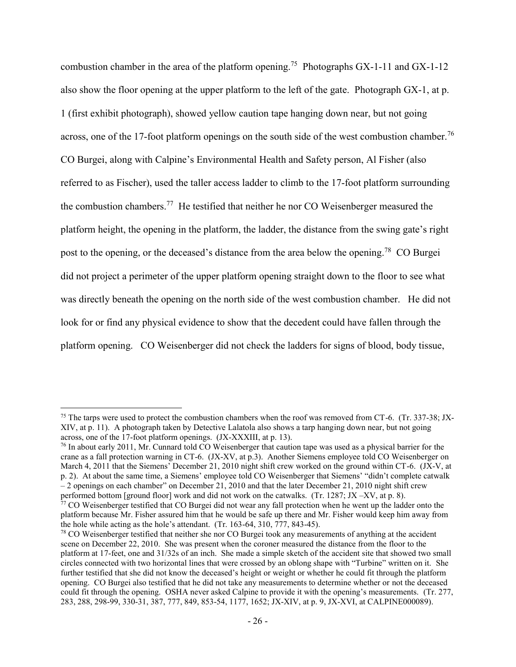combustion chamber in the area of the platform opening.<sup>75</sup> Photographs GX-1-11 and GX-1-12 also show the floor opening at the upper platform to the left of the gate. Photograph GX-1, at p. 1 (first exhibit photograph), showed yellow caution tape hanging down near, but not going across, one of the 17-foot platform openings on the south side of the west combustion chamber.<sup>76</sup> CO Burgei, along with Calpine's Environmental Health and Safety person, Al Fisher (also referred to as Fischer), used the taller access ladder to climb to the 17-foot platform surrounding the combustion chambers.<sup>77</sup> He testified that neither he nor CO Weisenberger measured the platform height, the opening in the platform, the ladder, the distance from the swing gate's right post to the opening, or the deceased's distance from the area below the opening.<sup>78</sup> CO Burgei did not project a perimeter of the upper platform opening straight down to the floor to see what was directly beneath the opening on the north side of the west combustion chamber. He did not look for or find any physical evidence to show that the decedent could have fallen through the platform opening. CO Weisenberger did not check the ladders for signs of blood, body tissue,

<sup>&</sup>lt;sup>75</sup> The tarps were used to protect the combustion chambers when the roof was removed from CT-6. (Tr. 337-38; JX-XIV, at p. 11). A photograph taken by Detective Lalatola also shows a tarp hanging down near, but not going across, one of the 17-foot platform openings. (JX-XXXIII, at p. 13).

<sup>&</sup>lt;sup>76</sup> In about early 2011, Mr. Cunnard told CO Weisenberger that caution tape was used as a physical barrier for the crane as a fall protection warning in CT-6. (JX-XV, at p.3). Another Siemens employee told CO Weisenberger on March 4, 2011 that the Siemens' December 21, 2010 night shift crew worked on the ground within CT-6. (JX-V, at p. 2). At about the same time, a Siemens' employee told CO Weisenberger that Siemens' "didn't complete catwalk – 2 openings on each chamber" on December 21, 2010 and that the later December 21, 2010 night shift crew performed bottom [ground floor] work and did not work on the catwalks. (Tr. 1287; JX –XV, at p. 8).

<sup>&</sup>lt;sup>77</sup> CO Weisenberger testified that CO Burgei did not wear any fall protection when he went up the ladder onto the platform because Mr. Fisher assured him that he would be safe up there and Mr. Fisher would keep him away from the hole while acting as the hole's attendant. (Tr. 163-64, 310, 777, 843-45).

<sup>78</sup> CO Weisenberger testified that neither she nor CO Burgei took any measurements of anything at the accident scene on December 22, 2010. She was present when the coroner measured the distance from the floor to the platform at 17-feet, one and 31/32s of an inch. She made a simple sketch of the accident site that showed two small circles connected with two horizontal lines that were crossed by an oblong shape with "Turbine" written on it. She further testified that she did not know the deceased's height or weight or whether he could fit through the platform opening. CO Burgei also testified that he did not take any measurements to determine whether or not the deceased could fit through the opening. OSHA never asked Calpine to provide it with the opening's measurements. (Tr. 277, 283, 288, 298-99, 330-31, 387, 777, 849, 853-54, 1177, 1652; JX-XIV, at p. 9, JX-XVI, at CALPINE000089).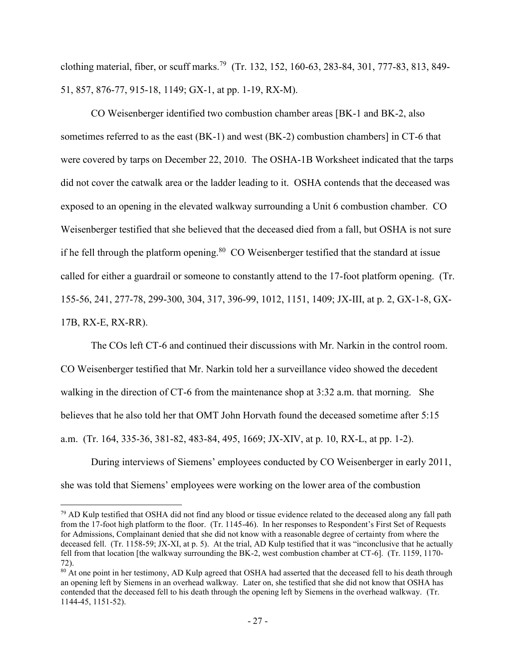clothing material, fiber, or scuff marks.<sup>79</sup> (Tr. 132, 152, 160-63, 283-84, 301, 777-83, 813, 849-51, 857, 876-77, 915-18, 1149; GX-1, at pp. 1-19, RX-M).

CO Weisenberger identified two combustion chamber areas [BK-1 and BK-2, also sometimes referred to as the east (BK-1) and west (BK-2) combustion chambers] in CT-6 that were covered by tarps on December 22, 2010. The OSHA-1B Worksheet indicated that the tarps did not cover the catwalk area or the ladder leading to it. OSHA contends that the deceased was exposed to an opening in the elevated walkway surrounding a Unit 6 combustion chamber. CO Weisenberger testified that she believed that the deceased died from a fall, but OSHA is not sure if he fell through the platform opening.<sup>80</sup> CO Weisenberger testified that the standard at issue called for either a guardrail or someone to constantly attend to the 17-foot platform opening. (Tr. 155-56, 241, 277-78, 299-300, 304, 317, 396-99, 1012, 1151, 1409; JX-III, at p. 2, GX-1-8, GX-17B, RX-E, RX-RR).

The COs left CT-6 and continued their discussions with Mr. Narkin in the control room. CO Weisenberger testified that Mr. Narkin told her a surveillance video showed the decedent walking in the direction of CT-6 from the maintenance shop at 3:32 a.m. that morning. She believes that he also told her that OMT John Horvath found the deceased sometime after 5:15 a.m. (Tr. 164, 335-36, 381-82, 483-84, 495, 1669; JX-XIV, at p. 10, RX-L, at pp. 1-2).

During interviews of Siemens' employees conducted by CO Weisenberger in early 2011, she was told that Siemens' employees were working on the lower area of the combustion

<sup>&</sup>lt;sup>79</sup> AD Kulp testified that OSHA did not find any blood or tissue evidence related to the deceased along any fall path from the 17-foot high platform to the floor. (Tr. 1145-46). In her responses to Respondent's First Set of Requests for Admissions, Complainant denied that she did not know with a reasonable degree of certainty from where the deceased fell. (Tr. 1158-59; JX-XI, at p. 5). At the trial, AD Kulp testified that it was "inconclusive that he actually fell from that location [the walkway surrounding the BK-2, west combustion chamber at CT-6]. (Tr. 1159, 1170- 72).

<sup>&</sup>lt;sup>80</sup> At one point in her testimony, AD Kulp agreed that OSHA had asserted that the deceased fell to his death through an opening left by Siemens in an overhead walkway. Later on, she testified that she did not know that OSHA has contended that the deceased fell to his death through the opening left by Siemens in the overhead walkway. (Tr. 1144-45, 1151-52).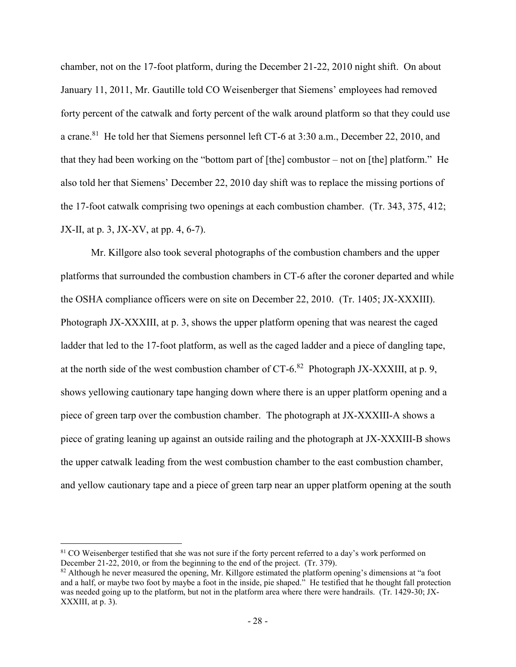chamber, not on the 17-foot platform, during the December 21-22, 2010 night shift. On about January 11, 2011, Mr. Gautille told CO Weisenberger that Siemens' employees had removed forty percent of the catwalk and forty percent of the walk around platform so that they could use a crane.<sup>81</sup> He told her that Siemens personnel left CT-6 at 3:30 a.m., December 22, 2010, and that they had been working on the "bottom part of [the] combustor – not on [the] platform." He also told her that Siemens' December 22, 2010 day shift was to replace the missing portions of the 17-foot catwalk comprising two openings at each combustion chamber. (Tr. 343, 375, 412; JX-II, at p. 3, JX-XV, at pp. 4, 6-7).

Mr. Killgore also took several photographs of the combustion chambers and the upper platforms that surrounded the combustion chambers in CT-6 after the coroner departed and while the OSHA compliance officers were on site on December 22, 2010. (Tr. 1405; JX-XXXIII). Photograph JX-XXXIII, at p. 3, shows the upper platform opening that was nearest the caged ladder that led to the 17-foot platform, as well as the caged ladder and a piece of dangling tape, at the north side of the west combustion chamber of CT-6. $82$  Photograph JX-XXXIII, at p. 9, shows yellowing cautionary tape hanging down where there is an upper platform opening and a piece of green tarp over the combustion chamber. The photograph at JX-XXXIII-A shows a piece of grating leaning up against an outside railing and the photograph at JX-XXXIII-B shows the upper catwalk leading from the west combustion chamber to the east combustion chamber, and yellow cautionary tape and a piece of green tarp near an upper platform opening at the south

<sup>&</sup>lt;sup>81</sup> CO Weisenberger testified that she was not sure if the forty percent referred to a day's work performed on December 21-22, 2010, or from the beginning to the end of the project. (Tr. 379).

 $82$  Although he never measured the opening, Mr. Killgore estimated the platform opening's dimensions at "a foot and a half, or maybe two foot by maybe a foot in the inside, pie shaped." He testified that he thought fall protection was needed going up to the platform, but not in the platform area where there were handrails. (Tr. 1429-30; JX-XXXIII, at p. 3).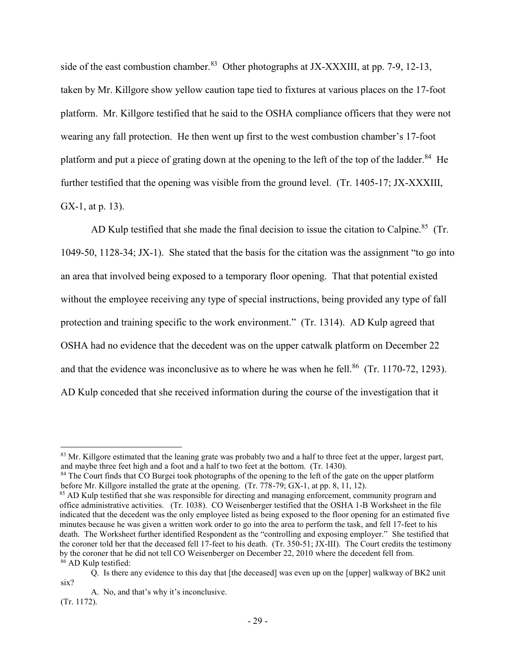side of the east combustion chamber.<sup>83</sup> Other photographs at JX-XXXIII, at pp. 7-9, 12-13, taken by Mr. Killgore show yellow caution tape tied to fixtures at various places on the 17-foot platform. Mr. Killgore testified that he said to the OSHA compliance officers that they were not wearing any fall protection. He then went up first to the west combustion chamber's 17-foot platform and put a piece of grating down at the opening to the left of the top of the ladder. $84$  He further testified that the opening was visible from the ground level. (Tr. 1405-17; JX-XXXIII, GX-1, at p. 13).

AD Kulp testified that she made the final decision to issue the citation to Calpine.<sup>85</sup> (Tr. 1049-50, 1128-34; JX-1). She stated that the basis for the citation was the assignment "to go into an area that involved being exposed to a temporary floor opening. That that potential existed without the employee receiving any type of special instructions, being provided any type of fall protection and training specific to the work environment." (Tr. 1314). AD Kulp agreed that OSHA had no evidence that the decedent was on the upper catwalk platform on December 22 and that the evidence was inconclusive as to where he was when he fell.<sup>86</sup> (Tr. 1170-72, 1293). AD Kulp conceded that she received information during the course of the investigation that it

 $83$  Mr. Killgore estimated that the leaning grate was probably two and a half to three feet at the upper, largest part, and maybe three feet high and a foot and a half to two feet at the bottom. (Tr. 1430).

<sup>&</sup>lt;sup>84</sup> The Court finds that CO Burgei took photographs of the opening to the left of the gate on the upper platform before Mr. Killgore installed the grate at the opening. (Tr. 778-79; GX-1, at pp. 8, 11, 12).

<sup>&</sup>lt;sup>85</sup> AD Kulp testified that she was responsible for directing and managing enforcement, community program and office administrative activities. (Tr. 1038). CO Weisenberger testified that the OSHA 1-B Worksheet in the file indicated that the decedent was the only employee listed as being exposed to the floor opening for an estimated five minutes because he was given a written work order to go into the area to perform the task, and fell 17-feet to his death. The Worksheet further identified Respondent as the "controlling and exposing employer." She testified that the coroner told her that the deceased fell 17-feet to his death. (Tr. 350-51; JX-III). The Court credits the testimony by the coroner that he did not tell CO Weisenberger on December 22, 2010 where the decedent fell from. <sup>86</sup> AD Kulp testified:

Q. Is there any evidence to this day that [the deceased] was even up on the [upper] walkway of BK2 unit six?

A. No, and that's why it's inconclusive.

<sup>(</sup>Tr. 1172).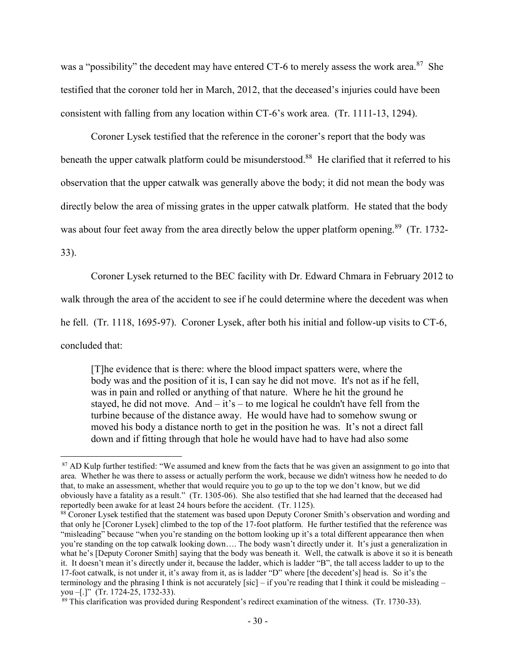was a "possibility" the decedent may have entered CT-6 to merely assess the work area. $87$  She testified that the coroner told her in March, 2012, that the deceased's injuries could have been consistent with falling from any location within CT-6's work area. (Tr. 1111-13, 1294).

Coroner Lysek testified that the reference in the coroner's report that the body was beneath the upper catwalk platform could be misunderstood.<sup>88</sup> He clarified that it referred to his observation that the upper catwalk was generally above the body; it did not mean the body was directly below the area of missing grates in the upper catwalk platform. He stated that the body was about four feet away from the area directly below the upper platform opening.<sup>89</sup> (Tr. 1732-

33).

 $\overline{a}$ 

Coroner Lysek returned to the BEC facility with Dr. Edward Chmara in February 2012 to

walk through the area of the accident to see if he could determine where the decedent was when

he fell. (Tr. 1118, 1695-97). Coroner Lysek, after both his initial and follow-up visits to CT-6,

concluded that:

[T]he evidence that is there: where the blood impact spatters were, where the body was and the position of it is, I can say he did not move. It's not as if he fell, was in pain and rolled or anything of that nature. Where he hit the ground he stayed, he did not move. And  $-$  it's  $-$  to me logical he couldn't have fell from the turbine because of the distance away. He would have had to somehow swung or moved his body a distance north to get in the position he was. It's not a direct fall down and if fitting through that hole he would have had to have had also some

<sup>&</sup>lt;sup>87</sup> AD Kulp further testified: "We assumed and knew from the facts that he was given an assignment to go into that area. Whether he was there to assess or actually perform the work, because we didn't witness how he needed to do that, to make an assessment, whether that would require you to go up to the top we don't know, but we did obviously have a fatality as a result." (Tr. 1305-06). She also testified that she had learned that the deceased had reportedly been awake for at least 24 hours before the accident. (Tr. 1125).

<sup>&</sup>lt;sup>88</sup> Coroner Lysek testified that the statement was based upon Deputy Coroner Smith's observation and wording and that only he [Coroner Lysek] climbed to the top of the 17-foot platform. He further testified that the reference was "misleading" because "when you're standing on the bottom looking up it's a total different appearance then when you're standing on the top catwalk looking down…. The body wasn't directly under it. It's just a generalization in what he's [Deputy Coroner Smith] saying that the body was beneath it. Well, the catwalk is above it so it is beneath it. It doesn't mean it's directly under it, because the ladder, which is ladder "B", the tall access ladder to up to the 17-foot catwalk, is not under it, it's away from it, as is ladder "D" where [the decedent's] head is. So it's the terminology and the phrasing I think is not accurately [sic] – if you're reading that I think it could be misleading – you –[.]" (Tr. 1724-25, 1732-33).

 $89$  This clarification was provided during Respondent's redirect examination of the witness. (Tr. 1730-33).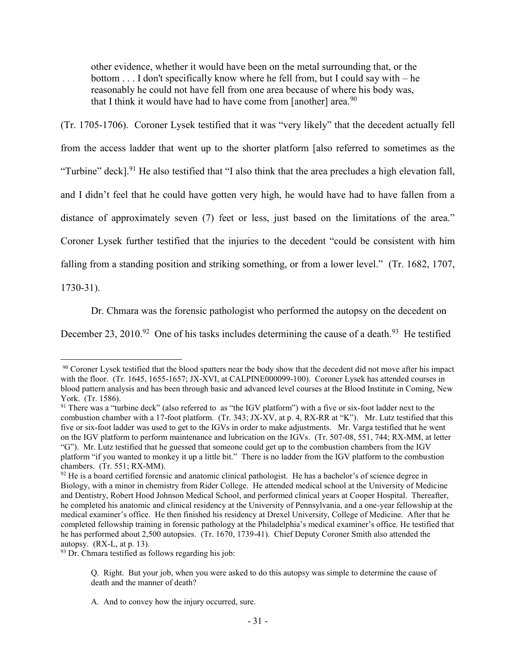other evidence, whether it would have been on the metal surrounding that, or the bottom . . . I don't specifically know where he fell from, but I could say with – he reasonably he could not have fell from one area because of where his body was, that I think it would have had to have come from [another] area.<sup>90</sup>

(Tr. 1705-1706). Coroner Lysek testified that it was "very likely" that the decedent actually fell from the access ladder that went up to the shorter platform [also referred to sometimes as the "Turbine" deck].<sup>91</sup> He also testified that "I also think that the area precludes a high elevation fall, and I didn't feel that he could have gotten very high, he would have had to have fallen from a distance of approximately seven (7) feet or less, just based on the limitations of the area." Coroner Lysek further testified that the injuries to the decedent "could be consistent with him falling from a standing position and striking something, or from a lower level." (Tr. 1682, 1707,

1730-31).

 $\overline{a}$ 

Dr. Chmara was the forensic pathologist who performed the autopsy on the decedent on

December 23, 2010.<sup>92</sup> One of his tasks includes determining the cause of a death.<sup>93</sup> He testified

<sup>93</sup> Dr. Chmara testified as follows regarding his job:

<sup>&</sup>lt;sup>90</sup> Coroner Lysek testified that the blood spatters near the body show that the decedent did not move after his impact with the floor. (Tr. 1645, 1655-1657; JX-XVI, at CALPINE000099-100). Coroner Lysek has attended courses in blood pattern analysis and has been through basic and advanced level courses at the Blood Institute in Coming, New York. (Tr. 1586).

<sup>&</sup>lt;sup>91</sup> There was a "turbine deck" (also referred to as "the IGV platform") with a five or six-foot ladder next to the combustion chamber with a 17-foot platform. (Tr. 343; JX-XV, at p. 4, RX-RR at "K"). Mr. Lutz testified that this five or six-foot ladder was used to get to the IGVs in order to make adjustments. Mr. Varga testified that he went on the IGV platform to perform maintenance and lubrication on the IGVs. (Tr. 507-08, 551, 744; RX-MM, at letter "G"). Mr. Lutz testified that he guessed that someone could get up to the combustion chambers from the IGV platform "if you wanted to monkey it up a little bit." There is no ladder from the IGV platform to the combustion chambers. (Tr. 551; RX-MM).

 $92$  He is a board certified forensic and anatomic clinical pathologist. He has a bachelor's of science degree in Biology, with a minor in chemistry from Rider College. He attended medical school at the University of Medicine and Dentistry, Robert Hood Johnson Medical School, and performed clinical years at Cooper Hospital. Thereafter, he completed his anatomic and clinical residency at the University of Pennsylvania, and a one-year fellowship at the medical examiner's office. He then finished his residency at Drexel University, College of Medicine. After that he completed fellowship training in forensic pathology at the Philadelphia's medical examiner's office. He testified that he has performed about 2,500 autopsies. (Tr. 1670, 1739-41). Chief Deputy Coroner Smith also attended the autopsy. (RX-L, at p. 13).

Q. Right. But your job, when you were asked to do this autopsy was simple to determine the cause of death and the manner of death?

A. And to convey how the injury occurred, sure.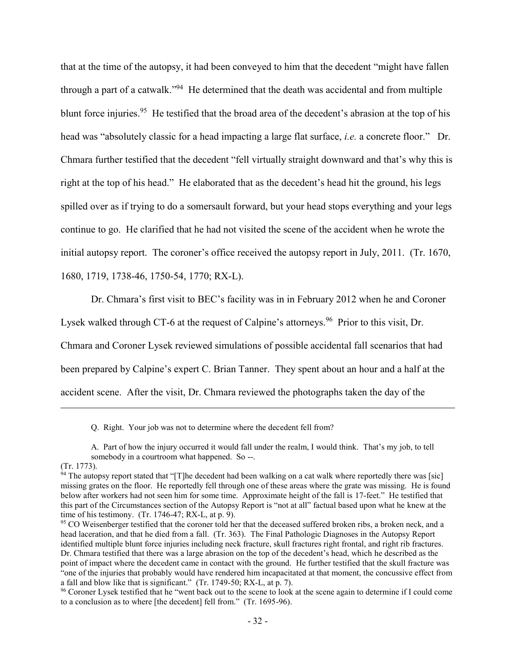that at the time of the autopsy, it had been conveyed to him that the decedent "might have fallen through a part of a catwalk."<sup>94</sup> He determined that the death was accidental and from multiple blunt force injuries.<sup>95</sup> He testified that the broad area of the decedent's abrasion at the top of his head was "absolutely classic for a head impacting a large flat surface, *i.e.* a concrete floor." Dr. Chmara further testified that the decedent "fell virtually straight downward and that's why this is right at the top of his head." He elaborated that as the decedent's head hit the ground, his legs spilled over as if trying to do a somersault forward, but your head stops everything and your legs continue to go. He clarified that he had not visited the scene of the accident when he wrote the initial autopsy report. The coroner's office received the autopsy report in July, 2011. (Tr. 1670, 1680, 1719, 1738-46, 1750-54, 1770; RX-L).

Dr. Chmara's first visit to BEC's facility was in in February 2012 when he and Coroner

Lysek walked through CT-6 at the request of Calpine's attorneys.<sup>96</sup> Prior to this visit, Dr.

Chmara and Coroner Lysek reviewed simulations of possible accidental fall scenarios that had been prepared by Calpine's expert C. Brian Tanner. They spent about an hour and a half at the accident scene. After the visit, Dr. Chmara reviewed the photographs taken the day of the

Q. Right. Your job was not to determine where the decedent fell from?

A. Part of how the injury occurred it would fall under the realm, I would think. That's my job, to tell somebody in a courtroom what happened. So --.

(Tr. 1773).

 $94$  The autopsy report stated that "[T]he decedent had been walking on a cat walk where reportedly there was [sic] missing grates on the floor. He reportedly fell through one of these areas where the grate was missing. He is found below after workers had not seen him for some time. Approximate height of the fall is 17-feet." He testified that this part of the Circumstances section of the Autopsy Report is "not at all" factual based upon what he knew at the time of his testimony. (Tr. 1746-47; RX-L, at p. 9).

<sup>&</sup>lt;sup>95</sup> CO Weisenberger testified that the coroner told her that the deceased suffered broken ribs, a broken neck, and a head laceration, and that he died from a fall. (Tr. 363). The Final Pathologic Diagnoses in the Autopsy Report identified multiple blunt force injuries including neck fracture, skull fractures right frontal, and right rib fractures. Dr. Chmara testified that there was a large abrasion on the top of the decedent's head, which he described as the point of impact where the decedent came in contact with the ground. He further testified that the skull fracture was "one of the injuries that probably would have rendered him incapacitated at that moment, the concussive effect from a fall and blow like that is significant." (Tr. 1749-50; RX-L, at p. 7).

<sup>&</sup>lt;sup>96</sup> Coroner Lysek testified that he "went back out to the scene to look at the scene again to determine if I could come to a conclusion as to where [the decedent] fell from." (Tr. 1695-96).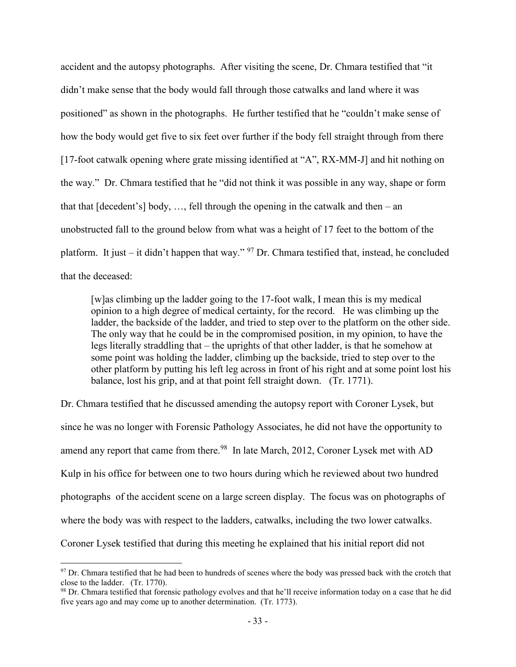accident and the autopsy photographs. After visiting the scene, Dr. Chmara testified that "it didn't make sense that the body would fall through those catwalks and land where it was positioned" as shown in the photographs. He further testified that he "couldn't make sense of how the body would get five to six feet over further if the body fell straight through from there [17-foot catwalk opening where grate missing identified at "A", RX-MM-J] and hit nothing on the way." Dr. Chmara testified that he "did not think it was possible in any way, shape or form that that  $[decoder]$  body, ..., fell through the opening in the catwalk and then – an unobstructed fall to the ground below from what was a height of 17 feet to the bottom of the platform. It just – it didn't happen that way." <sup>97</sup> Dr. Chmara testified that, instead, he concluded that the deceased:

[w]as climbing up the ladder going to the 17-foot walk, I mean this is my medical opinion to a high degree of medical certainty, for the record. He was climbing up the ladder, the backside of the ladder, and tried to step over to the platform on the other side. The only way that he could be in the compromised position, in my opinion, to have the legs literally straddling that – the uprights of that other ladder, is that he somehow at some point was holding the ladder, climbing up the backside, tried to step over to the other platform by putting his left leg across in front of his right and at some point lost his balance, lost his grip, and at that point fell straight down. (Tr. 1771).

Dr. Chmara testified that he discussed amending the autopsy report with Coroner Lysek, but since he was no longer with Forensic Pathology Associates, he did not have the opportunity to amend any report that came from there.<sup>98</sup> In late March, 2012, Coroner Lysek met with AD Kulp in his office for between one to two hours during which he reviewed about two hundred photographs of the accident scene on a large screen display. The focus was on photographs of where the body was with respect to the ladders, catwalks, including the two lower catwalks. Coroner Lysek testified that during this meeting he explained that his initial report did not

 $97$  Dr. Chmara testified that he had been to hundreds of scenes where the body was pressed back with the crotch that close to the ladder. (Tr. 1770).

<sup>98</sup> Dr. Chmara testified that forensic pathology evolves and that he'll receive information today on a case that he did five years ago and may come up to another determination. (Tr. 1773).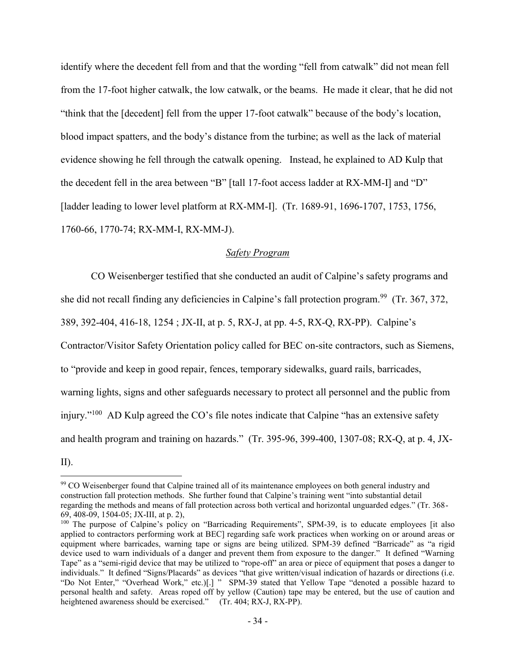identify where the decedent fell from and that the wording "fell from catwalk" did not mean fell from the 17-foot higher catwalk, the low catwalk, or the beams. He made it clear, that he did not "think that the [decedent] fell from the upper 17-foot catwalk" because of the body's location, blood impact spatters, and the body's distance from the turbine; as well as the lack of material evidence showing he fell through the catwalk opening. Instead, he explained to AD Kulp that the decedent fell in the area between "B" [tall 17-foot access ladder at RX-MM-I] and "D" [ladder leading to lower level platform at RX-MM-I]. (Tr. 1689-91, 1696-1707, 1753, 1756, 1760-66, 1770-74; RX-MM-I, RX-MM-J).

# *Safety Program*

CO Weisenberger testified that she conducted an audit of Calpine's safety programs and she did not recall finding any deficiencies in Calpine's fall protection program.<sup>99</sup> (Tr. 367, 372, 389, 392-404, 416-18, 1254 ; JX-II, at p. 5, RX-J, at pp. 4-5, RX-Q, RX-PP). Calpine's Contractor/Visitor Safety Orientation policy called for BEC on-site contractors, such as Siemens, to "provide and keep in good repair, fences, temporary sidewalks, guard rails, barricades, warning lights, signs and other safeguards necessary to protect all personnel and the public from injury."<sup>100</sup> AD Kulp agreed the CO's file notes indicate that Calpine "has an extensive safety and health program and training on hazards." (Tr. 395-96, 399-400, 1307-08; RX-Q, at p. 4, JX-

II).  $\overline{a}$ 

<sup>&</sup>lt;sup>99</sup> CO Weisenberger found that Calpine trained all of its maintenance employees on both general industry and construction fall protection methods. She further found that Calpine's training went "into substantial detail regarding the methods and means of fall protection across both vertical and horizontal unguarded edges." (Tr. 368- 69, 408-09, 1504-05; JX-III, at p. 2),

<sup>&</sup>lt;sup>100</sup> The purpose of Calpine's policy on "Barricading Requirements", SPM-39, is to educate employees [it also applied to contractors performing work at BEC] regarding safe work practices when working on or around areas or equipment where barricades, warning tape or signs are being utilized. SPM-39 defined "Barricade" as "a rigid device used to warn individuals of a danger and prevent them from exposure to the danger." It defined "Warning Tape" as a "semi-rigid device that may be utilized to "rope-off" an area or piece of equipment that poses a danger to individuals." It defined "Signs/Placards" as devices "that give written/visual indication of hazards or directions (i.e. "Do Not Enter," "Overhead Work," etc.)[.] " SPM-39 stated that Yellow Tape "denoted a possible hazard to personal health and safety. Areas roped off by yellow (Caution) tape may be entered, but the use of caution and heightened awareness should be exercised." (Tr. 404; RX-J, RX-PP).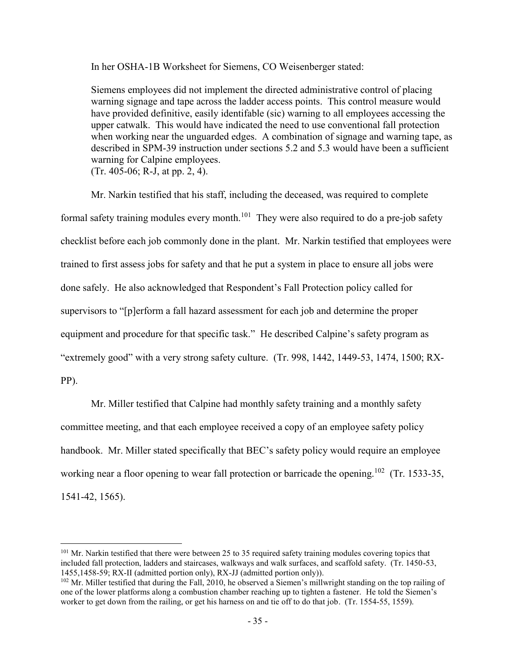In her OSHA-1B Worksheet for Siemens, CO Weisenberger stated:

Siemens employees did not implement the directed administrative control of placing warning signage and tape across the ladder access points. This control measure would have provided definitive, easily identifable (sic) warning to all employees accessing the upper catwalk. This would have indicated the need to use conventional fall protection when working near the unguarded edges. A combination of signage and warning tape, as described in SPM-39 instruction under sections 5.2 and 5.3 would have been a sufficient warning for Calpine employees. (Tr. 405-06; R-J, at pp. 2, 4).

Mr. Narkin testified that his staff, including the deceased, was required to complete formal safety training modules every month.<sup>101</sup> They were also required to do a pre-job safety checklist before each job commonly done in the plant. Mr. Narkin testified that employees were trained to first assess jobs for safety and that he put a system in place to ensure all jobs were done safely. He also acknowledged that Respondent's Fall Protection policy called for supervisors to "[p]erform a fall hazard assessment for each job and determine the proper equipment and procedure for that specific task." He described Calpine's safety program as "extremely good" with a very strong safety culture. (Tr. 998, 1442, 1449-53, 1474, 1500; RX-PP).

Mr. Miller testified that Calpine had monthly safety training and a monthly safety committee meeting, and that each employee received a copy of an employee safety policy handbook. Mr. Miller stated specifically that BEC's safety policy would require an employee working near a floor opening to wear fall protection or barricade the opening.<sup>102</sup> (Tr. 1533-35, 1541-42, 1565).

<sup>&</sup>lt;sup>101</sup> Mr. Narkin testified that there were between 25 to 35 required safety training modules covering topics that included fall protection, ladders and staircases, walkways and walk surfaces, and scaffold safety. (Tr. 1450-53, 1455,1458-59; RX-II (admitted portion only), RX-JJ (admitted portion only)).

 $102$  Mr. Miller testified that during the Fall, 2010, he observed a Siemen's millwright standing on the top railing of one of the lower platforms along a combustion chamber reaching up to tighten a fastener. He told the Siemen's worker to get down from the railing, or get his harness on and tie off to do that job. (Tr. 1554-55, 1559).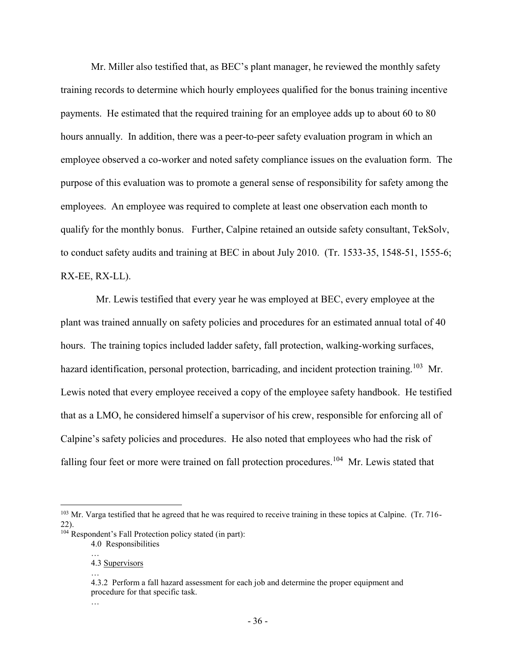Mr. Miller also testified that, as BEC's plant manager, he reviewed the monthly safety training records to determine which hourly employees qualified for the bonus training incentive payments. He estimated that the required training for an employee adds up to about 60 to 80 hours annually. In addition, there was a peer-to-peer safety evaluation program in which an employee observed a co-worker and noted safety compliance issues on the evaluation form. The purpose of this evaluation was to promote a general sense of responsibility for safety among the employees. An employee was required to complete at least one observation each month to qualify for the monthly bonus. Further, Calpine retained an outside safety consultant, TekSolv, to conduct safety audits and training at BEC in about July 2010. (Tr. 1533-35, 1548-51, 1555-6; RX-EE, RX-LL).

 Mr. Lewis testified that every year he was employed at BEC, every employee at the plant was trained annually on safety policies and procedures for an estimated annual total of 40 hours. The training topics included ladder safety, fall protection, walking-working surfaces, hazard identification, personal protection, barricading, and incident protection training.<sup>103</sup> Mr. Lewis noted that every employee received a copy of the employee safety handbook. He testified that as a LMO, he considered himself a supervisor of his crew, responsible for enforcing all of Calpine's safety policies and procedures. He also noted that employees who had the risk of falling four feet or more were trained on fall protection procedures.<sup>104</sup> Mr. Lewis stated that

…

…

<sup>&</sup>lt;sup>103</sup> Mr. Varga testified that he agreed that he was required to receive training in these topics at Calpine. (Tr. 716-22).

<sup>&</sup>lt;sup>104</sup> Respondent's Fall Protection policy stated (in part):

<sup>4.0</sup> Responsibilities

<sup>4.3</sup> Supervisors

<sup>…</sup>

<sup>4.3.2</sup> Perform a fall hazard assessment for each job and determine the proper equipment and procedure for that specific task.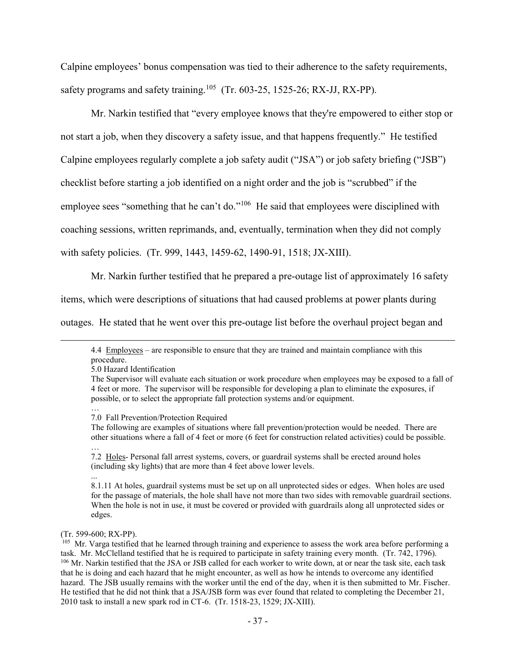Calpine employees' bonus compensation was tied to their adherence to the safety requirements, safety programs and safety training.<sup>105</sup> (Tr. 603-25, 1525-26; RX-JJ, RX-PP).

Mr. Narkin testified that "every employee knows that they're empowered to either stop or not start a job, when they discovery a safety issue, and that happens frequently." He testified Calpine employees regularly complete a job safety audit ("JSA") or job safety briefing ("JSB") checklist before starting a job identified on a night order and the job is "scrubbed" if the employee sees "something that he can't do."<sup>106</sup> He said that employees were disciplined with coaching sessions, written reprimands, and, eventually, termination when they did not comply with safety policies. (Tr. 999, 1443, 1459-62, 1490-91, 1518; JX-XIII).

Mr. Narkin further testified that he prepared a pre-outage list of approximately 16 safety

items, which were descriptions of situations that had caused problems at power plants during

outages. He stated that he went over this pre-outage list before the overhaul project began and

…

 $\overline{a}$ 

(Tr. 599-600; RX-PP).

...

<sup>4.4</sup> Employees – are responsible to ensure that they are trained and maintain compliance with this procedure.

<sup>5.0</sup> Hazard Identification

The Supervisor will evaluate each situation or work procedure when employees may be exposed to a fall of 4 feet or more. The supervisor will be responsible for developing a plan to eliminate the exposures, if possible, or to select the appropriate fall protection systems and/or equipment.

<sup>7.0</sup> Fall Prevention/Protection Required

The following are examples of situations where fall prevention/protection would be needed. There are other situations where a fall of 4 feet or more (6 feet for construction related activities) could be possible. …

<sup>7.2</sup> Holes- Personal fall arrest systems, covers, or guardrail systems shall be erected around holes (including sky lights) that are more than 4 feet above lower levels.

<sup>8.1.11</sup> At holes, guardrail systems must be set up on all unprotected sides or edges. When holes are used for the passage of materials, the hole shall have not more than two sides with removable guardrail sections. When the hole is not in use, it must be covered or provided with guardrails along all unprotected sides or edges.

<sup>&</sup>lt;sup>105</sup> Mr. Varga testified that he learned through training and experience to assess the work area before performing a task. Mr. McClelland testified that he is required to participate in safety training every month. (Tr. 742, 1796). <sup>106</sup> Mr. Narkin testified that the JSA or JSB called for each worker to write down, at or near the task site, each task that he is doing and each hazard that he might encounter, as well as how he intends to overcome any identified hazard. The JSB usually remains with the worker until the end of the day, when it is then submitted to Mr. Fischer. He testified that he did not think that a JSA/JSB form was ever found that related to completing the December 21, 2010 task to install a new spark rod in CT-6. (Tr. 1518-23, 1529; JX-XIII).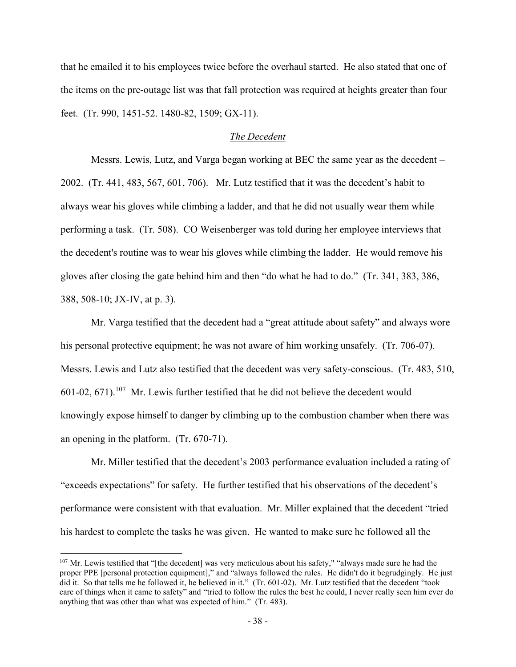that he emailed it to his employees twice before the overhaul started. He also stated that one of the items on the pre-outage list was that fall protection was required at heights greater than four feet. (Tr. 990, 1451-52. 1480-82, 1509; GX-11).

### *The Decedent*

Messrs. Lewis, Lutz, and Varga began working at BEC the same year as the decedent – 2002. (Tr. 441, 483, 567, 601, 706). Mr. Lutz testified that it was the decedent's habit to always wear his gloves while climbing a ladder, and that he did not usually wear them while performing a task. (Tr. 508). CO Weisenberger was told during her employee interviews that the decedent's routine was to wear his gloves while climbing the ladder. He would remove his gloves after closing the gate behind him and then "do what he had to do." (Tr. 341, 383, 386, 388, 508-10; JX-IV, at p. 3).

Mr. Varga testified that the decedent had a "great attitude about safety" and always wore his personal protective equipment; he was not aware of him working unsafely. (Tr. 706-07). Messrs. Lewis and Lutz also testified that the decedent was very safety-conscious. (Tr. 483, 510,  $601-02, 671$ . <sup>107</sup> Mr. Lewis further testified that he did not believe the decedent would knowingly expose himself to danger by climbing up to the combustion chamber when there was an opening in the platform. (Tr. 670-71).

Mr. Miller testified that the decedent's 2003 performance evaluation included a rating of "exceeds expectations" for safety. He further testified that his observations of the decedent's performance were consistent with that evaluation. Mr. Miller explained that the decedent "tried his hardest to complete the tasks he was given. He wanted to make sure he followed all the

<sup>&</sup>lt;sup>107</sup> Mr. Lewis testified that "[the decedent] was very meticulous about his safety," "always made sure he had the proper PPE [personal protection equipment]," and "always followed the rules. He didn't do it begrudgingly. He just did it. So that tells me he followed it, he believed in it." (Tr. 601-02). Mr. Lutz testified that the decedent "took care of things when it came to safety" and "tried to follow the rules the best he could, I never really seen him ever do anything that was other than what was expected of him." (Tr. 483).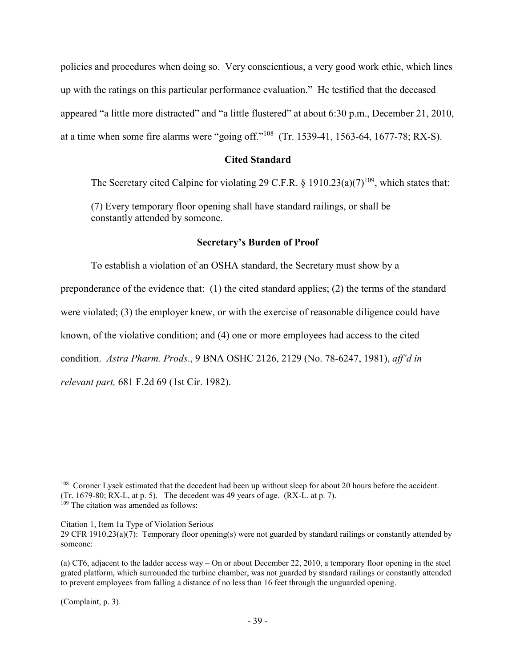policies and procedures when doing so. Very conscientious, a very good work ethic, which lines up with the ratings on this particular performance evaluation." He testified that the deceased appeared "a little more distracted" and "a little flustered" at about 6:30 p.m., December 21, 2010, at a time when some fire alarms were "going off."<sup>108</sup> (Tr. 1539-41, 1563-64, 1677-78; RX-S).

### **Cited Standard**

The Secretary cited Calpine for violating 29 C.F.R.  $\hat{\zeta}$  1910.23(a)(7)<sup>109</sup>, which states that:

(7) Every temporary floor opening shall have standard railings, or shall be constantly attended by someone.

### **Secretary's Burden of Proof**

To establish a violation of an OSHA standard, the Secretary must show by a preponderance of the evidence that: (1) the cited standard applies; (2) the terms of the standard were violated; (3) the employer knew, or with the exercise of reasonable diligence could have known, of the violative condition; and (4) one or more employees had access to the cited condition. *Astra Pharm. Prods*., 9 BNA OSHC 2126, 2129 (No. 78-6247, 1981), *aff'd in relevant part,* 681 F.2d 69 (1st Cir. 1982).

Citation 1, Item 1a Type of Violation Serious 29 CFR 1910.23(a)(7): Temporary floor opening(s) were not guarded by standard railings or constantly attended by someone:

(Complaint, p. 3).

<sup>&</sup>lt;sup>108</sup> Coroner Lysek estimated that the decedent had been up without sleep for about 20 hours before the accident. (Tr. 1679-80; RX-L, at p. 5). The decedent was 49 years of age. (RX-L. at p. 7).

<sup>&</sup>lt;sup>109</sup> The citation was amended as follows:

<sup>(</sup>a) CT6, adjacent to the ladder access way – On or about December 22, 2010, a temporary floor opening in the steel grated platform, which surrounded the turbine chamber, was not guarded by standard railings or constantly attended to prevent employees from falling a distance of no less than 16 feet through the unguarded opening.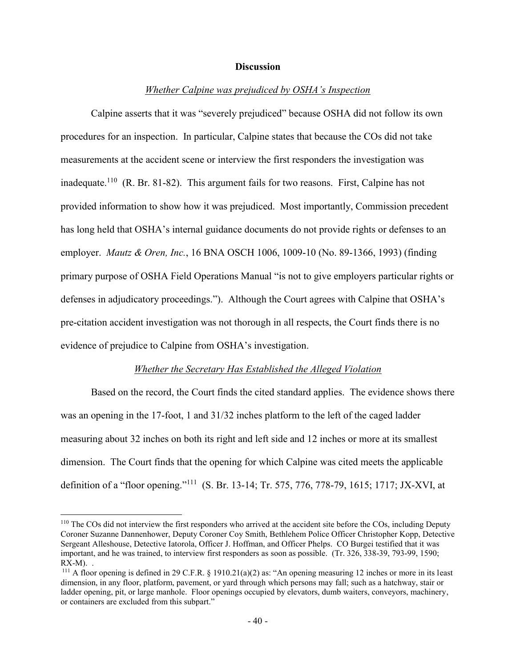### **Discussion**

### *Whether Calpine was prejudiced by OSHA's Inspection*

Calpine asserts that it was "severely prejudiced" because OSHA did not follow its own procedures for an inspection. In particular, Calpine states that because the COs did not take measurements at the accident scene or interview the first responders the investigation was inadequate.<sup>110</sup> (R. Br. 81-82). This argument fails for two reasons. First, Calpine has not provided information to show how it was prejudiced. Most importantly, Commission precedent has long held that OSHA's internal guidance documents do not provide rights or defenses to an employer. *Mautz & Oren, Inc.*, 16 BNA OSCH 1006, 1009-10 (No. 89-1366, 1993) (finding primary purpose of OSHA Field Operations Manual "is not to give employers particular rights or defenses in adjudicatory proceedings."). Although the Court agrees with Calpine that OSHA's pre-citation accident investigation was not thorough in all respects, the Court finds there is no evidence of prejudice to Calpine from OSHA's investigation.

#### *Whether the Secretary Has Established the Alleged Violation*

Based on the record, the Court finds the cited standard applies. The evidence shows there was an opening in the 17-foot, 1 and 31/32 inches platform to the left of the caged ladder measuring about 32 inches on both its right and left side and 12 inches or more at its smallest dimension. The Court finds that the opening for which Calpine was cited meets the applicable definition of a "floor opening."<sup>111</sup> (S. Br. 13-14; Tr. 575, 776, 778-79, 1615; 1717; JX-XVI, at

<sup>110</sup> The COs did not interview the first responders who arrived at the accident site before the COs, including Deputy Coroner Suzanne Dannenhower, Deputy Coroner Coy Smith, Bethlehem Police Officer Christopher Kopp, Detective Sergeant Alleshouse, Detective Iatorola, Officer J. Hoffman, and Officer Phelps. CO Burgei testified that it was important, and he was trained, to interview first responders as soon as possible. (Tr. 326, 338-39, 793-99, 1590;  $RX-M$ ). .

<sup>&</sup>lt;sup>111</sup> A floor opening is defined in 29 C.F.R. § 1910.21(a)(2) as: "An opening measuring 12 inches or more in its least dimension, in any floor, platform, pavement, or yard through which persons may fall; such as a hatchway, stair or ladder opening, pit, or large manhole. Floor openings occupied by elevators, dumb waiters, conveyors, machinery, or containers are excluded from this subpart."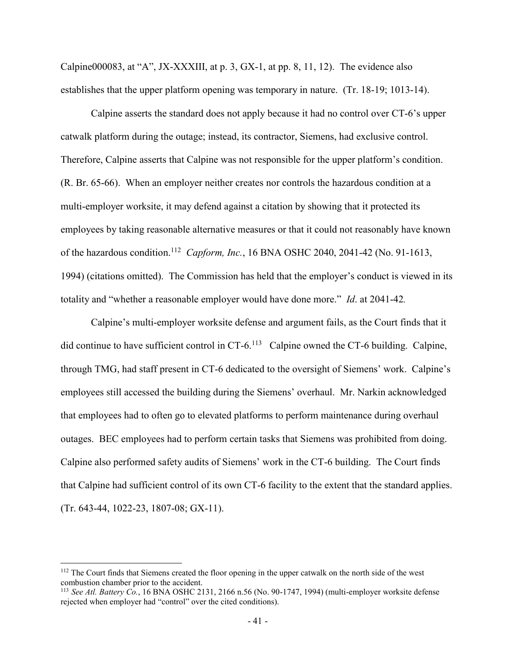Calpine000083, at "A", JX-XXXIII, at p. 3, GX-1, at pp. 8, 11, 12). The evidence also establishes that the upper platform opening was temporary in nature. (Tr. 18-19; 1013-14).

Calpine asserts the standard does not apply because it had no control over CT-6's upper catwalk platform during the outage; instead, its contractor, Siemens, had exclusive control. Therefore, Calpine asserts that Calpine was not responsible for the upper platform's condition. (R. Br. 65-66). When an employer neither creates nor controls the hazardous condition at a multi-employer worksite, it may defend against a citation by showing that it protected its employees by taking reasonable alternative measures or that it could not reasonably have known of the hazardous condition.<sup>112</sup> *Capform, Inc.*, 16 BNA OSHC 2040, 2041-42 (No. 91-1613, 1994) (citations omitted). The Commission has held that the employer's conduct is viewed in its totality and "whether a reasonable employer would have done more." *Id*. at 2041-42*.*

Calpine's multi-employer worksite defense and argument fails, as the Court finds that it did continue to have sufficient control in CT-6.<sup>113</sup> Calpine owned the CT-6 building. Calpine, through TMG, had staff present in CT-6 dedicated to the oversight of Siemens' work. Calpine's employees still accessed the building during the Siemens' overhaul. Mr. Narkin acknowledged that employees had to often go to elevated platforms to perform maintenance during overhaul outages. BEC employees had to perform certain tasks that Siemens was prohibited from doing. Calpine also performed safety audits of Siemens' work in the CT-6 building. The Court finds that Calpine had sufficient control of its own CT-6 facility to the extent that the standard applies. (Tr. 643-44, 1022-23, 1807-08; GX-11).

<sup>&</sup>lt;sup>112</sup> The Court finds that Siemens created the floor opening in the upper catwalk on the north side of the west combustion chamber prior to the accident.

<sup>113</sup> *See Atl. Battery Co.*, 16 BNA OSHC 2131, 2166 n.56 (No. 90-1747, 1994) (multi-employer worksite defense rejected when employer had "control" over the cited conditions).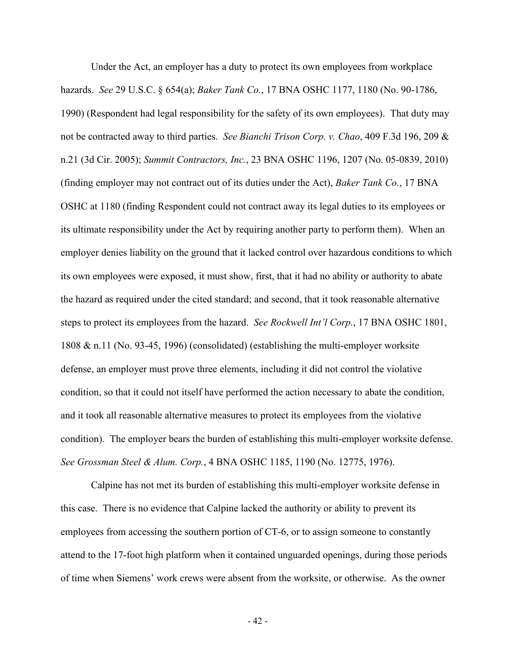Under the Act, an employer has a duty to protect its own employees from workplace hazards. *See* 29 U.S.C. § 654(a); *Baker Tank Co.*, 17 BNA OSHC 1177, 1180 (No. 90-1786, 1990) (Respondent had legal responsibility for the safety of its own employees). That duty may not be contracted away to third parties. *See Bianchi Trison Corp. v. Chao*, 409 F.3d 196, 209 & n.21 (3d Cir. 2005); *Summit Contractors, Inc.*, 23 BNA OSHC 1196, 1207 (No. 05-0839, 2010) (finding employer may not contract out of its duties under the Act), *Baker Tank Co.*, 17 BNA OSHC at 1180 (finding Respondent could not contract away its legal duties to its employees or its ultimate responsibility under the Act by requiring another party to perform them). When an employer denies liability on the ground that it lacked control over hazardous conditions to which its own employees were exposed, it must show, first, that it had no ability or authority to abate the hazard as required under the cited standard; and second, that it took reasonable alternative steps to protect its employees from the hazard. *See Rockwell Int'l Corp.*, 17 BNA OSHC 1801, 1808 & n.11 (No. 93-45, 1996) (consolidated) (establishing the multi-employer worksite defense, an employer must prove three elements, including it did not control the violative condition, so that it could not itself have performed the action necessary to abate the condition, and it took all reasonable alternative measures to protect its employees from the violative condition). The employer bears the burden of establishing this multi-employer worksite defense. *See Grossman Steel & Alum. Corp.*, 4 BNA OSHC 1185, 1190 (No. 12775, 1976).

Calpine has not met its burden of establishing this multi-employer worksite defense in this case. There is no evidence that Calpine lacked the authority or ability to prevent its employees from accessing the southern portion of CT-6, or to assign someone to constantly attend to the 17-foot high platform when it contained unguarded openings, during those periods of time when Siemens' work crews were absent from the worksite, or otherwise. As the owner

- 42 -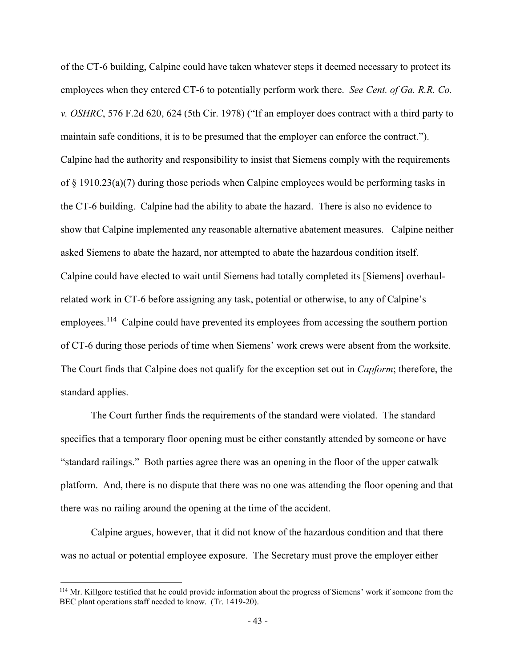of the CT-6 building, Calpine could have taken whatever steps it deemed necessary to protect its employees when they entered CT-6 to potentially perform work there. *See Cent. of Ga. R.R. Co. v. OSHRC*, 576 F.2d 620, 624 (5th Cir. 1978) ("If an employer does contract with a third party to maintain safe conditions, it is to be presumed that the employer can enforce the contract."). Calpine had the authority and responsibility to insist that Siemens comply with the requirements of § 1910.23(a)(7) during those periods when Calpine employees would be performing tasks in the CT-6 building. Calpine had the ability to abate the hazard. There is also no evidence to show that Calpine implemented any reasonable alternative abatement measures. Calpine neither asked Siemens to abate the hazard, nor attempted to abate the hazardous condition itself. Calpine could have elected to wait until Siemens had totally completed its [Siemens] overhaulrelated work in CT-6 before assigning any task, potential or otherwise, to any of Calpine's employees.<sup>114</sup> Calpine could have prevented its employees from accessing the southern portion of CT-6 during those periods of time when Siemens' work crews were absent from the worksite. The Court finds that Calpine does not qualify for the exception set out in *Capform*; therefore, the standard applies.

The Court further finds the requirements of the standard were violated. The standard specifies that a temporary floor opening must be either constantly attended by someone or have "standard railings." Both parties agree there was an opening in the floor of the upper catwalk platform. And, there is no dispute that there was no one was attending the floor opening and that there was no railing around the opening at the time of the accident.

Calpine argues, however, that it did not know of the hazardous condition and that there was no actual or potential employee exposure. The Secretary must prove the employer either

<sup>&</sup>lt;sup>114</sup> Mr. Killgore testified that he could provide information about the progress of Siemens' work if someone from the BEC plant operations staff needed to know. (Tr. 1419-20).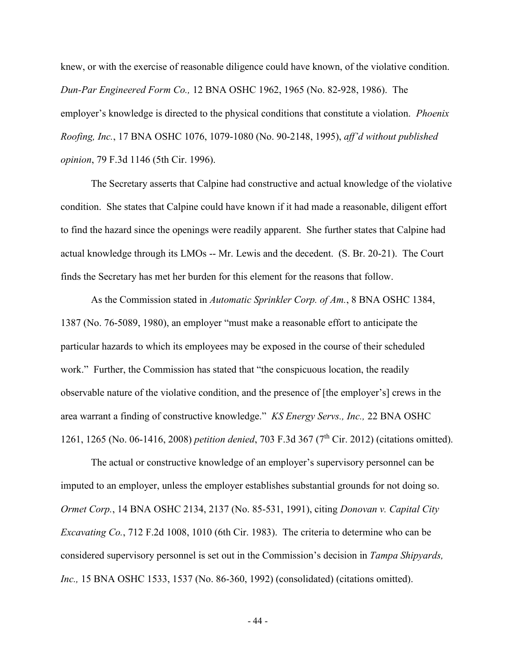knew, or with the exercise of reasonable diligence could have known, of the violative condition. *Dun-Par Engineered Form Co.,* 12 BNA OSHC 1962, 1965 (No. 82-928, 1986). The employer's knowledge is directed to the physical conditions that constitute a violation. *Phoenix Roofing, Inc.*, 17 BNA OSHC 1076, 1079-1080 (No. 90-2148, 1995), *aff'd without published opinion*, 79 F.3d 1146 (5th Cir. 1996).

The Secretary asserts that Calpine had constructive and actual knowledge of the violative condition. She states that Calpine could have known if it had made a reasonable, diligent effort to find the hazard since the openings were readily apparent. She further states that Calpine had actual knowledge through its LMOs -- Mr. Lewis and the decedent. (S. Br. 20-21). The Court finds the Secretary has met her burden for this element for the reasons that follow.

As the Commission stated in *Automatic Sprinkler Corp. of Am.*, 8 BNA OSHC 1384, 1387 (No. 76-5089, 1980), an employer "must make a reasonable effort to anticipate the particular hazards to which its employees may be exposed in the course of their scheduled work." Further, the Commission has stated that "the conspicuous location, the readily observable nature of the violative condition, and the presence of [the employer's] crews in the area warrant a finding of constructive knowledge." *KS Energy Servs., Inc.,* 22 BNA OSHC 1261, 1265 (No. 06-1416, 2008) *petition denied*, 703 F.3d 367 (7th Cir. 2012) (citations omitted).

The actual or constructive knowledge of an employer's supervisory personnel can be imputed to an employer, unless the employer establishes substantial grounds for not doing so. *Ormet Corp.*, 14 BNA OSHC 2134, 2137 (No. 85-531, 1991), citing *Donovan v. Capital City Excavating Co.*, 712 F.2d 1008, 1010 (6th Cir. 1983). The criteria to determine who can be considered supervisory personnel is set out in the Commission's decision in *Tampa Shipyards, Inc.,* 15 BNA OSHC 1533, 1537 (No. 86-360, 1992) (consolidated) (citations omitted).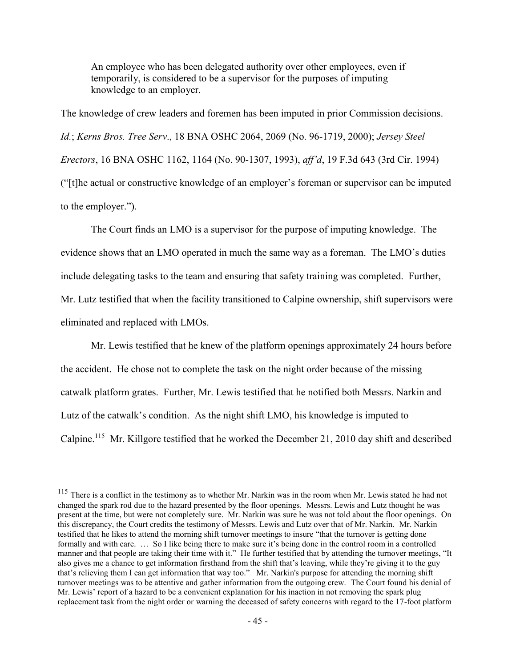An employee who has been delegated authority over other employees, even if temporarily, is considered to be a supervisor for the purposes of imputing knowledge to an employer.

The knowledge of crew leaders and foremen has been imputed in prior Commission decisions. *Id.*; *Kerns Bros. Tree Serv*., 18 BNA OSHC 2064, 2069 (No. 96-1719, 2000); *Jersey Steel Erectors*, 16 BNA OSHC 1162, 1164 (No. 90-1307, 1993), *aff'd*, 19 F.3d 643 (3rd Cir. 1994) ("[t]he actual or constructive knowledge of an employer's foreman or supervisor can be imputed to the employer.").

The Court finds an LMO is a supervisor for the purpose of imputing knowledge. The evidence shows that an LMO operated in much the same way as a foreman. The LMO's duties include delegating tasks to the team and ensuring that safety training was completed. Further, Mr. Lutz testified that when the facility transitioned to Calpine ownership, shift supervisors were eliminated and replaced with LMOs.

Mr. Lewis testified that he knew of the platform openings approximately 24 hours before the accident. He chose not to complete the task on the night order because of the missing catwalk platform grates. Further, Mr. Lewis testified that he notified both Messrs. Narkin and Lutz of the catwalk's condition. As the night shift LMO, his knowledge is imputed to Calpine.<sup>115</sup> Mr. Killgore testified that he worked the December 21, 2010 day shift and described

<sup>&</sup>lt;sup>115</sup> There is a conflict in the testimony as to whether Mr. Narkin was in the room when Mr. Lewis stated he had not changed the spark rod due to the hazard presented by the floor openings. Messrs. Lewis and Lutz thought he was present at the time, but were not completely sure. Mr. Narkin was sure he was not told about the floor openings. On this discrepancy, the Court credits the testimony of Messrs. Lewis and Lutz over that of Mr. Narkin. Mr. Narkin testified that he likes to attend the morning shift turnover meetings to insure "that the turnover is getting done formally and with care. … So I like being there to make sure it's being done in the control room in a controlled manner and that people are taking their time with it." He further testified that by attending the turnover meetings, "It also gives me a chance to get information firsthand from the shift that's leaving, while they're giving it to the guy that's relieving them I can get information that way too." Mr. Narkin's purpose for attending the morning shift turnover meetings was to be attentive and gather information from the outgoing crew. The Court found his denial of Mr. Lewis' report of a hazard to be a convenient explanation for his inaction in not removing the spark plug replacement task from the night order or warning the deceased of safety concerns with regard to the 17-foot platform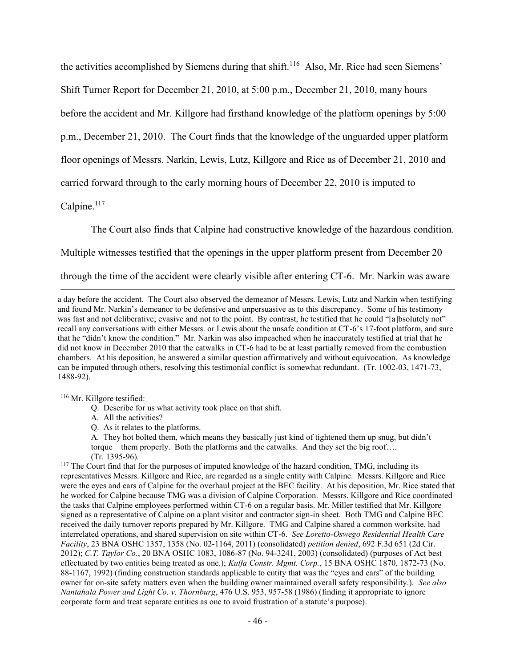the activities accomplished by Siemens during that shift.<sup>116</sup> Also, Mr. Rice had seen Siemens' Shift Turner Report for December 21, 2010, at 5:00 p.m., December 21, 2010, many hours before the accident and Mr. Killgore had firsthand knowledge of the platform openings by 5:00 p.m., December 21, 2010. The Court finds that the knowledge of the unguarded upper platform floor openings of Messrs. Narkin, Lewis, Lutz, Killgore and Rice as of December 21, 2010 and carried forward through to the early morning hours of December 22, 2010 is imputed to

Calpine.<sup>117</sup>

 $\overline{a}$ 

The Court also finds that Calpine had constructive knowledge of the hazardous condition.

Multiple witnesses testified that the openings in the upper platform present from December 20

through the time of the accident were clearly visible after entering CT-6. Mr. Narkin was aware

a day before the accident. The Court also observed the demeanor of Messrs. Lewis, Lutz and Narkin when testifying and found Mr. Narkin's demeanor to be defensive and unpersuasive as to this discrepancy. Some of his testimony was fast and not deliberative; evasive and not to the point. By contrast, he testified that he could "[a]bsolutely not" recall any conversations with either Messrs. or Lewis about the unsafe condition at CT-6's 17-foot platform, and sure that he "didn't know the condition." Mr. Narkin was also impeached when he inaccurately testified at trial that he did not know in December 2010 that the catwalks in CT-6 had to be at least partially removed from the combustion chambers. At his deposition, he answered a similar question affirmatively and without equivocation. As knowledge can be imputed through others, resolving this testimonial conflict is somewhat redundant. (Tr. 1002-03, 1471-73, 1488-92).

<sup>116</sup> Mr. Killgore testified:

- Q. Describe for us what activity took place on that shift.
- A. All the activities?
- Q. As it relates to the platforms.

A. They hot bolted them, which means they basically just kind of tightened them up snug, but didn't torque them properly. Both the platforms and the catwalks. And they set the big roof…. (Tr. 1395-96).

<sup>117</sup> The Court find that for the purposes of imputed knowledge of the hazard condition, TMG, including its representatives Messrs. Killgore and Rice, are regarded as a single entity with Calpine. Messrs. Killgore and Rice were the eyes and ears of Calpine for the overhaul project at the BEC facility. At his deposition, Mr. Rice stated that he worked for Calpine because TMG was a division of Calpine Corporation. Messrs. Killgore and Rice coordinated the tasks that Calpine employees performed within CT-6 on a regular basis. Mr. Miller testified that Mr. Killgore signed as a representative of Calpine on a plant visitor and contractor sign-in sheet. Both TMG and Calpine BEC received the daily turnover reports prepared by Mr. Killgore. TMG and Calpine shared a common worksite, had interrelated operations, and shared supervision on site within CT-6. *See Loretto-Oswego Residential Health Care Facility*, 23 BNA OSHC 1357, 1358 (No. 02-1164, 2011) (consolidated) *petition denied*, 692 F.3d 651 (2d Cir. 2012); *C.T. Taylor Co.*, 20 BNA OSHC 1083, 1086-87 (No. 94-3241, 2003) (consolidated) (purposes of Act best effectuated by two entities being treated as one.); *Kulfa Constr. Mgmt. Corp.*, 15 BNA OSHC 1870, 1872-73 (No. 88-1167, 1992) (finding construction standards applicable to entity that was the "eyes and ears" of the building owner for on-site safety matters even when the building owner maintained overall safety responsibility.). *See also Nantahala Power and Light Co. v. Thornburg*, 476 U.S. 953, 957-58 (1986) (finding it appropriate to ignore corporate form and treat separate entities as one to avoid frustration of a statute's purpose).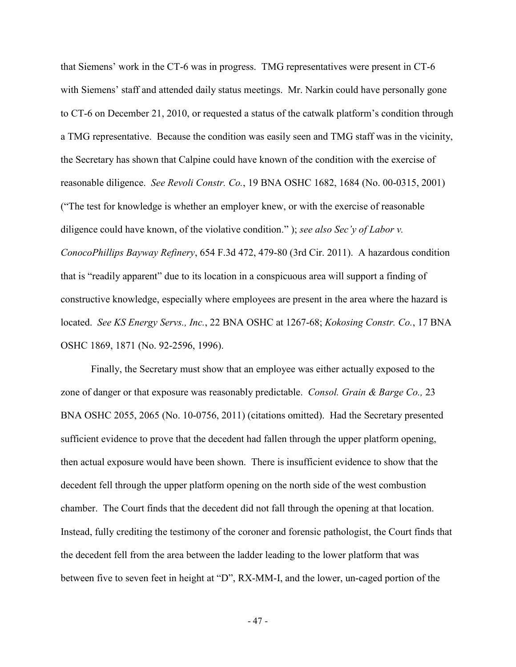that Siemens' work in the CT-6 was in progress. TMG representatives were present in CT-6 with Siemens' staff and attended daily status meetings. Mr. Narkin could have personally gone to CT-6 on December 21, 2010, or requested a status of the catwalk platform's condition through a TMG representative. Because the condition was easily seen and TMG staff was in the vicinity, the Secretary has shown that Calpine could have known of the condition with the exercise of reasonable diligence. *See Revoli Constr. Co.*, 19 BNA OSHC 1682, 1684 (No. 00-0315, 2001) ("The test for knowledge is whether an employer knew, or with the exercise of reasonable diligence could have known, of the violative condition." ); *see also Sec'y of Labor v. ConocoPhillips Bayway Refinery*, 654 F.3d 472, 479-80 (3rd Cir. 2011). A hazardous condition that is "readily apparent" due to its location in a conspicuous area will support a finding of constructive knowledge, especially where employees are present in the area where the hazard is located. *See KS Energy Servs., Inc.*, 22 BNA OSHC at 1267-68; *Kokosing Constr. Co.*, 17 BNA OSHC 1869, 1871 (No. 92-2596, 1996).

Finally, the Secretary must show that an employee was either actually exposed to the zone of danger or that exposure was reasonably predictable. *Consol. Grain & Barge Co.,* 23 BNA OSHC 2055, 2065 (No. 10-0756, 2011) (citations omitted). Had the Secretary presented sufficient evidence to prove that the decedent had fallen through the upper platform opening, then actual exposure would have been shown. There is insufficient evidence to show that the decedent fell through the upper platform opening on the north side of the west combustion chamber. The Court finds that the decedent did not fall through the opening at that location. Instead, fully crediting the testimony of the coroner and forensic pathologist, the Court finds that the decedent fell from the area between the ladder leading to the lower platform that was between five to seven feet in height at "D", RX-MM-I, and the lower, un-caged portion of the

- 47 -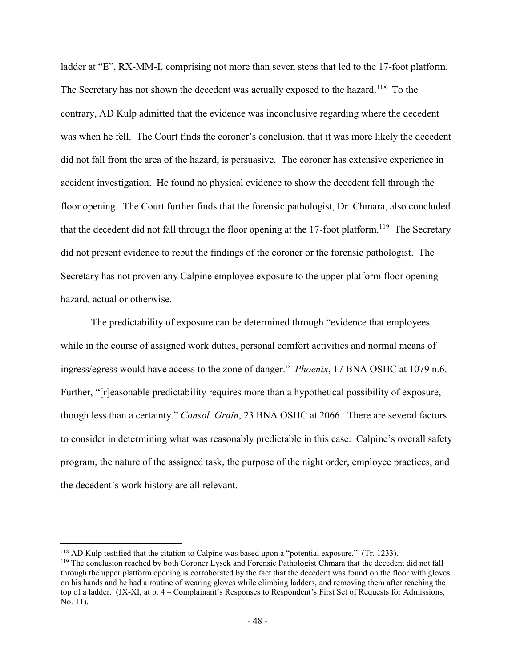ladder at "E", RX-MM-I, comprising not more than seven steps that led to the 17-foot platform. The Secretary has not shown the decedent was actually exposed to the hazard.<sup>118</sup> To the contrary, AD Kulp admitted that the evidence was inconclusive regarding where the decedent was when he fell. The Court finds the coroner's conclusion, that it was more likely the decedent did not fall from the area of the hazard, is persuasive. The coroner has extensive experience in accident investigation. He found no physical evidence to show the decedent fell through the floor opening. The Court further finds that the forensic pathologist, Dr. Chmara, also concluded that the decedent did not fall through the floor opening at the 17-foot platform.<sup>119</sup> The Secretary did not present evidence to rebut the findings of the coroner or the forensic pathologist. The Secretary has not proven any Calpine employee exposure to the upper platform floor opening hazard, actual or otherwise.

The predictability of exposure can be determined through "evidence that employees while in the course of assigned work duties, personal comfort activities and normal means of ingress/egress would have access to the zone of danger." *Phoenix*, 17 BNA OSHC at 1079 n.6. Further, "[r]easonable predictability requires more than a hypothetical possibility of exposure, though less than a certainty." *Consol. Grain*, 23 BNA OSHC at 2066. There are several factors to consider in determining what was reasonably predictable in this case. Calpine's overall safety program, the nature of the assigned task, the purpose of the night order, employee practices, and the decedent's work history are all relevant.

<sup>118</sup> AD Kulp testified that the citation to Calpine was based upon a "potential exposure." (Tr. 1233).

<sup>&</sup>lt;sup>119</sup> The conclusion reached by both Coroner Lysek and Forensic Pathologist Chmara that the decedent did not fall through the upper platform opening is corroborated by the fact that the decedent was found on the floor with gloves on his hands and he had a routine of wearing gloves while climbing ladders, and removing them after reaching the top of a ladder. (JX-XI, at p. 4 – Complainant's Responses to Respondent's First Set of Requests for Admissions, No. 11).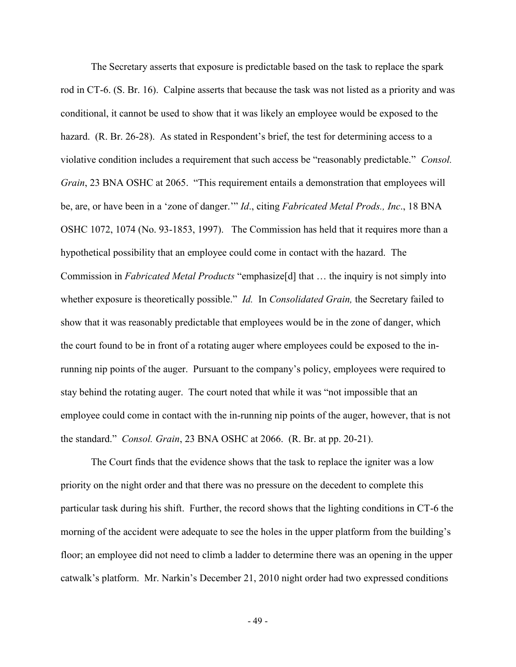The Secretary asserts that exposure is predictable based on the task to replace the spark rod in CT-6. (S. Br. 16). Calpine asserts that because the task was not listed as a priority and was conditional, it cannot be used to show that it was likely an employee would be exposed to the hazard. (R. Br. 26-28). As stated in Respondent's brief, the test for determining access to a violative condition includes a requirement that such access be "reasonably predictable." *Consol. Grain*, 23 BNA OSHC at 2065. "This requirement entails a demonstration that employees will be, are, or have been in a 'zone of danger.'" *Id*., citing *Fabricated Metal Prods., Inc*., 18 BNA OSHC 1072, 1074 (No. 93-1853, 1997). The Commission has held that it requires more than a hypothetical possibility that an employee could come in contact with the hazard. The Commission in *Fabricated Metal Products* "emphasize[d] that … the inquiry is not simply into whether exposure is theoretically possible." *Id.* In *Consolidated Grain,* the Secretary failed to show that it was reasonably predictable that employees would be in the zone of danger, which the court found to be in front of a rotating auger where employees could be exposed to the inrunning nip points of the auger. Pursuant to the company's policy, employees were required to stay behind the rotating auger. The court noted that while it was "not impossible that an employee could come in contact with the in-running nip points of the auger, however, that is not the standard." *Consol. Grain*, 23 BNA OSHC at 2066. (R. Br. at pp. 20-21).

The Court finds that the evidence shows that the task to replace the igniter was a low priority on the night order and that there was no pressure on the decedent to complete this particular task during his shift. Further, the record shows that the lighting conditions in CT-6 the morning of the accident were adequate to see the holes in the upper platform from the building's floor; an employee did not need to climb a ladder to determine there was an opening in the upper catwalk's platform. Mr. Narkin's December 21, 2010 night order had two expressed conditions

- 49 -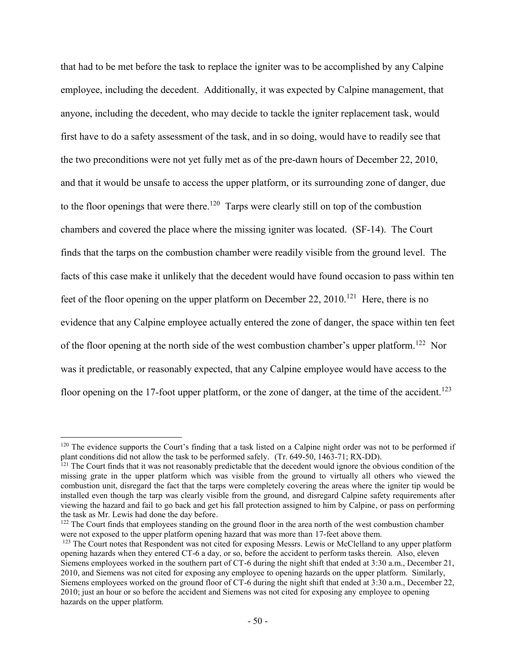that had to be met before the task to replace the igniter was to be accomplished by any Calpine employee, including the decedent. Additionally, it was expected by Calpine management, that anyone, including the decedent, who may decide to tackle the igniter replacement task, would first have to do a safety assessment of the task, and in so doing, would have to readily see that the two preconditions were not yet fully met as of the pre-dawn hours of December 22, 2010, and that it would be unsafe to access the upper platform, or its surrounding zone of danger, due to the floor openings that were there.<sup>120</sup> Tarps were clearly still on top of the combustion chambers and covered the place where the missing igniter was located. (SF-14). The Court finds that the tarps on the combustion chamber were readily visible from the ground level. The facts of this case make it unlikely that the decedent would have found occasion to pass within ten feet of the floor opening on the upper platform on December 22, 2010.<sup>121</sup> Here, there is no evidence that any Calpine employee actually entered the zone of danger, the space within ten feet of the floor opening at the north side of the west combustion chamber's upper platform.<sup>122</sup> Nor was it predictable, or reasonably expected, that any Calpine employee would have access to the floor opening on the 17-foot upper platform, or the zone of danger, at the time of the accident.<sup>123</sup>

<sup>&</sup>lt;sup>120</sup> The evidence supports the Court's finding that a task listed on a Calpine night order was not to be performed if plant conditions did not allow the task to be performed safely. (Tr. 649-50, 1463-71; RX-DD).

 $<sup>121</sup>$  The Court finds that it was not reasonably predictable that the decedent would ignore the obvious condition of the</sup> missing grate in the upper platform which was visible from the ground to virtually all others who viewed the combustion unit, disregard the fact that the tarps were completely covering the areas where the igniter tip would be installed even though the tarp was clearly visible from the ground, and disregard Calpine safety requirements after viewing the hazard and fail to go back and get his fall protection assigned to him by Calpine, or pass on performing the task as Mr. Lewis had done the day before.

<sup>&</sup>lt;sup>122</sup> The Court finds that employees standing on the ground floor in the area north of the west combustion chamber were not exposed to the upper platform opening hazard that was more than 17-feet above them.

 $123$  The Court notes that Respondent was not cited for exposing Messrs. Lewis or McClelland to any upper platform opening hazards when they entered CT-6 a day, or so, before the accident to perform tasks therein. Also, eleven Siemens employees worked in the southern part of CT-6 during the night shift that ended at 3:30 a.m., December 21, 2010, and Siemens was not cited for exposing any employee to opening hazards on the upper platform. Similarly, Siemens employees worked on the ground floor of CT-6 during the night shift that ended at 3:30 a.m., December 22, 2010; just an hour or so before the accident and Siemens was not cited for exposing any employee to opening hazards on the upper platform.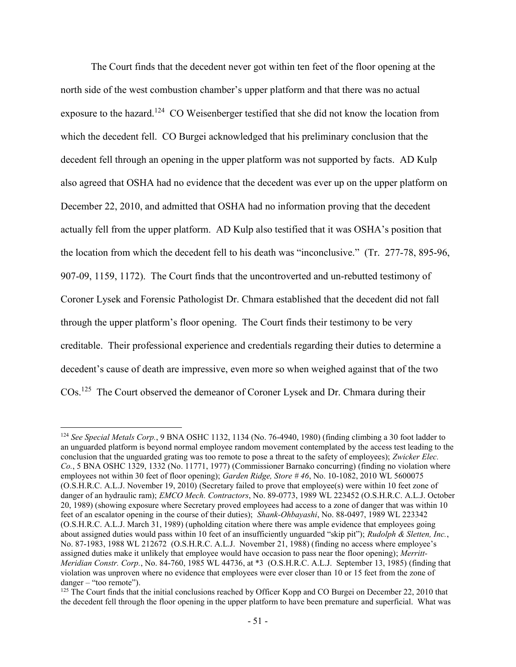The Court finds that the decedent never got within ten feet of the floor opening at the north side of the west combustion chamber's upper platform and that there was no actual exposure to the hazard.<sup>124</sup> CO Weisenberger testified that she did not know the location from which the decedent fell. CO Burgei acknowledged that his preliminary conclusion that the decedent fell through an opening in the upper platform was not supported by facts. AD Kulp also agreed that OSHA had no evidence that the decedent was ever up on the upper platform on December 22, 2010, and admitted that OSHA had no information proving that the decedent actually fell from the upper platform. AD Kulp also testified that it was OSHA's position that the location from which the decedent fell to his death was "inconclusive." (Tr. 277-78, 895-96, 907-09, 1159, 1172). The Court finds that the uncontroverted and un-rebutted testimony of Coroner Lysek and Forensic Pathologist Dr. Chmara established that the decedent did not fall through the upper platform's floor opening. The Court finds their testimony to be very creditable. Their professional experience and credentials regarding their duties to determine a decedent's cause of death are impressive, even more so when weighed against that of the two COs.<sup>125</sup> The Court observed the demeanor of Coroner Lysek and Dr. Chmara during their

<sup>124</sup> *See Special Metals Corp.*, 9 BNA OSHC 1132, 1134 (No. 76-4940, 1980) (finding climbing a 30 foot ladder to an unguarded platform is beyond normal employee random movement contemplated by the access test leading to the conclusion that the unguarded grating was too remote to pose a threat to the safety of employees); *Zwicker Elec. Co.*, 5 BNA OSHC 1329, 1332 (No. 11771, 1977) (Commissioner Barnako concurring) (finding no violation where employees not within 30 feet of floor opening); *Garden Ridge, Store # 46*, No. 10-1082, 2010 WL 5600075 (O.S.H.R.C. A.L.J. November 19, 2010) (Secretary failed to prove that employee(s) were within 10 feet zone of danger of an hydraulic ram); *EMCO Mech. Contractors*, No. 89-0773, 1989 WL 223452 (O.S.H.R.C. A.L.J. October 20, 1989) (showing exposure where Secretary proved employees had access to a zone of danger that was within 10 feet of an escalator opening in the course of their duties); *Shank-Ohbayashi*, No. 88-0497, 1989 WL 223342 (O.S.H.R.C. A.L.J. March 31, 1989) (upholding citation where there was ample evidence that employees going about assigned duties would pass within 10 feet of an insufficiently unguarded "skip pit"); *Rudolph & Sletten, Inc.*, No. 87-1983, 1988 WL 212672 (O.S.H.R.C. A.L.J. November 21, 1988) (finding no access where employee's assigned duties make it unlikely that employee would have occasion to pass near the floor opening); *Merritt-Meridian Constr. Corp.*, No. 84-760, 1985 WL 44736, at \*3 (O.S.H.R.C. A.L.J. September 13, 1985) (finding that violation was unproven where no evidence that employees were ever closer than 10 or 15 feet from the zone of danger – "too remote").

<sup>&</sup>lt;sup>125</sup> The Court finds that the initial conclusions reached by Officer Kopp and CO Burgei on December 22, 2010 that the decedent fell through the floor opening in the upper platform to have been premature and superficial. What was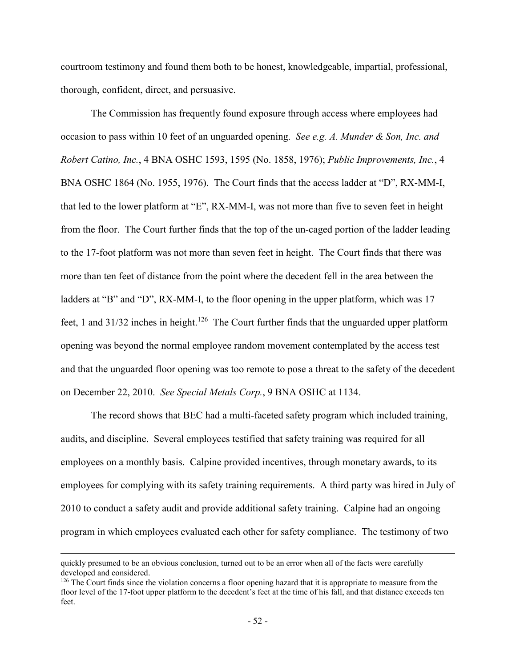courtroom testimony and found them both to be honest, knowledgeable, impartial, professional, thorough, confident, direct, and persuasive.

The Commission has frequently found exposure through access where employees had occasion to pass within 10 feet of an unguarded opening. *See e.g. A. Munder & Son, Inc. and Robert Catino, Inc.*, 4 BNA OSHC 1593, 1595 (No. 1858, 1976); *Public Improvements, Inc.*, 4 BNA OSHC 1864 (No. 1955, 1976). The Court finds that the access ladder at "D", RX-MM-I, that led to the lower platform at "E", RX-MM-I, was not more than five to seven feet in height from the floor. The Court further finds that the top of the un-caged portion of the ladder leading to the 17-foot platform was not more than seven feet in height. The Court finds that there was more than ten feet of distance from the point where the decedent fell in the area between the ladders at "B" and "D", RX-MM-I, to the floor opening in the upper platform, which was 17 feet, 1 and  $31/32$  inches in height.<sup>126</sup> The Court further finds that the unguarded upper platform opening was beyond the normal employee random movement contemplated by the access test and that the unguarded floor opening was too remote to pose a threat to the safety of the decedent on December 22, 2010. *See Special Metals Corp.*, 9 BNA OSHC at 1134.

The record shows that BEC had a multi-faceted safety program which included training, audits, and discipline. Several employees testified that safety training was required for all employees on a monthly basis. Calpine provided incentives, through monetary awards, to its employees for complying with its safety training requirements. A third party was hired in July of 2010 to conduct a safety audit and provide additional safety training. Calpine had an ongoing program in which employees evaluated each other for safety compliance. The testimony of two

quickly presumed to be an obvious conclusion, turned out to be an error when all of the facts were carefully developed and considered.

<sup>&</sup>lt;sup>126</sup> The Court finds since the violation concerns a floor opening hazard that it is appropriate to measure from the floor level of the 17-foot upper platform to the decedent's feet at the time of his fall, and that distance exceeds ten feet.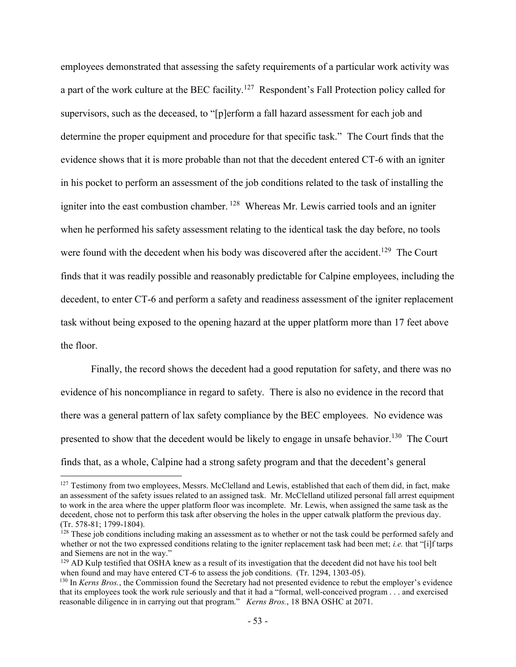employees demonstrated that assessing the safety requirements of a particular work activity was a part of the work culture at the BEC facility.<sup>127</sup> Respondent's Fall Protection policy called for supervisors, such as the deceased, to "[p]erform a fall hazard assessment for each job and determine the proper equipment and procedure for that specific task." The Court finds that the evidence shows that it is more probable than not that the decedent entered CT-6 with an igniter in his pocket to perform an assessment of the job conditions related to the task of installing the igniter into the east combustion chamber. <sup>128</sup> Whereas Mr. Lewis carried tools and an igniter when he performed his safety assessment relating to the identical task the day before, no tools were found with the decedent when his body was discovered after the accident.<sup>129</sup> The Court finds that it was readily possible and reasonably predictable for Calpine employees, including the decedent, to enter CT-6 and perform a safety and readiness assessment of the igniter replacement task without being exposed to the opening hazard at the upper platform more than 17 feet above the floor.

Finally, the record shows the decedent had a good reputation for safety, and there was no evidence of his noncompliance in regard to safety. There is also no evidence in the record that there was a general pattern of lax safety compliance by the BEC employees. No evidence was presented to show that the decedent would be likely to engage in unsafe behavior.<sup>130</sup> The Court finds that, as a whole, Calpine had a strong safety program and that the decedent's general

 $127$  Testimony from two employees, Messrs. McClelland and Lewis, established that each of them did, in fact, make an assessment of the safety issues related to an assigned task. Mr. McClelland utilized personal fall arrest equipment to work in the area where the upper platform floor was incomplete. Mr. Lewis, when assigned the same task as the decedent, chose not to perform this task after observing the holes in the upper catwalk platform the previous day. (Tr. 578-81; 1799-1804).

 $128$  These job conditions including making an assessment as to whether or not the task could be performed safely and whether or not the two expressed conditions relating to the igniter replacement task had been met; *i.e.* that "[i]f tarps and Siemens are not in the way."

 $129$  AD Kulp testified that OSHA knew as a result of its investigation that the decedent did not have his tool belt when found and may have entered CT-6 to assess the job conditions. (Tr. 1294, 1303-05).

<sup>130</sup> In *Kerns Bros.*, the Commission found the Secretary had not presented evidence to rebut the employer's evidence that its employees took the work rule seriously and that it had a "formal, well-conceived program . . . and exercised reasonable diligence in in carrying out that program." *Kerns Bros.*, 18 BNA OSHC at 2071.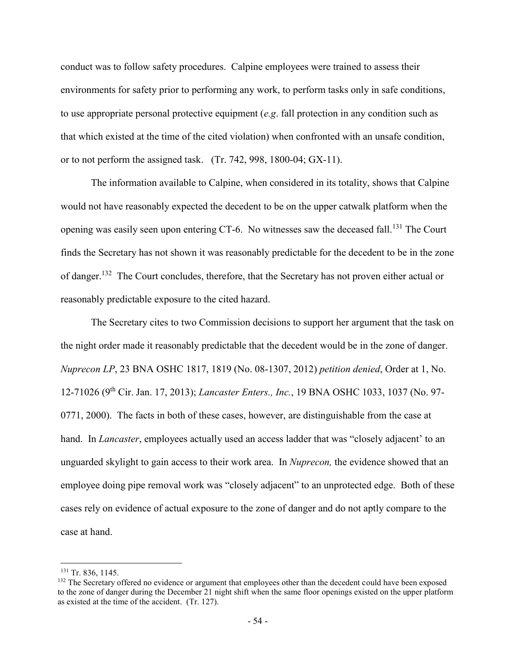conduct was to follow safety procedures. Calpine employees were trained to assess their environments for safety prior to performing any work, to perform tasks only in safe conditions, to use appropriate personal protective equipment (*e.g*. fall protection in any condition such as that which existed at the time of the cited violation) when confronted with an unsafe condition, or to not perform the assigned task. (Tr. 742, 998, 1800-04; GX-11).

The information available to Calpine, when considered in its totality, shows that Calpine would not have reasonably expected the decedent to be on the upper catwalk platform when the opening was easily seen upon entering CT-6. No witnesses saw the deceased fall.<sup>131</sup> The Court finds the Secretary has not shown it was reasonably predictable for the decedent to be in the zone of danger.<sup>132</sup> The Court concludes, therefore, that the Secretary has not proven either actual or reasonably predictable exposure to the cited hazard.

The Secretary cites to two Commission decisions to support her argument that the task on the night order made it reasonably predictable that the decedent would be in the zone of danger. *Nuprecon LP*, 23 BNA OSHC 1817, 1819 (No. 08-1307, 2012) *petition denied*, Order at 1, No. 12-71026 (9th Cir. Jan. 17, 2013); *Lancaster Enters., Inc.*, 19 BNA OSHC 1033, 1037 (No. 97- 0771, 2000). The facts in both of these cases, however, are distinguishable from the case at hand. In *Lancaster*, employees actually used an access ladder that was "closely adjacent' to an unguarded skylight to gain access to their work area. In *Nuprecon,* the evidence showed that an employee doing pipe removal work was "closely adjacent" to an unprotected edge. Both of these cases rely on evidence of actual exposure to the zone of danger and do not aptly compare to the case at hand.

<sup>&</sup>lt;sup>131</sup> Tr. 836, 1145.

<sup>&</sup>lt;sup>132</sup> The Secretary offered no evidence or argument that employees other than the decedent could have been exposed to the zone of danger during the December 21 night shift when the same floor openings existed on the upper platform as existed at the time of the accident. (Tr. 127).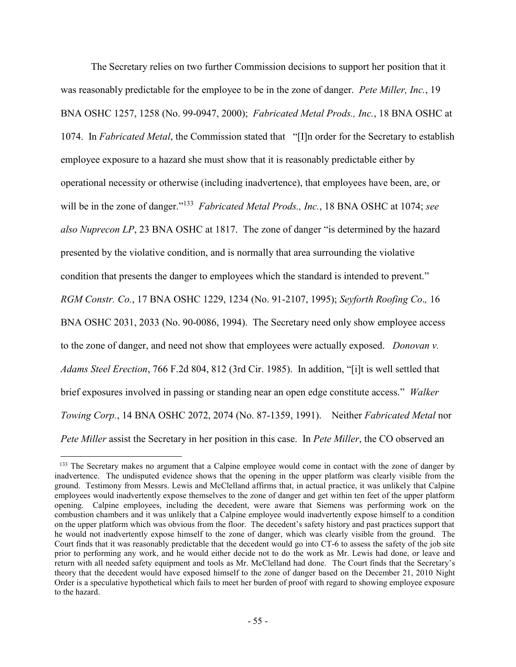The Secretary relies on two further Commission decisions to support her position that it was reasonably predictable for the employee to be in the zone of danger. *Pete Miller, Inc.*, 19 BNA OSHC 1257, 1258 (No. 99-0947, 2000); *Fabricated Metal Prods., Inc.*, 18 BNA OSHC at 1074. In *Fabricated Metal*, the Commission stated that "[I]n order for the Secretary to establish employee exposure to a hazard she must show that it is reasonably predictable either by operational necessity or otherwise (including inadvertence), that employees have been, are, or will be in the zone of danger."<sup>133</sup> *Fabricated Metal Prods., Inc.*, 18 BNA OSHC at 1074; *see also Nuprecon LP*, 23 BNA OSHC at 1817. The zone of danger "is determined by the hazard presented by the violative condition, and is normally that area surrounding the violative condition that presents the danger to employees which the standard is intended to prevent." *RGM Constr. Co.*, 17 BNA OSHC 1229, 1234 (No. 91-2107, 1995); *Seyforth Roofing Co*.*,* 16 BNA OSHC 2031, 2033 (No. 90-0086, 1994). The Secretary need only show employee access to the zone of danger, and need not show that employees were actually exposed. *Donovan v. Adams Steel Erection*, 766 F.2d 804, 812 (3rd Cir. 1985). In addition, "[i]t is well settled that brief exposures involved in passing or standing near an open edge constitute access." *Walker Towing Corp.*, 14 BNA OSHC 2072, 2074 (No. 87-1359, 1991). Neither *Fabricated Metal* nor *Pete Miller* assist the Secretary in her position in this case. In *Pete Miller*, the CO observed an

<sup>&</sup>lt;sup>133</sup> The Secretary makes no argument that a Calpine employee would come in contact with the zone of danger by inadvertence. The undisputed evidence shows that the opening in the upper platform was clearly visible from the ground. Testimony from Messrs. Lewis and McClelland affirms that, in actual practice, it was unlikely that Calpine employees would inadvertently expose themselves to the zone of danger and get within ten feet of the upper platform opening. Calpine employees, including the decedent, were aware that Siemens was performing work on the combustion chambers and it was unlikely that a Calpine employee would inadvertently expose himself to a condition on the upper platform which was obvious from the floor. The decedent's safety history and past practices support that he would not inadvertently expose himself to the zone of danger, which was clearly visible from the ground. The Court finds that it was reasonably predictable that the decedent would go into CT-6 to assess the safety of the job site prior to performing any work, and he would either decide not to do the work as Mr. Lewis had done, or leave and return with all needed safety equipment and tools as Mr. McClelland had done. The Court finds that the Secretary's theory that the decedent would have exposed himself to the zone of danger based on the December 21, 2010 Night Order is a speculative hypothetical which fails to meet her burden of proof with regard to showing employee exposure to the hazard.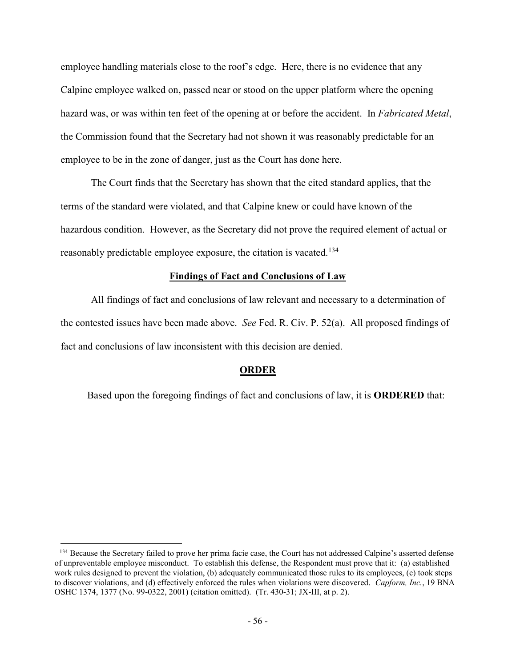employee handling materials close to the roof's edge. Here, there is no evidence that any Calpine employee walked on, passed near or stood on the upper platform where the opening hazard was, or was within ten feet of the opening at or before the accident. In *Fabricated Metal*, the Commission found that the Secretary had not shown it was reasonably predictable for an employee to be in the zone of danger, just as the Court has done here.

The Court finds that the Secretary has shown that the cited standard applies, that the terms of the standard were violated, and that Calpine knew or could have known of the hazardous condition. However, as the Secretary did not prove the required element of actual or reasonably predictable employee exposure, the citation is vacated.<sup>134</sup>

### **Findings of Fact and Conclusions of Law**

All findings of fact and conclusions of law relevant and necessary to a determination of the contested issues have been made above. *See* Fed. R. Civ. P. 52(a). All proposed findings of fact and conclusions of law inconsistent with this decision are denied.

# **ORDER**

Based upon the foregoing findings of fact and conclusions of law, it is **ORDERED** that:

<sup>&</sup>lt;sup>134</sup> Because the Secretary failed to prove her prima facie case, the Court has not addressed Calpine's asserted defense of unpreventable employee misconduct. To establish this defense, the Respondent must prove that it: (a) established work rules designed to prevent the violation, (b) adequately communicated those rules to its employees, (c) took steps to discover violations, and (d) effectively enforced the rules when violations were discovered. *Capform, Inc.*, 19 BNA OSHC 1374, 1377 (No. 99-0322, 2001) (citation omitted). (Tr. 430-31; JX-III, at p. 2).